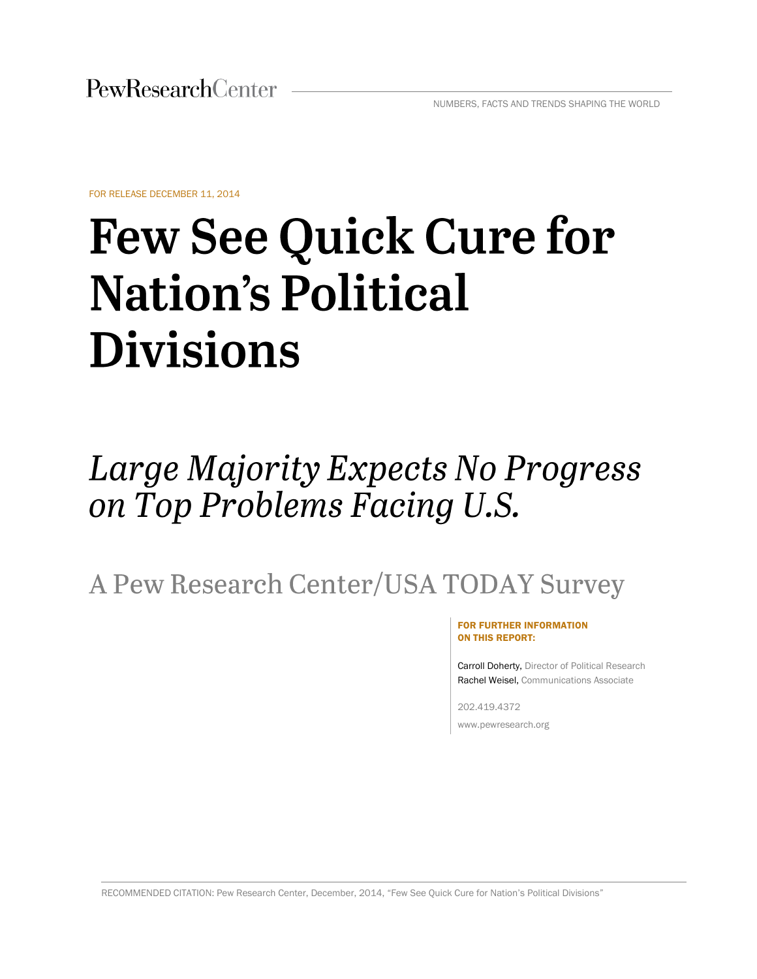FOR RELEASE DECEMBER 11, 2014

# **Few See Quick Cure for Nation's Political Divisions**

# Large Majority Expects No Progress on Top Problems Facing U.S.

A Pew Research Center/USA TODAY Survey

#### FOR FURTHER INFORMATION ON THIS REPORT:

Carroll Doherty, Director of Political Research Rachel Weisel, Communications Associate

202.419.4372 www.pewresearch.org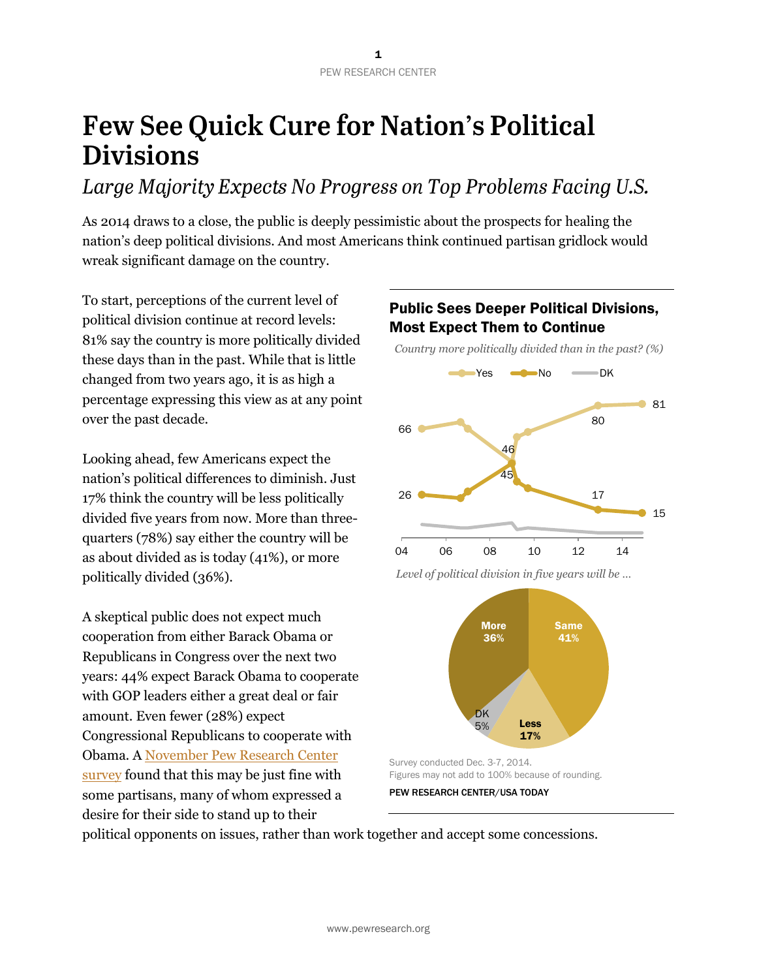# **Few See Quick Cure for Nation's Political Divisions**

Large Majority Expects No Progress on Top Problems Facing U.S.

As 2014 draws to a close, the public is deeply pessimistic about the prospects for healing the nation's deep political divisions. And most Americans think continued partisan gridlock would wreak significant damage on the country.

To start, perceptions of the current level of political division continue at record levels: 81% say the country is more politically divided these days than in the past. While that is little changed from two years ago, it is as high a percentage expressing this view as at any point over the past decade.

Looking ahead, few Americans expect the nation's political differences to diminish. Just 17% think the country will be less politically divided five years from now. More than threequarters (78%) say either the country will be as about divided as is today (41%), or more politically divided (36%).

A skeptical public does not expect much cooperation from either Barack Obama or Republicans in Congress over the next two years: 44% expect Barack Obama to cooperate with GOP leaders either a great deal or fair amount. Even fewer (28%) expect Congressional Republicans to cooperate with Obama. A [November Pew Research Center](http://www.people-press.org/2014/11/12/little-enthusiasm-familiar-divisions-after-the-gops-big-midterm-victory/)  [survey](http://www.people-press.org/2014/11/12/little-enthusiasm-familiar-divisions-after-the-gops-big-midterm-victory/) found that this may be just fine with some partisans, many of whom expressed a desire for their side to stand up to their

# Public Sees Deeper Political Divisions, Most Expect Them to Continue

 *Country more politically divided than in the past? (%)*





*Level of political division in five years will be …*

Survey conducted Dec. 3-7, 2014. Figures may not add to 100% because of rounding.



political opponents on issues, rather than work together and accept some concessions.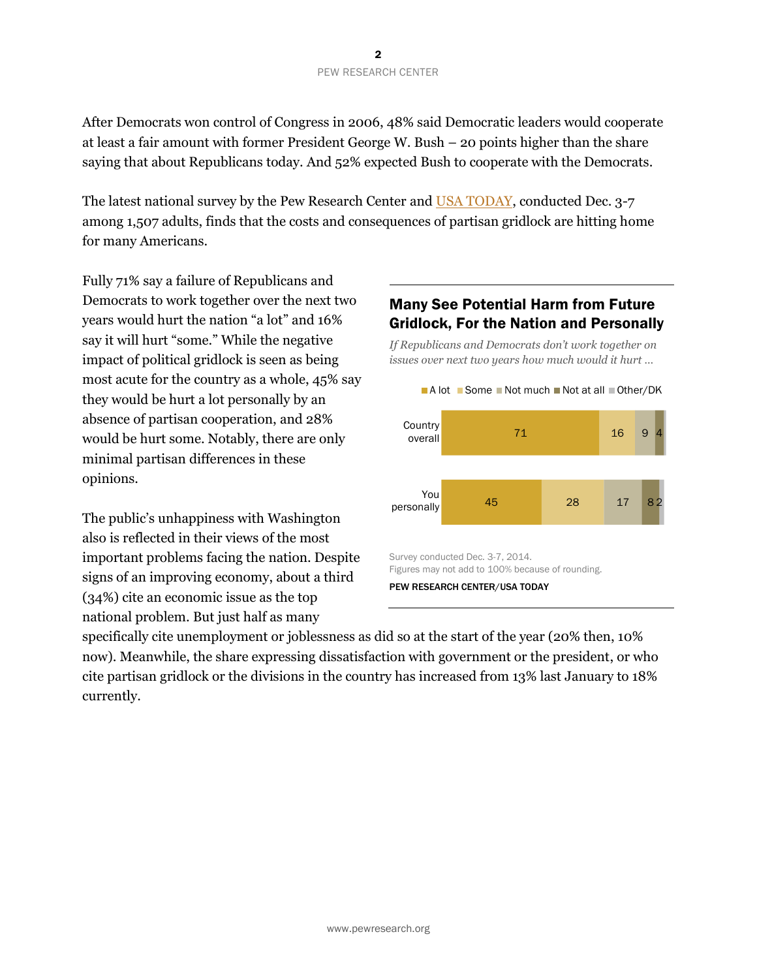After Democrats won control of Congress in 2006, 48% said Democratic leaders would cooperate at least a fair amount with former President George W. Bush – 20 points higher than the share saying that about Republicans today. And 52% expected Bush to cooperate with the Democrats.

The latest national survey by the Pew Research Center and [USA TODAY,](http://www.usatoday.com/story/news/politics/2014/12/11/usa-today-pew-poll-americans-downbeat-for-the-new-year/20205261/) conducted Dec. 3-7 among 1,507 adults, finds that the costs and consequences of partisan gridlock are hitting home for many Americans.

Fully 71% say a failure of Republicans and Democrats to work together over the next two years would hurt the nation "a lot" and 16% say it will hurt "some." While the negative impact of political gridlock is seen as being most acute for the country as a whole, 45% say they would be hurt a lot personally by an absence of partisan cooperation, and 28% would be hurt some. Notably, there are only minimal partisan differences in these opinions.

The public's unhappiness with Washington also is reflected in their views of the most important problems facing the nation. Despite signs of an improving economy, about a third (34%) cite an economic issue as the top national problem. But just half as many

# Many See Potential Harm from Future Gridlock, For the Nation and Personally

*If Republicans and Democrats don't work together on issues over next two years how much would it hurt …*



specifically cite unemployment or joblessness as did so at the start of the year (20% then, 10% now). Meanwhile, the share expressing dissatisfaction with government or the president, or who cite partisan gridlock or the divisions in the country has increased from 13% last January to 18% currently.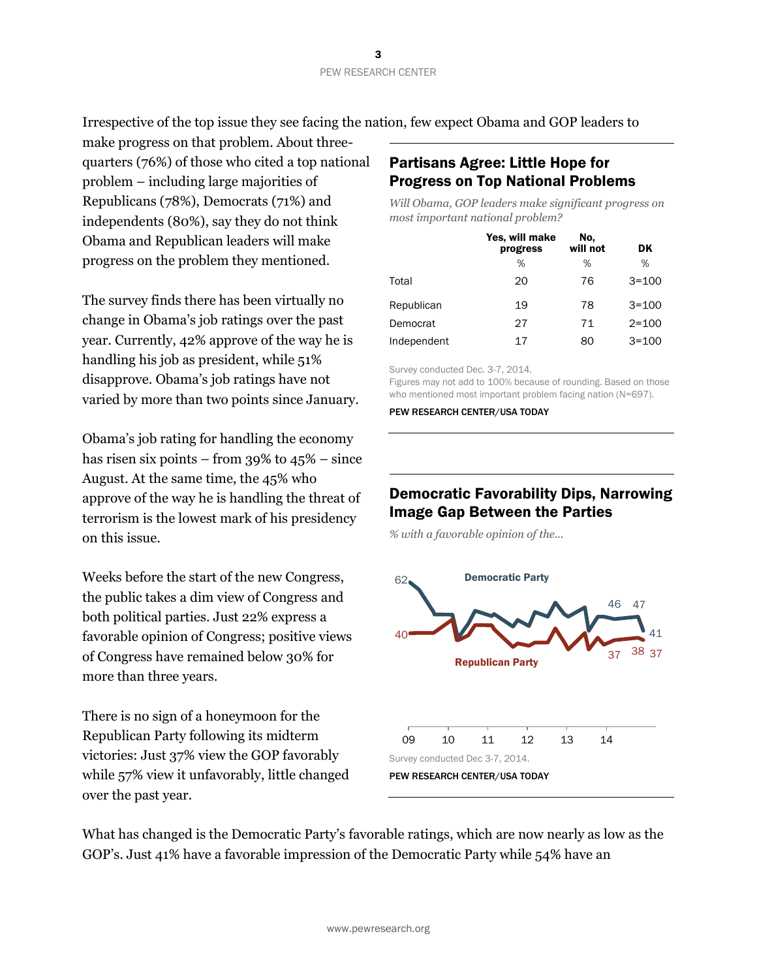Irrespective of the top issue they see facing the nation, few expect Obama and GOP leaders to

make progress on that problem. About threequarters (76%) of those who cited a top national problem – including large majorities of Republicans (78%), Democrats (71%) and independents (80%), say they do not think Obama and Republican leaders will make progress on the problem they mentioned.

The survey finds there has been virtually no change in Obama's job ratings over the past year. Currently, 42% approve of the way he is handling his job as president, while 51% disapprove. Obama's job ratings have not varied by more than two points since January.

Obama's job rating for handling the economy has risen six points – from 39% to 45% – since August. At the same time, the 45% who approve of the way he is handling the threat of terrorism is the lowest mark of his presidency on this issue.

Weeks before the start of the new Congress, the public takes a dim view of Congress and both political parties. Just 22% express a favorable opinion of Congress; positive views of Congress have remained below 30% for more than three years.

There is no sign of a honeymoon for the Republican Party following its midterm victories: Just 37% view the GOP favorably while 57% view it unfavorably, little changed over the past year.

# Partisans Agree: Little Hope for Progress on Top National Problems

*Will Obama, GOP leaders make significant progress on most important national problem?*

|             | Yes, will make<br>progress | No.<br>will not | DK        |
|-------------|----------------------------|-----------------|-----------|
|             | %                          | %               | %         |
| Total       | 20                         | 76              | $3 = 100$ |
| Republican  | 19                         | 78              | $3 = 100$ |
| Democrat    | 27                         | 71              | $2 = 100$ |
| Independent | 17                         | 80              | $3 = 100$ |

Survey conducted Dec. 3-7, 2014.

Figures may not add to 100% because of rounding. Based on those who mentioned most important problem facing nation (N=697).

PEW RESEARCH CENTER/USA TODAY

# Democratic Favorability Dips, Narrowing Image Gap Between the Parties

*% with a favorable opinion of the...*



What has changed is the Democratic Party's favorable ratings, which are now nearly as low as the GOP's. Just 41% have a favorable impression of the Democratic Party while 54% have an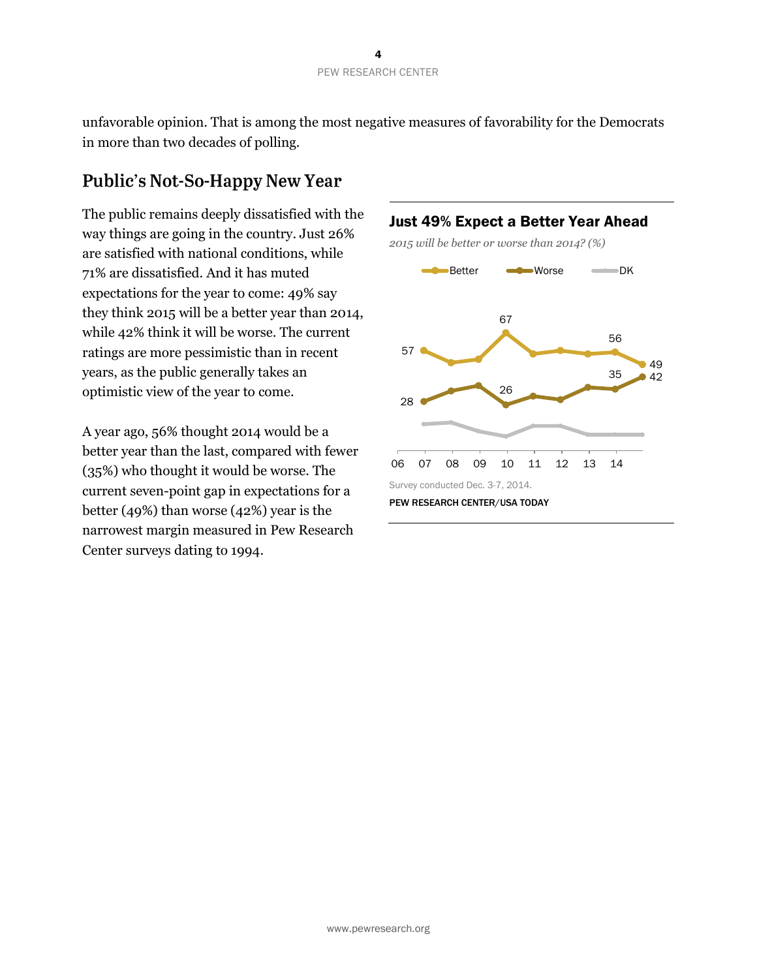unfavorable opinion. That is among the most negative measures of favorability for the Democrats in more than two decades of polling.

# **Public's Not-So-Happy New Year**

The public remains deeply dissatisfied with the way things are going in the country. Just 26% are satisfied with national conditions, while 71% are dissatisfied. And it has muted expectations for the year to come: 49% say they think 2015 will be a better year than 2014, while 42% think it will be worse. The current ratings are more pessimistic than in recent years, as the public generally takes an optimistic view of the year to come.

A year ago, 56% thought 2014 would be a better year than the last, compared with fewer (35%) who thought it would be worse. The current seven-point gap in expectations for a better (49%) than worse (42%) year is the narrowest margin measured in Pew Research Center surveys dating to 1994.

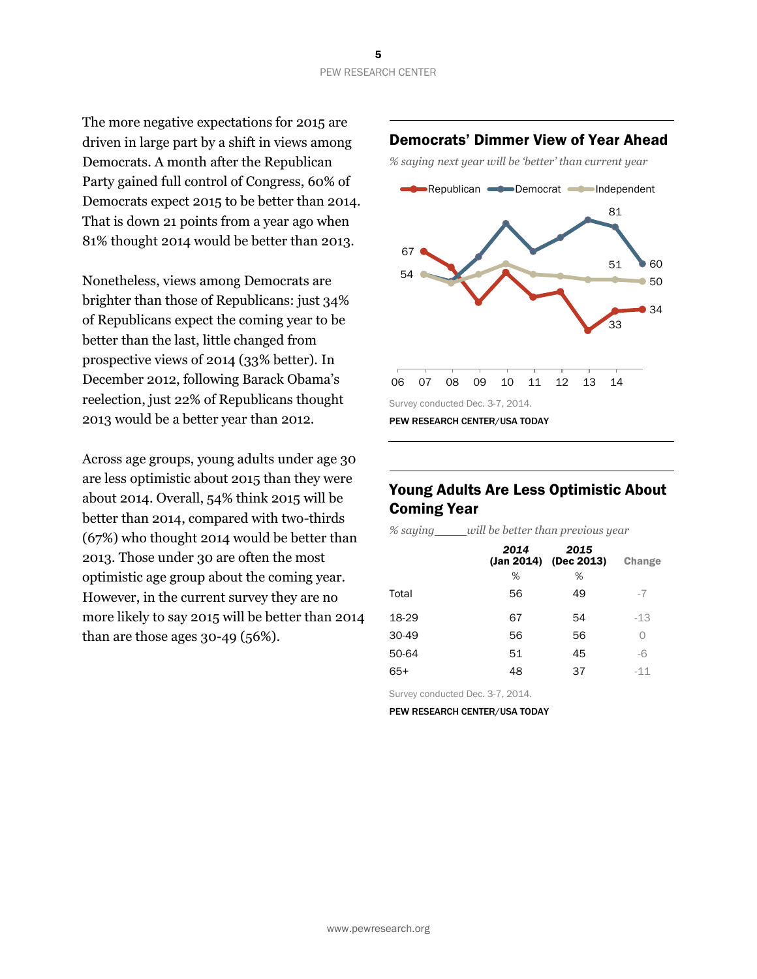The more negative expectations for 2015 are driven in large part by a shift in views among Democrats. A month after the Republican Party gained full control of Congress, 60% of Democrats expect 2015 to be better than 2014. That is down 21 points from a year ago when 81% thought 2014 would be better than 2013.

Nonetheless, views among Democrats are brighter than those of Republicans: just 34% of Republicans expect the coming year to be better than the last, little changed from prospective views of 2014 (33% better). In December 2012, following Barack Obama's reelection, just 22% of Republicans thought 2013 would be a better year than 2012.

Across age groups, young adults under age 30 are less optimistic about 2015 than they were about 2014. Overall, 54% think 2015 will be better than 2014, compared with two-thirds (67%) who thought 2014 would be better than 2013. Those under 30 are often the most optimistic age group about the coming year. However, in the current survey they are no more likely to say 2015 will be better than 2014 than are those ages 30-49 (56%).

## Democrats' Dimmer View of Year Ahead



# Young Adults Are Less Optimistic About Coming Year

*% saying will be better than previous year*

|       | 2014<br>% | 2015<br>$(Jan 2014)$ (Dec 2013)<br>% | Change |
|-------|-----------|--------------------------------------|--------|
| Total | 56        | 49                                   | -7     |
| 18-29 | 67        | 54                                   | $-13$  |
| 30-49 | 56        | 56                                   | Ω      |
| 50-64 | 51        | 45                                   | -6     |
| $65+$ | 48        | 37                                   | $-11$  |

Survey conducted Dec. 3-7, 2014.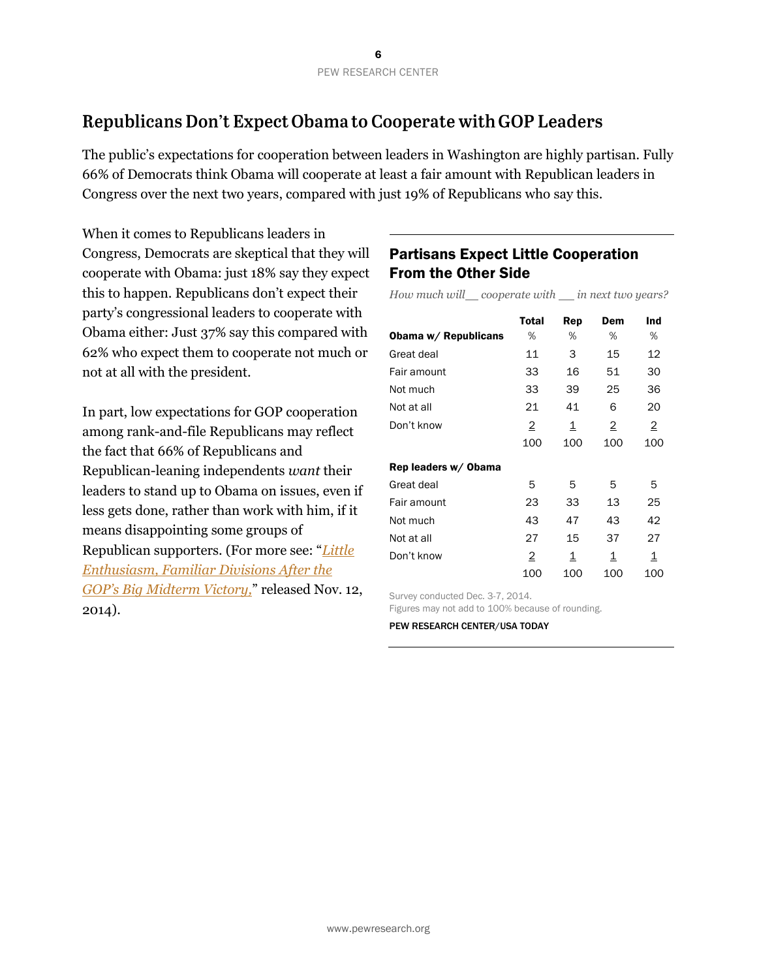# Republicans Don't Expect Obama to Cooperate with GOP Leaders

The public's expectations for cooperation between leaders in Washington are highly partisan. Fully 66% of Democrats think Obama will cooperate at least a fair amount with Republican leaders in Congress over the next two years, compared with just 19% of Republicans who say this.

When it comes to Republicans leaders in Congress, Democrats are skeptical that they will cooperate with Obama: just 18% say they expect this to happen. Republicans don't expect their party's congressional leaders to cooperate with Obama either: Just 37% say this compared with 62% who expect them to cooperate not much or not at all with the president.

In part, low expectations for GOP cooperation among rank-and-file Republicans may reflect the fact that 66% of Republicans and Republican-leaning independents *want* their leaders to stand up to Obama on issues, even if less gets done, rather than work with him, if it means disappointing some groups of Republican supporters. (For more see: "*[Little](http://www.people-press.org/2014/11/12/little-enthusiasm-familiar-divisions-after-the-gops-big-midterm-victory/)  [Enthusiasm, Familiar Divisions After the](http://www.people-press.org/2014/11/12/little-enthusiasm-familiar-divisions-after-the-gops-big-midterm-victory/)  [GOP's Big Midterm Victory,](http://www.people-press.org/2014/11/12/little-enthusiasm-familiar-divisions-after-the-gops-big-midterm-victory/)*" released Nov. 12, 2014).

# Partisans Expect Little Cooperation From the Other Side

*How much will cooperate with in next two years?*

|                      | <b>Total</b>   | Rep                      | Dem | Ind            |
|----------------------|----------------|--------------------------|-----|----------------|
| Obama w/ Republicans | %              | %                        | ℅   | %              |
| Great deal           | 11             | 3                        | 15  | 12             |
| Fair amount          | 33             | 16                       | 51  | 30             |
| Not much             | 33             | 39                       | 25  | 36             |
| Not at all           | 21             | 41                       | 6   | 20             |
| Don't know           | $\overline{2}$ | $\mathbf{\underline{1}}$ | 2   | $\overline{2}$ |
|                      | 100            | 100                      | 100 | 100            |
| Rep leaders w/ Obama |                |                          |     |                |
| Great deal           | 5              | 5                        | 5   | 5              |
| Fair amount          | 23             | 33                       | 13  | 25             |
| Not much             | 43             | 47                       | 43  | 42             |
| Not at all           | 27             | 15                       | 37  | 27             |
| Don't know           | 2              | 1                        | 1   | 1              |
|                      | 100            | 100                      | 100 | 100            |

Survey conducted Dec. 3-7, 2014.

Figures may not add to 100% because of rounding.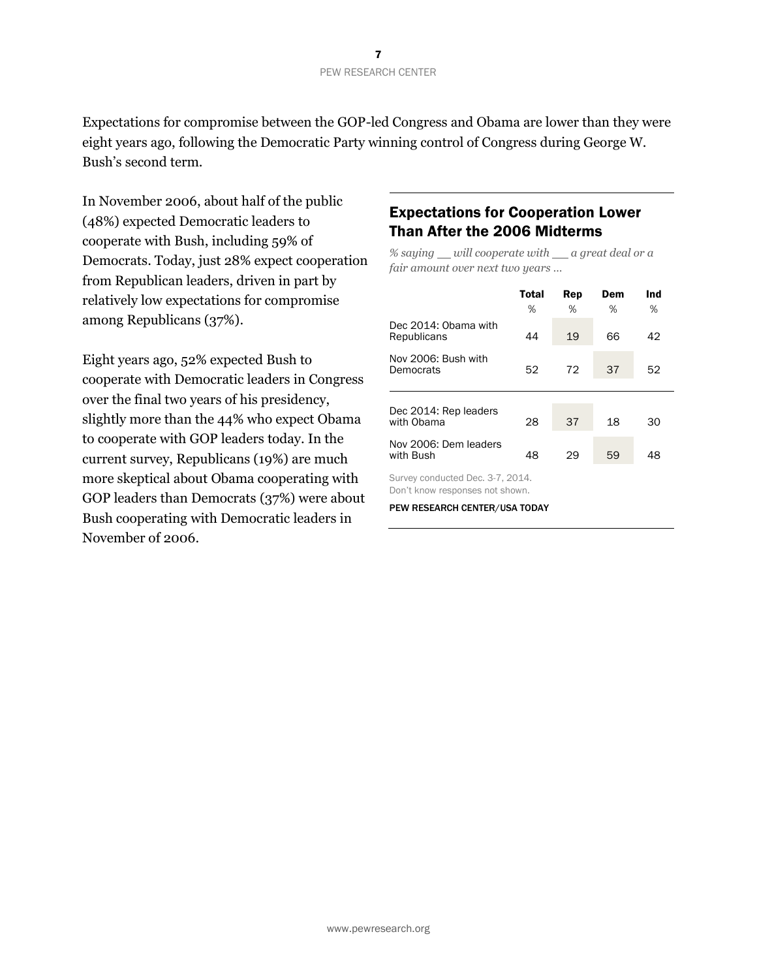Expectations for compromise between the GOP-led Congress and Obama are lower than they were eight years ago, following the Democratic Party winning control of Congress during George W. Bush's second term.

In November 2006, about half of the public (48%) expected Democratic leaders to cooperate with Bush, including 59% of Democrats. Today, just 28% expect cooperation from Republican leaders, driven in part by relatively low expectations for compromise among Republicans (37%).

Eight years ago, 52% expected Bush to cooperate with Democratic leaders in Congress over the final two years of his presidency, slightly more than the 44% who expect Obama to cooperate with GOP leaders today. In the current survey, Republicans (19%) are much more skeptical about Obama cooperating with GOP leaders than Democrats (37%) were about Bush cooperating with Democratic leaders in November of 2006.

# Expectations for Cooperation Lower Than After the 2006 Midterms

*% saying will cooperate with a great deal or a fair amount over next two years …*

|                                     | <b>Total</b><br>% | Rep<br>% | Dem<br>% | Ind<br>% |
|-------------------------------------|-------------------|----------|----------|----------|
| Dec 2014: Obama with<br>Republicans | 44                | 19       | 66       | 42       |
| Nov 2006: Bush with<br>Democrats    | 52                | 72       | 37       | 52       |
| Dec 2014: Rep leaders<br>with Obama | 28                | 37       | 18       | 30       |
| Nov 2006: Dem leaders<br>with Bush  | 48                | 29       | 59       | 48       |
| Survey conducted Dec. 3-7, 2014.    |                   |          |          |          |

Don't know responses not shown.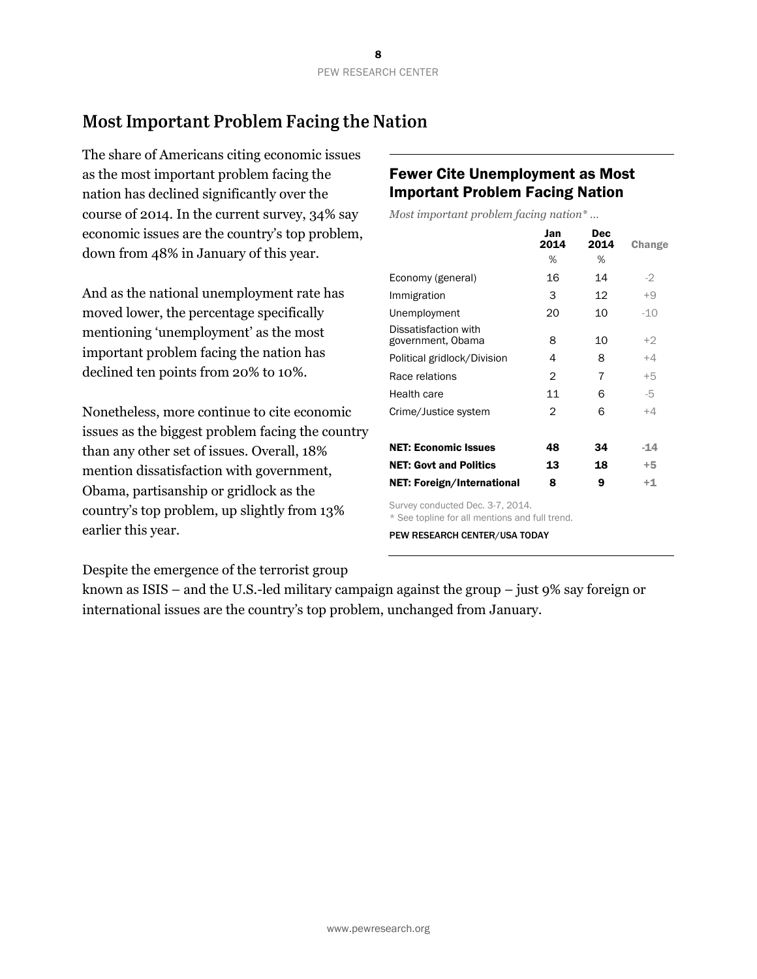# Most Important Problem Facing the Nation

The share of Americans citing economic issues as the most important problem facing the nation has declined significantly over the course of 2014. In the current survey, 34% say economic issues are the country's top problem, down from 48% in January of this year.

And as the national unemployment rate has moved lower, the percentage specifically mentioning 'unemployment' as the most important problem facing the nation has declined ten points from 20% to 10%.

Nonetheless, more continue to cite economic issues as the biggest problem facing the country than any other set of issues. Overall, 18% mention dissatisfaction with government, Obama, partisanship or gridlock as the country's top problem, up slightly from 13% earlier this year.

# Fewer Cite Unemployment as Most Important Problem Facing Nation

*Most important problem facing nation\* …*

|                                                                                    | Jan<br>2014 | Dec<br>2014 | Change |
|------------------------------------------------------------------------------------|-------------|-------------|--------|
|                                                                                    | ℅           | %           |        |
| Economy (general)                                                                  | 16          | 14          | $-2$   |
| Immigration                                                                        | 3           | 12          | $+9$   |
| Unemployment                                                                       | 20          | 10          | $-10$  |
| Dissatisfaction with<br>government, Obama                                          | 8           | 10          | $+2$   |
| Political gridlock/Division                                                        | 4           | 8           | +4     |
| Race relations                                                                     | 2           | 7           | $+5$   |
| Health care                                                                        | 11          | 6           | -5     |
| Crime/Justice system                                                               | 2           | 6           | $+4$   |
| <b>NET: Economic Issues</b>                                                        | 48          | 34          | $-14$  |
| <b>NET: Govt and Politics</b>                                                      | 13          | 18          | $+5$   |
| NET: Foreign/International                                                         | 8           | 9           | $+1$   |
| Survey conducted Dec. 3-7, 2014.<br>* See topline for all mentions and full trend. |             |             |        |

PEW RESEARCH CENTER/USA TODAY

Despite the emergence of the terrorist group

known as ISIS – and the U.S.-led military campaign against the group – just 9% say foreign or international issues are the country's top problem, unchanged from January.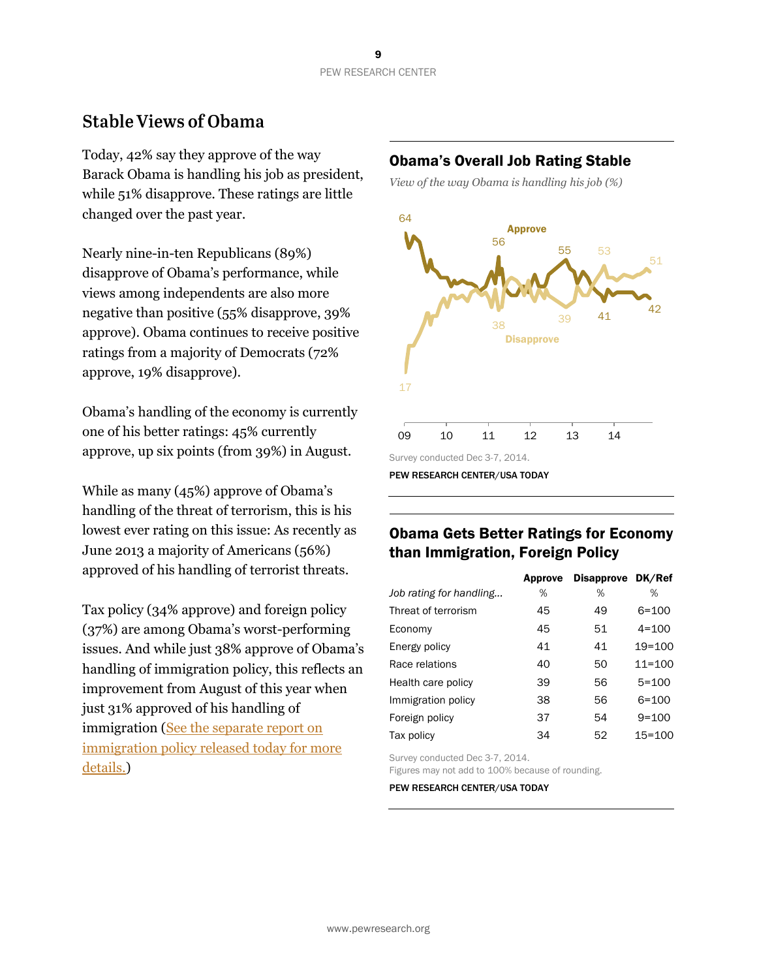# **Stable Views of Obama**

Today, 42% say they approve of the way Barack Obama is handling his job as president, while 51% disapprove. These ratings are little changed over the past year.

Nearly nine-in-ten Republicans (89%) disapprove of Obama's performance, while views among independents are also more negative than positive (55% disapprove, 39% approve). Obama continues to receive positive ratings from a majority of Democrats (72% approve, 19% disapprove).

Obama's handling of the economy is currently one of his better ratings: 45% currently approve, up six points (from 39%) in August.

While as many (45%) approve of Obama's handling of the threat of terrorism, this is his lowest ever rating on this issue: As recently as June 2013 a majority of Americans (56%) approved of his handling of terrorist threats.

Tax policy (34% approve) and foreign policy (37%) are among Obama's worst-performing issues. And while just 38% approve of Obama's handling of immigration policy, this reflects an improvement from August of this year when just 31% approved of his handling of immigration [\(See the separate report on](http://www.people-press.org/2014/12/11/immigration-action-gets-mixed-response-but-legal-pathway-still-popular)  [immigration policy released today for more](http://www.people-press.org/2014/12/11/immigration-action-gets-mixed-response-but-legal-pathway-still-popular)  [details.\)](http://www.people-press.org/2014/12/11/immigration-action-gets-mixed-response-but-legal-pathway-still-popular)

# Obama's Overall Job Rating Stable

*View of the way Obama is handling his job (%)*



PEW RESEARCH CENTER/USA TODAY

# Obama Gets Better Ratings for Economy than Immigration, Foreign Policy

|                         | Approve | <b>Disapprove</b> | DK/Ref     |
|-------------------------|---------|-------------------|------------|
| Job rating for handling | ℅       | %                 | %          |
| Threat of terrorism     | 45      | 49                | $6 = 100$  |
| Economy                 | 45      | 51                | $4 = 100$  |
| Energy policy           | 41      | 41                | $19 = 100$ |
| Race relations          | 40      | 50                | $11 = 100$ |
| Health care policy      | 39      | 56                | $5 = 100$  |
| Immigration policy      | 38      | 56                | $6 = 100$  |
| Foreign policy          | 37      | 54                | $9 = 100$  |
| Tax policy              | 34      | 52                | $15 = 100$ |

Survey conducted Dec 3-7, 2014.

Figures may not add to 100% because of rounding.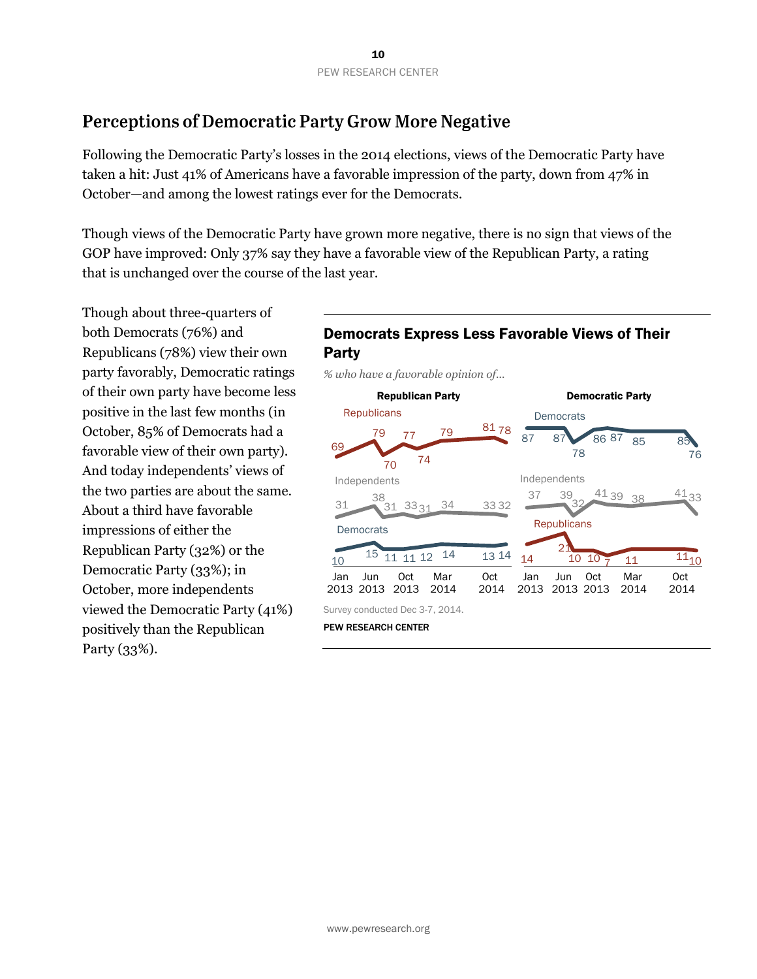# Perceptions of Democratic Party Grow More Negative

Following the Democratic Party's losses in the 2014 elections, views of the Democratic Party have taken a hit: Just 41% of Americans have a favorable impression of the party, down from 47% in October—and among the lowest ratings ever for the Democrats.

Though views of the Democratic Party have grown more negative, there is no sign that views of the GOP have improved: Only 37% say they have a favorable view of the Republican Party, a rating that is unchanged over the course of the last year.

Though about three-quarters of both Democrats (76%) and Republicans (78%) view their own party favorably, Democratic ratings of their own party have become less positive in the last few months (in October, 85% of Democrats had a favorable view of their own party). And today independents' views of the two parties are about the same. About a third have favorable impressions of either the Republican Party (32%) or the Democratic Party (33%); in October, more independents viewed the Democratic Party (41%) positively than the Republican Party (33%).

# Democrats Express Less Favorable Views of Their Party

*% who have a favorable opinion of...*

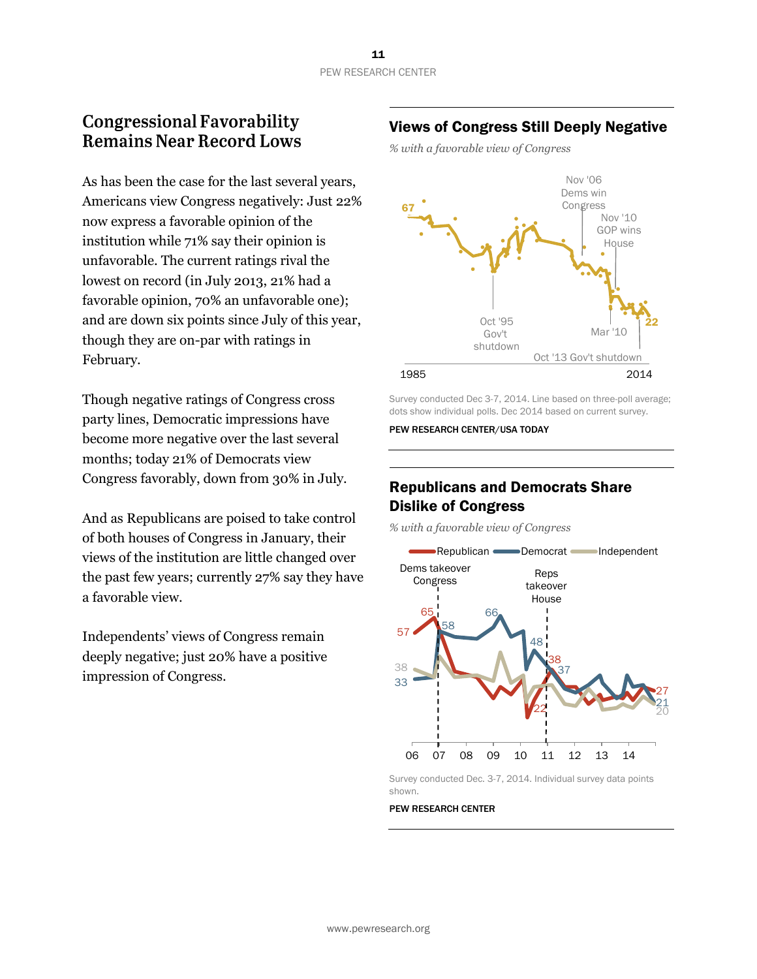# **Congressional Favorability Remains Near Record Lows**

As has been the case for the last several years, Americans view Congress negatively: Just 22% now express a favorable opinion of the institution while 71% say their opinion is unfavorable. The current ratings rival the lowest on record (in July 2013, 21% had a favorable opinion, 70% an unfavorable one); and are down six points since July of this year, though they are on-par with ratings in February.

Though negative ratings of Congress cross party lines, Democratic impressions have become more negative over the last several months; today 21% of Democrats view Congress favorably, down from 30% in July.

And as Republicans are poised to take control of both houses of Congress in January, their views of the institution are little changed over the past few years; currently 27% say they have a favorable view.

Independents' views of Congress remain deeply negative; just 20% have a positive impression of Congress.

# Views of Congress Still Deeply Negative

*% with a favorable view of Congress*



Survey conducted Dec 3-7, 2014. Line based on three-poll average; dots show individual polls. Dec 2014 based on current survey.

PEW RESEARCH CENTER/USA TODAY

# Republicans and Democrats Share Dislike of Congress

*% with a favorable view of Congress*



Survey conducted Dec. 3-7, 2014. Individual survey data points shown.

PEW RESEARCH CENTER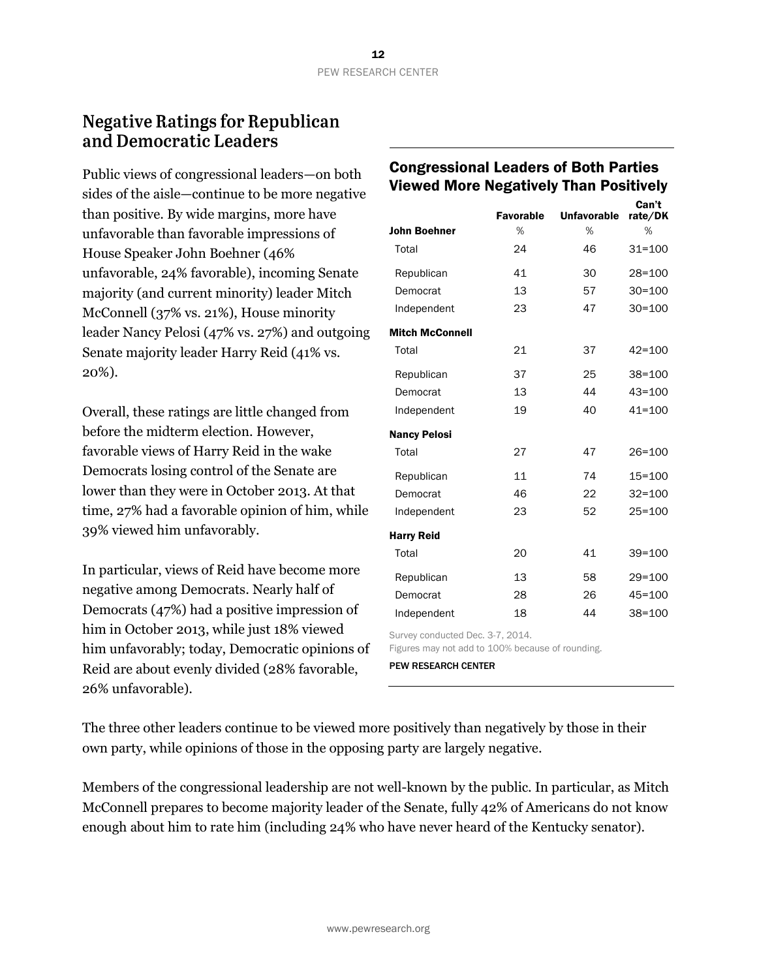# **Negative Ratings for Republican** and Democratic Leaders

Public views of congressional leaders—on both sides of the aisle—continue to be more negative than positive. By wide margins, more have unfavorable than favorable impressions of House Speaker John Boehner (46% unfavorable, 24% favorable), incoming Senate majority (and current minority) leader Mitch McConnell (37% vs. 21%), House minority leader Nancy Pelosi (47% vs. 27%) and outgoing Senate majority leader Harry Reid (41% vs. 20%).

Overall, these ratings are little changed from before the midterm election. However, favorable views of Harry Reid in the wake Democrats losing control of the Senate are lower than they were in October 2013. At that time, 27% had a favorable opinion of him, while 39% viewed him unfavorably.

In particular, views of Reid have become more negative among Democrats. Nearly half of Democrats (47%) had a positive impression of him in October 2013, while just 18% viewed him unfavorably; today, Democratic opinions of Reid are about evenly divided (28% favorable, 26% unfavorable).

# Congressional Leaders of Both Parties Viewed More Negatively Than Positively

|                        | <b>Favorable</b> | <b>Unfavorable</b> | Can't<br>rate/DK |
|------------------------|------------------|--------------------|------------------|
| <b>John Boehner</b>    | %                | %                  | %                |
| Total                  | 24               | 46                 | $31 = 100$       |
| Republican             | 41               | 30                 | $28 = 100$       |
| Democrat               | 13               | 57                 | $30 = 100$       |
| Independent            | 23               | 47                 | $30 = 100$       |
| <b>Mitch McConnell</b> |                  |                    |                  |
| Total                  | 21               | 37                 | $42 = 100$       |
| Republican             | 37               | 25                 | $38 = 100$       |
| Democrat               | 13               | 44                 | $43 = 100$       |
| Independent            | 19               | 40                 | $41 = 100$       |
| <b>Nancy Pelosi</b>    |                  |                    |                  |
| Total                  | 27               | 47                 | $26 = 100$       |
| Republican             | 11               | 74                 | $15 = 100$       |
| Democrat               | 46               | 22                 | $32 = 100$       |
| Independent            | 23               | 52                 | $25 = 100$       |
| <b>Harry Reid</b>      |                  |                    |                  |
| Total                  | 20               | 41                 | $39 = 100$       |
| Republican             | 13               | 58                 | $29 = 100$       |
| Democrat               | 28               | 26                 | $45 = 100$       |
| Independent            | 18               | 44                 | $38 = 100$       |

Survey conducted Dec. 3-7, 2014.

Figures may not add to 100% because of rounding. PEW RESEARCH CENTER

The three other leaders continue to be viewed more positively than negatively by those in their own party, while opinions of those in the opposing party are largely negative.

Members of the congressional leadership are not well-known by the public. In particular, as Mitch McConnell prepares to become majority leader of the Senate, fully 42% of Americans do not know enough about him to rate him (including 24% who have never heard of the Kentucky senator).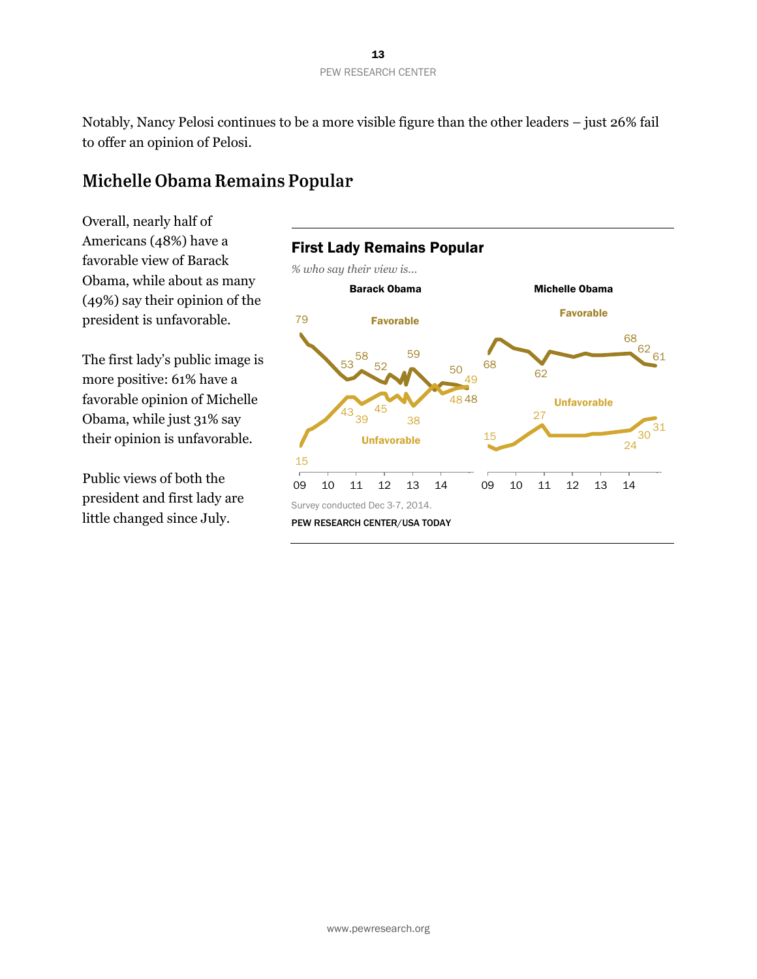Notably, Nancy Pelosi continues to be a more visible figure than the other leaders – just 26% fail to offer an opinion of Pelosi.

# Michelle Obama Remains Popular

Overall, nearly half of Americans (48%) have a favorable view of Barack Obama, while about as many (49%) say their opinion of the president is unfavorable.

The first lady's public image is more positive: 61% have a favorable opinion of Michelle Obama, while just 31% say their opinion is unfavorable.

Public views of both the president and first lady are little changed since July.

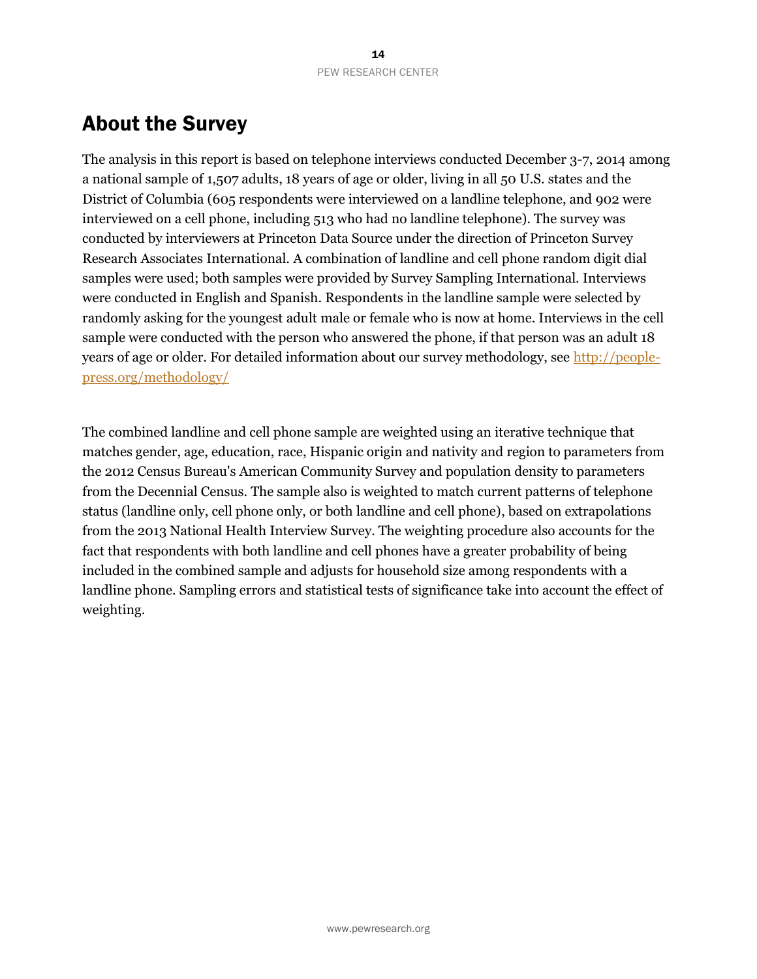# About the Survey

The analysis in this report is based on telephone interviews conducted December 3-7, 2014 among a national sample of 1,507 adults, 18 years of age or older, living in all 50 U.S. states and the District of Columbia (605 respondents were interviewed on a landline telephone, and 902 were interviewed on a cell phone, including 513 who had no landline telephone). The survey was conducted by interviewers at Princeton Data Source under the direction of Princeton Survey Research Associates International. A combination of landline and cell phone random digit dial samples were used; both samples were provided by Survey Sampling International. Interviews were conducted in English and Spanish. Respondents in the landline sample were selected by randomly asking for the youngest adult male or female who is now at home. Interviews in the cell sample were conducted with the person who answered the phone, if that person was an adult 18 years of age or older. For detailed information about our survey methodology, see [http://people](http://people-press.org/methodology/)[press.org/methodology/](http://people-press.org/methodology/)

The combined landline and cell phone sample are weighted using an iterative technique that matches gender, age, education, race, Hispanic origin and nativity and region to parameters from the 2012 Census Bureau's American Community Survey and population density to parameters from the Decennial Census. The sample also is weighted to match current patterns of telephone status (landline only, cell phone only, or both landline and cell phone), based on extrapolations from the 2013 National Health Interview Survey. The weighting procedure also accounts for the fact that respondents with both landline and cell phones have a greater probability of being included in the combined sample and adjusts for household size among respondents with a landline phone. Sampling errors and statistical tests of significance take into account the effect of weighting.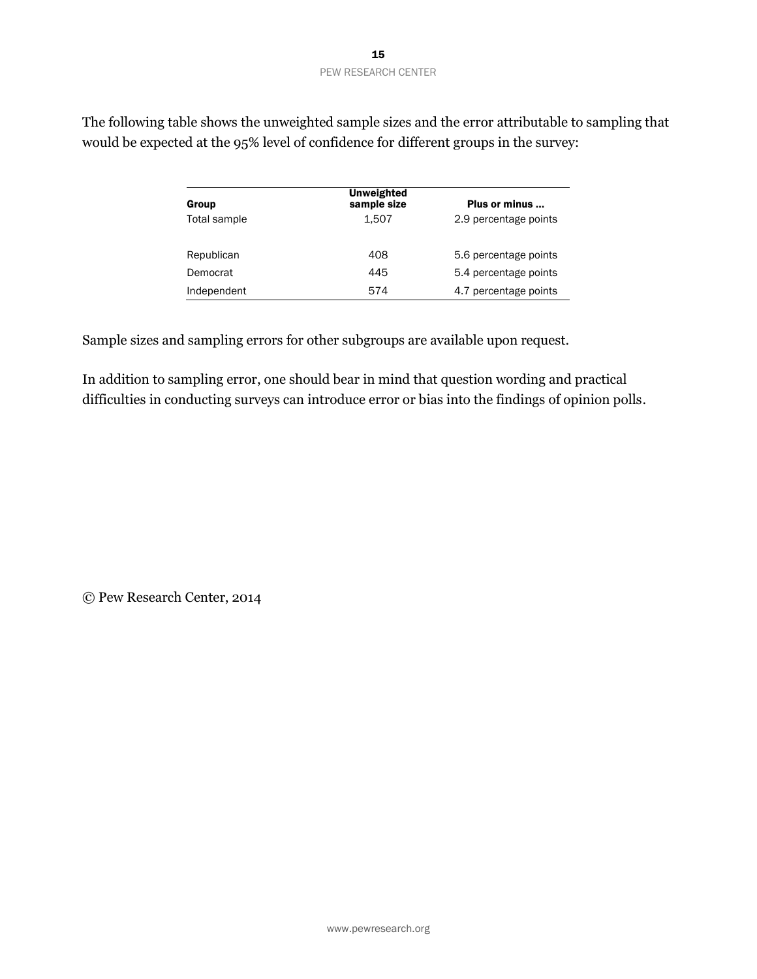| Group        | <b>Unweighted</b><br>sample size | Plus or minus         |
|--------------|----------------------------------|-----------------------|
| Total sample | 1.507                            | 2.9 percentage points |
| Republican   | 408                              | 5.6 percentage points |
| Democrat     | 445                              | 5.4 percentage points |
| Independent  | 574                              | 4.7 percentage points |

The following table shows the unweighted sample sizes and the error attributable to sampling that would be expected at the 95% level of confidence for different groups in the survey:

Sample sizes and sampling errors for other subgroups are available upon request.

In addition to sampling error, one should bear in mind that question wording and practical difficulties in conducting surveys can introduce error or bias into the findings of opinion polls.

© Pew Research Center, 2014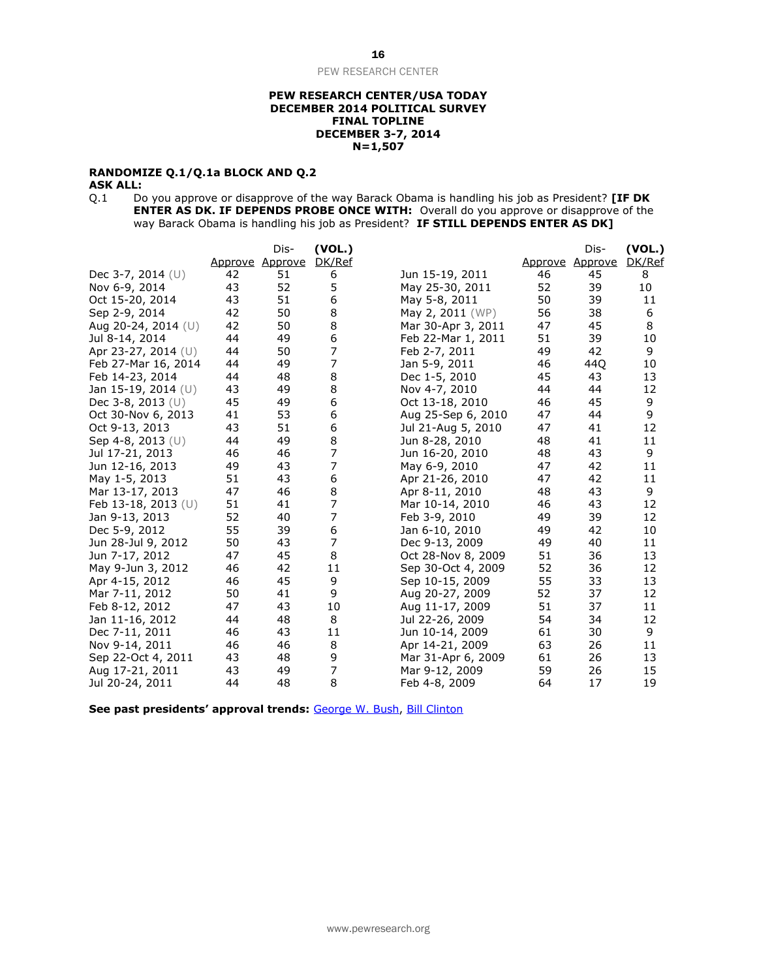#### **PEW RESEARCH CENTER/USA TODAY DECEMBER 2014 POLITICAL SURVEY FINAL TOPLINE DECEMBER 3-7, 2014 N=1,507**

## **RANDOMIZE Q.1/Q.1a BLOCK AND Q.2**

**ASK ALL:**<br>Q.1 Do Do you approve or disapprove of the way Barack Obama is handling his job as President? **[IF DK ENTER AS DK. IF DEPENDS PROBE ONCE WITH:** Overall do you approve or disapprove of the way Barack Obama is handling his job as President? **IF STILL DEPENDS ENTER AS DK]** 

|                       |         | Dis-           | (VOL.)           |                    |         | Dis-    | (VOL.) |
|-----------------------|---------|----------------|------------------|--------------------|---------|---------|--------|
|                       | Approve | <u>Approve</u> | DK/Ref           |                    | Approve | Approve | DK/Ref |
| Dec 3-7, 2014 (U)     | 42      | 51             | 6                | Jun 15-19, 2011    | 46      | 45      | 8      |
| Nov 6-9, 2014         | 43      | 52             | 5                | May 25-30, 2011    | 52      | 39      | 10     |
| Oct 15-20, 2014       | 43      | 51             | 6                | May 5-8, 2011      | 50      | 39      | 11     |
| Sep 2-9, 2014         | 42      | 50             | 8                | May 2, 2011 (WP)   | 56      | 38      | 6      |
| Aug 20-24, 2014 (U)   | 42      | 50             | $\bf 8$          | Mar 30-Apr 3, 2011 | 47      | 45      | 8      |
| Jul 8-14, 2014        | 44      | 49             | 6                | Feb 22-Mar 1, 2011 | 51      | 39      | 10     |
| Apr 23-27, 2014 $(U)$ | 44      | 50             | $\overline{7}$   | Feb 2-7, 2011      | 49      | 42      | 9      |
| Feb 27-Mar 16, 2014   | 44      | 49             | 7                | Jan 5-9, 2011      | 46      | 44Q     | 10     |
| Feb 14-23, 2014       | 44      | 48             | 8                | Dec 1-5, 2010      | 45      | 43      | 13     |
| Jan 15-19, 2014 (U)   | 43      | 49             | 8                | Nov 4-7, 2010      | 44      | 44      | 12     |
| Dec 3-8, 2013 $(U)$   | 45      | 49             | $\boldsymbol{6}$ | Oct 13-18, 2010    | 46      | 45      | 9      |
| Oct 30-Nov 6, 2013    | 41      | 53             | 6                | Aug 25-Sep 6, 2010 | 47      | 44      | 9      |
| Oct 9-13, 2013        | 43      | 51             | 6                | Jul 21-Aug 5, 2010 | 47      | 41      | 12     |
| Sep 4-8, 2013 $(U)$   | 44      | 49             | 8                | Jun 8-28, 2010     | 48      | 41      | 11     |
| Jul 17-21, 2013       | 46      | 46             | 7                | Jun 16-20, 2010    | 48      | 43      | 9      |
| Jun 12-16, 2013       | 49      | 43             | 7                | May 6-9, 2010      | 47      | 42      | 11     |
| May 1-5, 2013         | 51      | 43             | 6                | Apr 21-26, 2010    | 47      | 42      | 11     |
| Mar 13-17, 2013       | 47      | 46             | 8                | Apr 8-11, 2010     | 48      | 43      | 9      |
| Feb 13-18, 2013 (U)   | 51      | 41             | $\overline{7}$   | Mar 10-14, 2010    | 46      | 43      | 12     |
| Jan 9-13, 2013        | 52      | 40             | 7                | Feb 3-9, 2010      | 49      | 39      | 12     |
| Dec 5-9, 2012         | 55      | 39             | 6                | Jan 6-10, 2010     | 49      | 42      | 10     |
| Jun 28-Jul 9, 2012    | 50      | 43             | 7                | Dec 9-13, 2009     | 49      | 40      | 11     |
| Jun 7-17, 2012        | 47      | 45             | 8                | Oct 28-Nov 8, 2009 | 51      | 36      | 13     |
| May 9-Jun 3, 2012     | 46      | 42             | 11               | Sep 30-Oct 4, 2009 | 52      | 36      | 12     |
| Apr 4-15, 2012        | 46      | 45             | 9                | Sep 10-15, 2009    | 55      | 33      | 13     |
| Mar 7-11, 2012        | 50      | 41             | 9                | Aug 20-27, 2009    | 52      | 37      | 12     |
| Feb 8-12, 2012        | 47      | 43             | 10               | Aug 11-17, 2009    | 51      | 37      | 11     |
| Jan 11-16, 2012       | 44      | 48             | 8                | Jul 22-26, 2009    | 54      | 34      | 12     |
| Dec 7-11, 2011        | 46      | 43             | 11               | Jun 10-14, 2009    | 61      | 30      | 9      |
| Nov 9-14, 2011        | 46      | 46             | 8                | Apr 14-21, 2009    | 63      | 26      | 11     |
| Sep 22-Oct 4, 2011    | 43      | 48             | 9                | Mar 31-Apr 6, 2009 | 61      | 26      | 13     |
| Aug 17-21, 2011       | 43      | 49             | 7                | Mar 9-12, 2009     | 59      | 26      | 15     |
| Jul 20-24, 2011       | 44      | 48             | 8                | Feb 4-8, 2009      | 64      | 17      | 19     |

**See past presidents' approval trends:** [George W. Bush,](http://www.people-press.org/files/legacy-questionnaires/483.pdf) [Bill Clinton](http://www.people-press.org/files/legacy-questionnaires/18.pdf)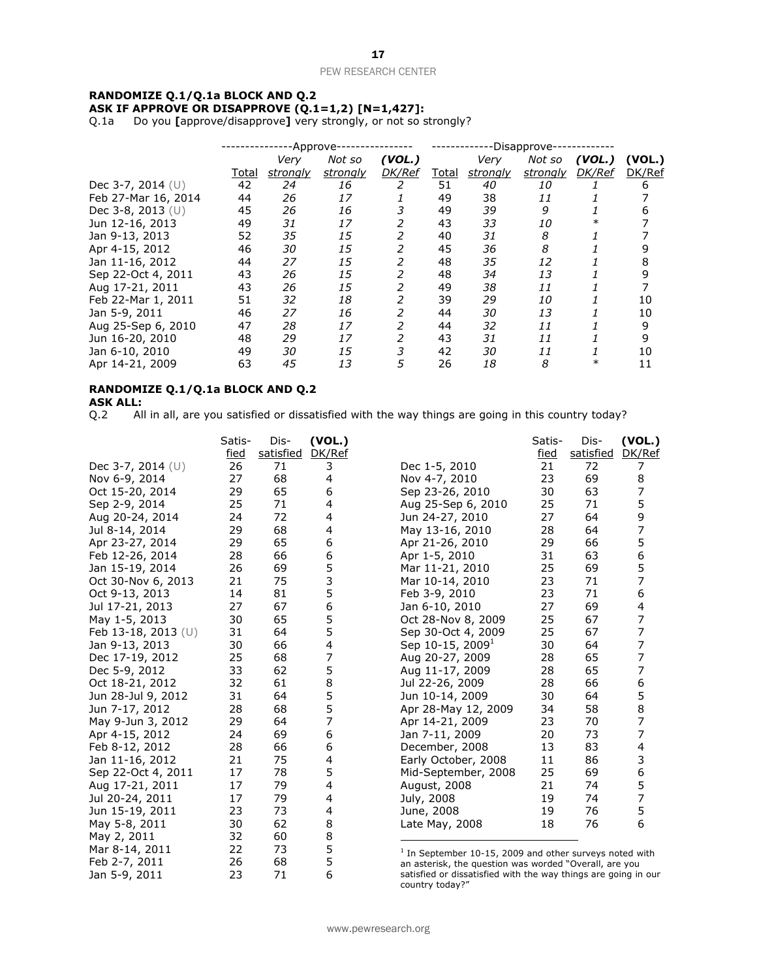#### **RANDOMIZE Q.1/Q.1a BLOCK AND Q.2 ASK IF APPROVE OR DISAPPROVE (Q.1=1,2) [N=1,427]:**

Q.1a Do you **[**approve/disapprove**]** very strongly, or not so strongly?

|                     | -Approve-    |          |                 | -Disapprove- |       |          |          |        |        |
|---------------------|--------------|----------|-----------------|--------------|-------|----------|----------|--------|--------|
|                     |              | Very     | Not so          | (VOL.)       |       | Very     | Not so   | (VOL.) | (VOL.) |
|                     | <u>Total</u> | strongly | <u>strongly</u> | DK/Ref       | Total | strongly | strongly | DK/Ref | DK/Ref |
| Dec 3-7, 2014 (U)   | 42           | 24       | 16              | 2            | 51    | 40       | 10       |        | 6      |
| Feb 27-Mar 16, 2014 | 44           | 26       | 17              |              | 49    | 38       | 11       |        |        |
| Dec 3-8, 2013 $(U)$ | 45           | 26       | 16              |              | 49    | 39       | 9        |        |        |
| Jun 12-16, 2013     | 49           | 31       | 17              |              | 43    | 33       | 10       |        |        |
| Jan 9-13, 2013      | 52           | 35       | 15              |              | 40    | 31       | 8        |        |        |
| Apr 4-15, 2012      | 46           | 30       | 15              | 2            | 45    | 36       | 8        |        |        |
| Jan 11-16, 2012     | 44           | 27       | 15              | 2            | 48    | 35       | 12       |        | 8      |
| Sep 22-Oct 4, 2011  | 43           | 26       | 15              | 2            | 48    | 34       | 13       |        | 9      |
| Aug 17-21, 2011     | 43           | 26       | 15              |              | 49    | 38       | 11       |        |        |
| Feb 22-Mar 1, 2011  | 51           | 32       | 18              |              | 39    | 29       | 10       |        | 10     |
| Jan 5-9, 2011       | 46           | 27       | 16              |              | 44    | 30       | 13       |        | 10     |
| Aug 25-Sep 6, 2010  | 47           | 28       | 17              | 2            | 44    | 32       | 11       |        | 9      |
| Jun 16-20, 2010     | 48           | 29       | 17              | 2            | 43    | 31       | 11       |        | 9      |
| Jan 6-10, 2010      | 49           | 30       | 15              | 3            | 42    | 30       | 11       |        | 10     |
| Apr 14-21, 2009     | 63           | 45       | 13              | 5            | 26    | 18       | 8        |        | 11     |

## **RANDOMIZE Q.1/Q.1a BLOCK AND Q.2**

**ASK ALL:**<br>Q.2 All All in all, are you satisfied or dissatisfied with the way things are going in this country today?

|                       | Satis- | Dis-      | (VOL.) |                                                                                                                     | Satis- | Dis-      | (VOL.) |
|-----------------------|--------|-----------|--------|---------------------------------------------------------------------------------------------------------------------|--------|-----------|--------|
|                       | fied   | satisfied | DK/Ref |                                                                                                                     | fied   | satisfied | DK/Ref |
| Dec 3-7, 2014 $(U)$   | 26     | 71        | 3      | Dec 1-5, 2010                                                                                                       | 21     | 72        | 7      |
| Nov 6-9, 2014         | 27     | 68        | 4      | Nov 4-7, 2010                                                                                                       | 23     | 69        | 8      |
| Oct 15-20, 2014       | 29     | 65        | 6      | Sep 23-26, 2010                                                                                                     | 30     | 63        | 7      |
| Sep 2-9, 2014         | 25     | 71        | 4      | Aug 25-Sep 6, 2010                                                                                                  | 25     | 71        | 5      |
| Aug 20-24, 2014       | 24     | 72        | 4      | Jun 24-27, 2010                                                                                                     | 27     | 64        | 9      |
| Jul 8-14, 2014        | 29     | 68        | 4      | May 13-16, 2010                                                                                                     | 28     | 64        | 7      |
| Apr 23-27, 2014       | 29     | 65        | 6      | Apr 21-26, 2010                                                                                                     | 29     | 66        | 5      |
| Feb 12-26, 2014       | 28     | 66        | 6      | Apr 1-5, 2010                                                                                                       | 31     | 63        | 6      |
| Jan 15-19, 2014       | 26     | 69        | 5      | Mar 11-21, 2010                                                                                                     | 25     | 69        | 5      |
| Oct 30-Nov 6, 2013    | 21     | 75        | 3      | Mar 10-14, 2010                                                                                                     | 23     | 71        | 7      |
| Oct 9-13, 2013        | 14     | 81        | 5      | Feb 3-9, 2010                                                                                                       | 23     | 71        | 6      |
| Jul 17-21, 2013       | 27     | 67        | 6      | Jan 6-10, 2010                                                                                                      | 27     | 69        | 4      |
| May 1-5, 2013         | 30     | 65        | 5      | Oct 28-Nov 8, 2009                                                                                                  | 25     | 67        | 7      |
| Feb 13-18, 2013 $(U)$ | 31     | 64        | 5      | Sep 30-Oct 4, 2009                                                                                                  | 25     | 67        | 7      |
| Jan 9-13, 2013        | 30     | 66        | 4      | Sep 10-15, 2009 <sup>1</sup>                                                                                        | 30     | 64        | 7      |
| Dec 17-19, 2012       | 25     | 68        | 7      | Aug 20-27, 2009                                                                                                     | 28     | 65        | 7      |
| Dec 5-9, 2012         | 33     | 62        | 5      | Aug 11-17, 2009                                                                                                     | 28     | 65        | 7      |
| Oct 18-21, 2012       | 32     | 61        | 8      | Jul 22-26, 2009                                                                                                     | 28     | 66        | 6      |
| Jun 28-Jul 9, 2012    | 31     | 64        | 5      | Jun 10-14, 2009                                                                                                     | 30     | 64        | 5      |
| Jun 7-17, 2012        | 28     | 68        | 5      | Apr 28-May 12, 2009                                                                                                 | 34     | 58        | 8      |
| May 9-Jun 3, 2012     | 29     | 64        | 7      | Apr 14-21, 2009                                                                                                     | 23     | 70        | 7      |
| Apr 4-15, 2012        | 24     | 69        | 6      | Jan 7-11, 2009                                                                                                      | 20     | 73        | 7      |
| Feb 8-12, 2012        | 28     | 66        | 6      | December, 2008                                                                                                      | 13     | 83        | 4      |
| Jan 11-16, 2012       | 21     | 75        | 4      | Early October, 2008                                                                                                 | 11     | 86        | 3      |
| Sep 22-Oct 4, 2011    | 17     | 78        | 5      | Mid-September, 2008                                                                                                 | 25     | 69        | 6      |
| Aug 17-21, 2011       | 17     | 79        | 4      | August, 2008                                                                                                        | 21     | 74        | 5      |
| Jul 20-24, 2011       | 17     | 79        | 4      | July, 2008                                                                                                          | 19     | 74        | 7      |
| Jun 15-19, 2011       | 23     | 73        | 4      | June, 2008                                                                                                          | 19     | 76        | 5      |
| May 5-8, 2011         | 30     | 62        | 8      | Late May, 2008                                                                                                      | 18     | 76        | 6      |
| May 2, 2011           | 32     | 60        | 8      |                                                                                                                     |        |           |        |
| Mar 8-14, 2011        | 22     | 73        | 5      |                                                                                                                     |        |           |        |
| Feb 2-7, 2011         | 26     | 68        | 5      | $1$ In September 10-15, 2009 and other surveys noted with<br>an asterisk, the question was worded "Overall, are you |        |           |        |
| Jan 5-9, 2011         | 23     | 71        | 6      | satisfied or dissatisfied with the way things are going in our<br>country today?"                                   |        |           |        |

www.pewresearch.org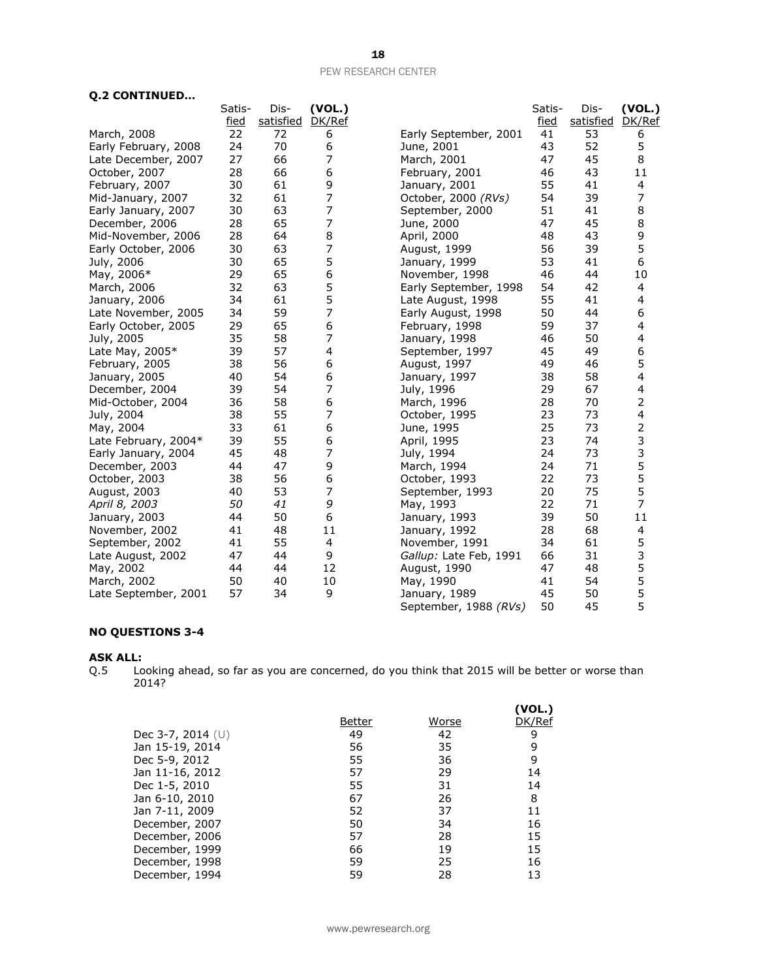| <b>Q.2 CONTINUED</b> |  |  |
|----------------------|--|--|
|----------------------|--|--|

| Q.2 CONTINUED        |             |           |                          |                        |             |           |                          |
|----------------------|-------------|-----------|--------------------------|------------------------|-------------|-----------|--------------------------|
|                      | Satis-      | Dis-      | (VOL.)                   |                        | Satis-      | Dis-      | (VOL.)                   |
|                      | <u>fied</u> | satisfied | DK/Ref                   |                        | <u>fied</u> | satisfied | DK/Ref                   |
| March, 2008          | 22          | 72        | 6                        | Early September, 2001  | 41          | 53        | 6                        |
| Early February, 2008 | 24          | 70        | 6                        | June, 2001             | 43          | 52        | 5                        |
| Late December, 2007  | 27          | 66        | 7                        | March, 2001            | 47          | 45        | 8                        |
| October, 2007        | 28          | 66        | 6                        | February, 2001         | 46          | 43        | 11                       |
| February, 2007       | 30          | 61        | 9                        | January, 2001          | 55          | 41        | 4                        |
| Mid-January, 2007    | 32          | 61        | 7                        | October, 2000 (RVs)    | 54          | 39        | 7                        |
| Early January, 2007  | 30          | 63        | $\overline{7}$           | September, 2000        | 51          | 41        | 8                        |
| December, 2006       | 28          | 65        | $\overline{\phantom{a}}$ | June, 2000             | 47          | 45        | 8                        |
| Mid-November, 2006   | 28          | 64        | 8                        | April, 2000            | 48          | 43        | 9                        |
| Early October, 2006  | 30          | 63        | $\overline{7}$           | August, 1999           | 56          | 39        | 5                        |
| July, 2006           | 30          | 65        | 5                        | January, 1999          | 53          | 41        | 6                        |
| May, 2006*           | 29          | 65        | 6                        | November, 1998         | 46          | 44        | 10                       |
| March, 2006          | 32          | 63        | 5                        | Early September, 1998  | 54          | 42        | 4                        |
| January, 2006        | 34          | 61        | 5                        | Late August, 1998      | 55          | 41        | 4                        |
| Late November, 2005  | 34          | 59        | 7                        | Early August, 1998     | 50          | 44        | 6                        |
| Early October, 2005  | 29          | 65        | 6                        | February, 1998         | 59          | 37        | 4                        |
| July, 2005           | 35          | 58        | $\overline{7}$           | January, 1998          | 46          | 50        | 4                        |
| Late May, 2005*      | 39          | 57        | 4                        | September, 1997        | 45          | 49        | 6                        |
| February, 2005       | 38          | 56        | 6                        | August, 1997           | 49          | 46        | 5                        |
| January, 2005        | 40          | 54        | 6                        | January, 1997          | 38          | 58        | 4                        |
| December, 2004       | 39          | 54        | 7                        | July, 1996             | 29          | 67        | 4                        |
| Mid-October, 2004    | 36          | 58        | 6                        | March, 1996            | 28          | 70        | 2                        |
| July, 2004           | 38          | 55        | 7                        | October, 1995          | 23          | 73        | 4                        |
| May, 2004            | 33          | 61        | 6                        | June, 1995             | 25          | 73        | 2                        |
| Late February, 2004* | 39          | 55        | 6                        | April, 1995            | 23          | 74        | 3                        |
| Early January, 2004  | 45          | 48        | 7                        | July, 1994             | 24          | 73        | 3                        |
| December, 2003       | 44          | 47        | 9                        | March, 1994            | 24          | 71        | 5                        |
| October, 2003        | 38          | 56        | 6                        | October, 1993          | 22          | 73        | 5                        |
| August, 2003         | 40          | 53        | 7                        | September, 1993        | 20          | 75        | 5                        |
| April 8, 2003        | 50          | 41        | 9                        | May, 1993              | 22          | 71        | 7                        |
| January, 2003        | 44          | 50        | 6                        | January, 1993          | 39          | 50        | 11                       |
| November, 2002       | 41          | 48        | 11                       | January, 1992          | 28          | 68        | $\overline{\mathcal{A}}$ |
| September, 2002      | 41          | 55        | 4                        | November, 1991         | 34          | 61        | 5                        |
| Late August, 2002    | 47          | 44        | 9                        | Gallup: Late Feb, 1991 | 66          | 31        | 3                        |
| May, 2002            | 44          | 44        | 12                       | August, 1990           | 47          | 48        | 5                        |
| March, 2002          | 50          | 40        | 10                       | May, 1990              | 41          | 54        | 5                        |
| Late September, 2001 | 57          | 34        | 9                        | January, 1989          | 45          | 50        | 5                        |
|                      |             |           |                          | September, 1988 (RVs)  | 50          | 45        | 5                        |

#### **NO QUESTIONS 3-4**

**ASK ALL:**<br>Q.5 Lo Looking ahead, so far as you are concerned, do you think that 2015 will be better or worse than 2014?

|                     | Better | Worse | (VOL.)<br>DK/Ref |
|---------------------|--------|-------|------------------|
| Dec 3-7, 2014 $(U)$ | 49     | 42    | 9                |
| Jan 15-19, 2014     | 56     | 35    | 9                |
| Dec 5-9, 2012       | 55     | 36    | 9                |
| Jan 11-16, 2012     | 57     | 29    | 14               |
| Dec 1-5, 2010       | 55     | 31    | 14               |
| Jan 6-10, 2010      | 67     | 26    | 8                |
| Jan 7-11, 2009      | 52     | 37    | 11               |
| December, 2007      | 50     | 34    | 16               |
| December, 2006      | 57     | 28    | 15               |
| December, 1999      | 66     | 19    | 15               |
| December, 1998      | 59     | 25    | 16               |
| December, 1994      | 59     | 28    | 13               |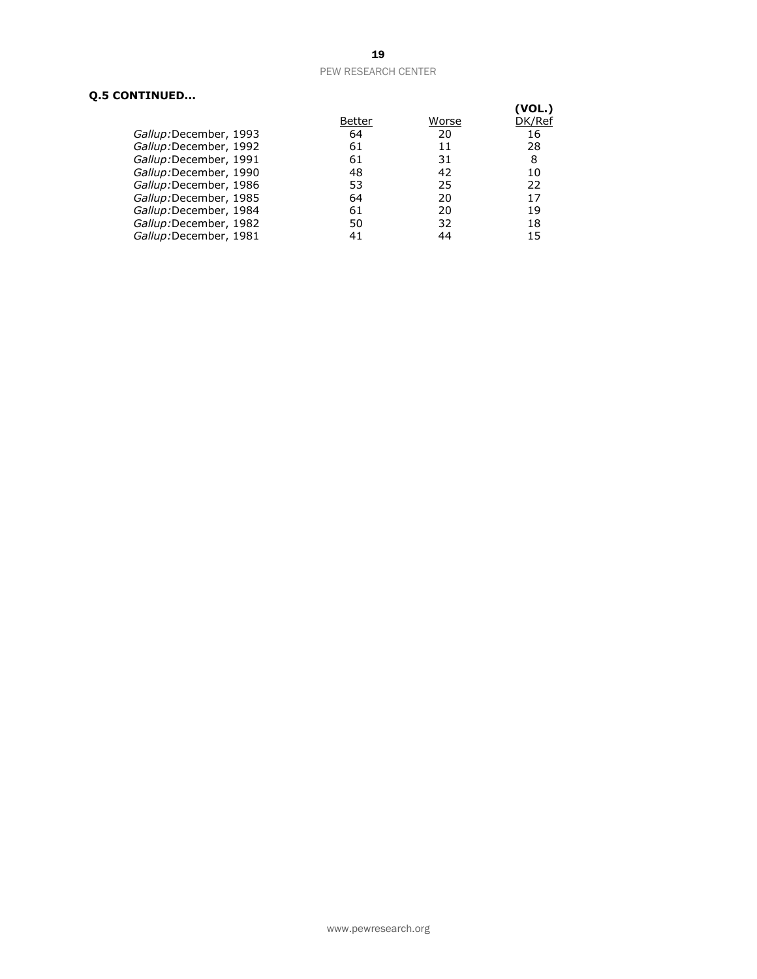## **Q.5 CONTINUED...**

|                       |        |       | (VOL.) |
|-----------------------|--------|-------|--------|
|                       | Better | Worse | DK/Ref |
| Gallup:December, 1993 | 64     | 20    | 16     |
| Gallup:December, 1992 | 61     | 11    | 28     |
| Gallup:December, 1991 | 61     | 31    | 8      |
| Gallup:December, 1990 | 48     | 42    | 10     |
| Gallup:December, 1986 | 53     | 25    | 22     |
| Gallup:December, 1985 | 64     | 20    | 17     |
| Gallup:December, 1984 | 61     | 20    | 19     |
| Gallup:December, 1982 | 50     | 32    | 18     |
| Gallup:December, 1981 | 41     | 44    | 15     |
|                       |        |       |        |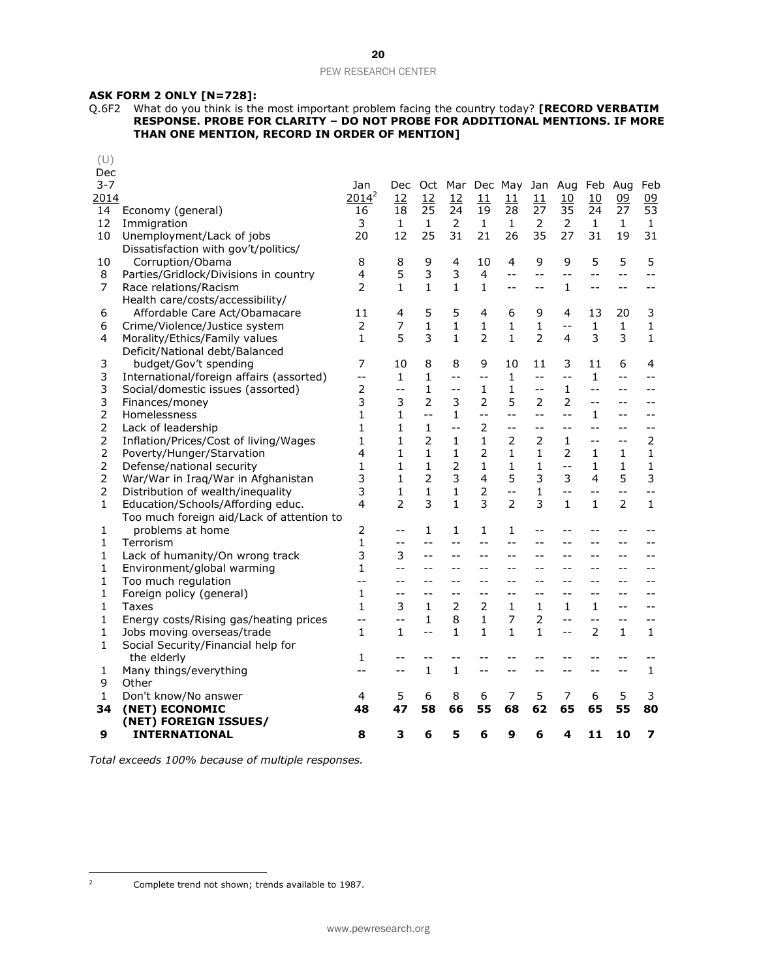#### **ASK FORM 2 ONLY [N=728]:**

Q.6F2 What do you think is the most important problem facing the country today? **[RECORD VERBATIM RESPONSE. PROBE FOR CLARITY – DO NOT PROBE FOR ADDITIONAL MENTIONS. IF MORE THAN ONE MENTION, RECORD IN ORDER OF MENTION]**

| (U)<br>Dec     |                                           |                |                          |                |                |                          |                 |                |                |                |               |                |
|----------------|-------------------------------------------|----------------|--------------------------|----------------|----------------|--------------------------|-----------------|----------------|----------------|----------------|---------------|----------------|
| $3 - 7$        |                                           | Jan            | Dec.                     |                |                |                          | Oct Mar Dec May |                | Jan Aug        | Feb            | Aug           | Feb            |
| 2014           |                                           | $2014^2$       | 12                       | 12             | 12             | 11                       | 11              | 11             | 10             | 10             | 09            | 09             |
| 14             | Economy (general)                         | 16             | 18                       | 25             | 24             | 19                       | 28              | 27             | 35             | 24             | 27            | 53             |
| 12             | Immigration                               | 3              | $\mathbf{1}$             | $\mathbf{1}$   | $\overline{2}$ | $\mathbf{1}$             | $\mathbf{1}$    | 2              | 2              | $\mathbf{1}$   | $\mathbf{1}$  | $\mathbf{1}$   |
| 10             | Unemployment/Lack of jobs                 | 20             | 12                       | 25             | 31             | 21                       | 26              | 35             | 27             | 31             | 19            | 31             |
|                | Dissatisfaction with gov't/politics/      |                |                          |                |                |                          |                 |                |                |                |               |                |
| 10             | Corruption/Obama                          | 8              | 8                        | 9              | 4              | 10                       | 4               | 9              | 9              | 5              | 5             | 5              |
| 8              | Parties/Gridlock/Divisions in country     | 4              | 5                        | 3              | 3              | 4                        | $-$             | --             | $-$            | $-$            | $-$           | $-$            |
| 7              | Race relations/Racism                     | 2              | $\mathbf{1}$             | 1              | 1              | 1                        | $- -$           | $-$            | 1              | $- -$          | $-$           | $-$            |
|                | Health care/costs/accessibility/          |                |                          |                |                |                          |                 |                |                |                |               |                |
| 6              | Affordable Care Act/Obamacare             | 11             | 4                        | 5              | 5              | 4                        | 6               | 9              | 4              | 13             | 20            | 3              |
| 6              | Crime/Violence/Justice system             | $\overline{2}$ | 7                        | $\mathbf{1}$   | $\mathbf{1}$   | $\mathbf{1}$             | 1               | $\mathbf{1}$   | $-$            | $\mathbf{1}$   | $\mathbf 1$   | $\mathbf 1$    |
| 4              | Morality/Ethics/Family values             | $\mathbf{1}$   | 5                        | 3              | $\mathbf{1}$   | $\overline{2}$           | 1               | $\overline{2}$ | 4              | 3              | 3             | $\mathbf{1}$   |
|                | Deficit/National debt/Balanced            |                |                          |                |                |                          |                 |                |                |                |               |                |
| 3              | budget/Gov't spending                     | 7              | 10                       | 8              | 8              | 9                        | 10              | 11             | 3              | 11             | 6             | 4              |
| 3              | International/foreign affairs (assorted)  | $-$            | 1                        | 1              | --             | $-$                      | $\mathbf{1}$    | $-$            | $- -$          | 1              | $-$           | --             |
| 3              | Social/domestic issues (assorted)         | $\overline{2}$ | $-$                      | $\mathbf{1}$   | $-$            | 1                        | $\mathbf{1}$    | $-$            | 1              | $-$            | $-$           | $-$            |
| 3              | Finances/money                            | 3              | 3                        | $\overline{2}$ | 3              | $\overline{2}$           | 5               | $\overline{2}$ | $\overline{2}$ | $-$            | --            |                |
| 2              | Homelessness                              | $\mathbf{1}$   | 1                        | $-$            | $\mathbf{1}$   | $\overline{\phantom{a}}$ | $-$             | $-1$           | $-$            | 1              | $-$           | $-$            |
| 2              | Lack of leadership                        | 1              | 1                        | 1              | $-$            | 2                        | $- -$           | $-$            | $-$            | $-$            | $-$           | $-$            |
| 2              | Inflation/Prices/Cost of living/Wages     | $\mathbf{1}$   | $\mathbf{1}$             | $\overline{2}$ | $\mathbf{1}$   | $\mathbf{1}$             | $\overline{2}$  | $\overline{2}$ | $\mathbf{1}$   | $-$            | $-$           | $\overline{2}$ |
| 2              | Poverty/Hunger/Starvation                 | 4              | 1                        | $\mathbf{1}$   | $\mathbf{1}$   | 2                        | 1               | 1              | 2              | 1              | 1             | 1              |
| 2              | Defense/national security                 | 1              | 1                        | 1              | $\overline{2}$ | 1                        | $\mathbf{1}$    | $\mathbf{1}$   | $-$            | $\mathbf{1}$   | 1             | 1              |
| $\overline{2}$ | War/War in Iraq/War in Afghanistan        | 3              | $\mathbf{1}$             | $\overline{2}$ | 3              | 4                        | 5               | 3              | 3              | 4              | 5             | 3              |
| 2              | Distribution of wealth/inequality         | 3              | 1                        | 1              | 1              | 2                        | $- -$           | 1              | $-$            | $-1$           | $-$           | $-$            |
| $\mathbf{1}$   | Education/Schools/Affording educ.         | 4              | $\overline{\phantom{a}}$ | 3              | 1              | 3                        | $\mathcal{P}$   | 3              | 1              | $\mathbf{1}$   | $\mathcal{P}$ | $\mathbf{1}$   |
|                | Too much foreign aid/Lack of attention to |                |                          |                |                |                          |                 |                |                |                |               |                |
| 1              | problems at home                          | 2              | $-1$                     | 1              | 1              | 1                        | 1               | $-$            | $-1$           | $-$            | $-$           | $-1$           |
| $\mathbf{1}$   | Terrorism                                 | $\mathbf{1}$   | $- -$                    | $-$            | $-$            | $-$                      | $-$             | $-$            | $-1$           | $-1$           | $-$           | $-$            |
| 1              | Lack of humanity/On wrong track           | 3              | 3                        | $-$            | $-1$           | $-$                      | $-$             |                | $-1$           | $-$            | $-1$          |                |
| 1              | Environment/global warming                | 1              | $-1$                     |                | --             | $-$                      |                 |                |                |                |               |                |
| 1              | Too much regulation                       | $-$            | $-$                      | $-$            | --             | $-$                      | $- -$           | --             | $-$            | $-$            | $-$           |                |
| 1              | Foreign policy (general)                  | 1              | $-1$                     | $-$            | --             | $-$                      | $-$             |                | $-1$           | $-$            | $-1$          |                |
| 1              | Taxes                                     | $\mathbf{1}$   | 3                        | 1              | $\overline{2}$ | 2                        | 1               | 1              | 1              | 1              | $-$           | $-$            |
| $\mathbf{1}$   | Energy costs/Rising gas/heating prices    | --             | $-$                      | $\mathbf{1}$   | 8              | $\mathbf{1}$             | 7               | $\overline{2}$ | $-$            | $-$            | $-$           | --             |
| 1              | Jobs moving overseas/trade                | $\mathbf{1}$   | 1                        | $-$            | $\mathbf{1}$   | $\mathbf{1}$             | $\mathbf{1}$    | $\mathbf{1}$   | $-$            | $\overline{2}$ | $\mathbf{1}$  | 1              |
| 1              | Social Security/Financial help for        |                |                          |                |                |                          |                 |                |                |                |               |                |
|                | the elderly                               | 1              | $-1$                     | $-1$           |                |                          |                 |                |                | --             | $-$           |                |
| 1              | Many things/everything                    | --             | $-1$                     | $\mathbf{1}$   | 1              | $-$                      |                 |                |                | $-$            | --            | 1              |
| 9              | Other                                     |                |                          |                |                |                          |                 |                |                |                |               |                |
| 1              | Don't know/No answer                      | 4              | 5                        | 6              | 8              | 6                        | 7               | 5              | 7              | 6              | 5             | 3              |
| 34             | (NET) ECONOMIC                            | 48             | 47                       | 58             | 66             | 55                       | 68              | 62             | 65             | 65             | 55            | 80             |
|                | (NET) FOREIGN ISSUES/                     |                |                          |                |                |                          |                 |                |                |                |               |                |
| 9              | <b>INTERNATIONAL</b>                      | 8              | 3                        | 6              | 5              | 6                        | 9               | 6              | 4              | 11             | 10            | 7              |

*Total exceeds 100% because of multiple responses.*

 $\overline{2}$ 

Complete trend not shown; trends available to 1987.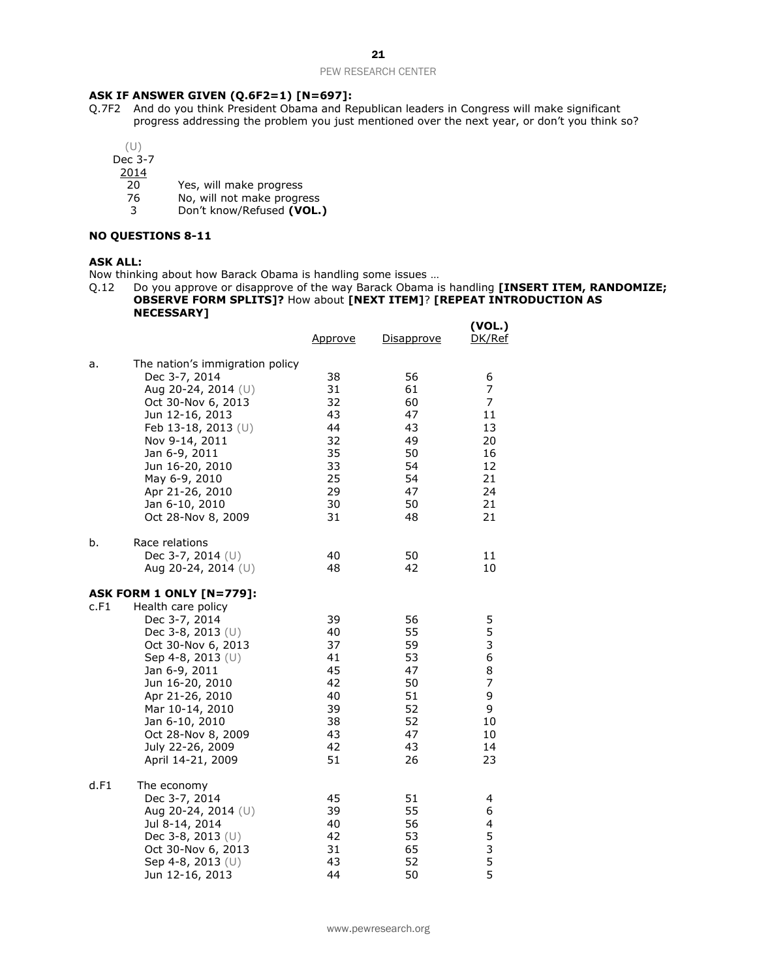#### **ASK IF ANSWER GIVEN (Q.6F2=1) [N=697]:**

- Q.7F2 And do you think President Obama and Republican leaders in Congress will make significant progress addressing the problem you just mentioned over the next year, or don't you think so?
	- (U)

Dec 3-7

 $\frac{2014}{20}$ 

- 20 Yes, will make progress<br>76 No, will not make progres
- No, will not make progress
- 3 Don't know/Refused **(VOL.)**

#### **NO QUESTIONS 8-11**

#### **ASK ALL:**

Now thinking about how Barack Obama is handling some issues …

Q.12 Do you approve or disapprove of the way Barack Obama is handling **[INSERT ITEM, RANDOMIZE; OBSERVE FORM SPLITS]?** How about **[NEXT ITEM]**? **[REPEAT INTRODUCTION AS NECESSARY]**

|      |                                                                                                                                                                                                                                                                                                     | <u>Approve</u>                                                       | <u>Disapprove</u>                                                    | (VOL.)<br>DK/Ref                                                  |
|------|-----------------------------------------------------------------------------------------------------------------------------------------------------------------------------------------------------------------------------------------------------------------------------------------------------|----------------------------------------------------------------------|----------------------------------------------------------------------|-------------------------------------------------------------------|
| a.   | The nation's immigration policy<br>Dec 3-7, 2014<br>Aug 20-24, 2014 (U)<br>Oct 30-Nov 6, 2013<br>Jun 12-16, 2013<br>Feb 13-18, 2013 (U)<br>Nov 9-14, 2011<br>Jan 6-9, 2011<br>Jun 16-20, 2010<br>May 6-9, 2010<br>Apr 21-26, 2010<br>Jan 6-10, 2010<br>Oct 28-Nov 8, 2009                           | 38<br>31<br>32<br>43<br>44<br>32<br>35<br>33<br>25<br>29<br>30<br>31 | 56<br>61<br>60<br>47<br>43<br>49<br>50<br>54<br>54<br>47<br>50<br>48 | 6<br>7<br>7<br>11<br>13<br>20<br>16<br>12<br>21<br>24<br>21<br>21 |
| b.   | Race relations<br>Dec 3-7, 2014 (U)<br>Aug 20-24, 2014 (U)                                                                                                                                                                                                                                          | 40<br>48                                                             | 50<br>42                                                             | 11<br>10                                                          |
| c.F1 | <b>ASK FORM 1 ONLY [N=779]:</b><br>Health care policy<br>Dec 3-7, 2014<br>Dec 3-8, 2013 $(U)$<br>Oct 30-Nov 6, 2013<br>Sep 4-8, 2013 (U)<br>Jan 6-9, 2011<br>Jun 16-20, 2010<br>Apr 21-26, 2010<br>Mar 10-14, 2010<br>Jan 6-10, 2010<br>Oct 28-Nov 8, 2009<br>July 22-26, 2009<br>April 14-21, 2009 | 39<br>40<br>37<br>41<br>45<br>42<br>40<br>39<br>38<br>43<br>42<br>51 | 56<br>55<br>59<br>53<br>47<br>50<br>51<br>52<br>52<br>47<br>43<br>26 | 5<br>5<br>3<br>6<br>8<br>7<br>9<br>9<br>10<br>10<br>14<br>23      |
| d.F1 | The economy<br>Dec 3-7, 2014<br>Aug 20-24, 2014 (U)<br>Jul 8-14, 2014<br>Dec 3-8, 2013 (U)<br>Oct 30-Nov 6, 2013<br>Sep 4-8, 2013 $(U)$<br>Jun 12-16, 2013                                                                                                                                          | 45<br>39<br>40<br>42<br>31<br>43<br>44                               | 51<br>55<br>56<br>53<br>65<br>52<br>50                               | 4<br>6<br>4<br>5<br>3<br>5<br>5                                   |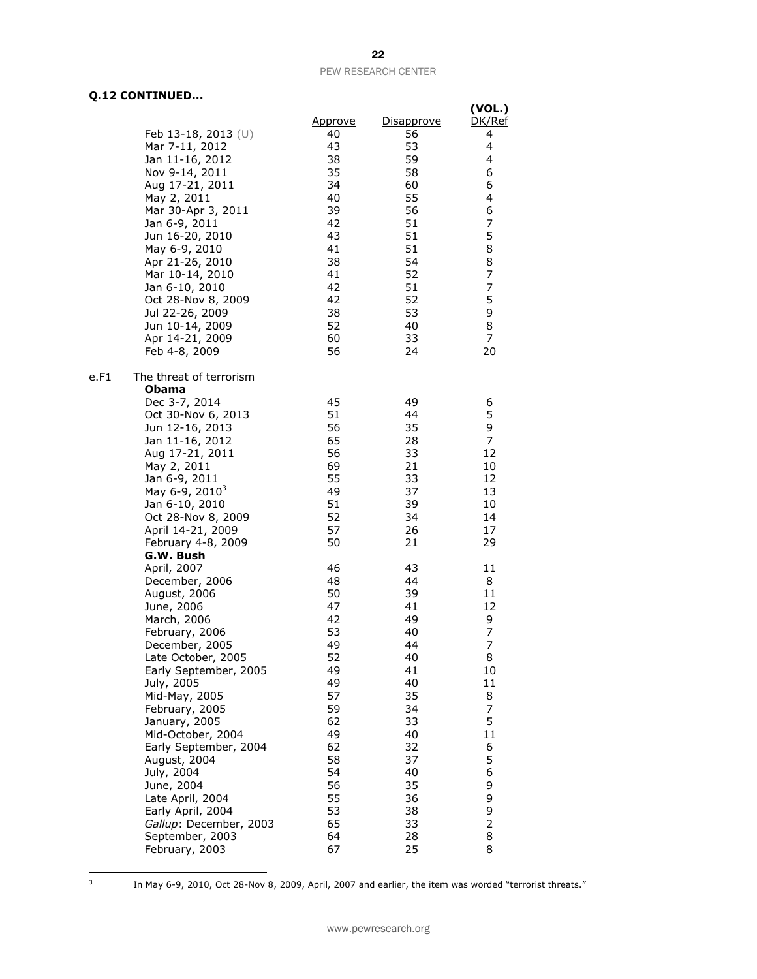## **Q.12 CONTINUED...**

|                                 |                |            | (VOL.)  |
|---------------------------------|----------------|------------|---------|
|                                 | <u>Approve</u> | Disapprove | DK/Ref  |
| Feb 13-18, 2013 $(U)$           | 40             | 56         | 4       |
| Mar 7-11, 2012                  | 43             | 53         | 4       |
| Jan 11-16, 2012                 | 38             | 59         | 4       |
| Nov 9-14, 2011                  | 35             | 58         | 6       |
| Aug 17-21, 2011                 | 34             | 60         | 6       |
| May 2, 2011                     | 40             | 55         | 4       |
| Mar 30-Apr 3, 2011              | 39             | 56         | 6       |
| Jan 6-9, 2011                   | 42             | 51         | 7       |
| Jun 16-20, 2010                 | 43             | 51         | 5       |
| May 6-9, 2010                   | 41             | 51         | 8       |
| Apr 21-26, 2010                 | 38             | 54         | 8       |
| Mar 10-14, 2010                 | 41             | 52         | 7       |
| Jan 6-10, 2010                  | 42             | 51         | 7       |
| Oct 28-Nov 8, 2009              | 42             | 52         | 5       |
| Jul 22-26, 2009                 | 38             | 53         | 9       |
| Jun 10-14, 2009                 | 52             | 40         | 8       |
| Apr 14-21, 2009                 | 60             | 33         | 7       |
| Feb 4-8, 2009                   | 56             | 24         | 20      |
| The threat of terrorism<br>e.F1 |                |            |         |
| <b>Obama</b>                    |                |            |         |
| Dec 3-7, 2014                   | 45             | 49         | 6       |
| Oct 30-Nov 6, 2013              | 51             | 44         | 5       |
| Jun 12-16, 2013                 | 56             | 35         | 9       |
| Jan 11-16, 2012                 | 65             | 28         | 7       |
| Aug 17-21, 2011                 | 56             | 33         | 12      |
| May 2, 2011                     | 69             | 21         | 10      |
| Jan 6-9, 2011                   | 55             | 33         | 12      |
| May 6-9, 2010 <sup>3</sup>      | 49             | 37         | 13      |
| Jan 6-10, 2010                  | 51             | 39         | 10      |
| Oct 28-Nov 8, 2009              | 52             | 34         | 14      |
| April 14-21, 2009               | 57             | 26         | 17      |
| February 4-8, 2009              | 50             | 21         | 29      |
| G.W. Bush                       |                |            |         |
| April, 2007                     | 46             | 43<br>44   | 11<br>8 |
| December, 2006                  | 48<br>50       | 39         | 11      |
| August, 2006                    | 47             | 41         | 12      |
| June, 2006<br>March, 2006       | 42             | 49         | 9       |
| February, 2006                  | 53             | 40         | 7       |
| December, 2005                  | 49             | 44         | 7       |
| Late October, 2005              | 52             | 40         | 8       |
| Early September, 2005           | 49             | 41         | 10      |
| July, 2005                      | 49             | 40         | 11      |
| Mid-May, 2005                   | 57             | 35         | 8       |
| February, 2005                  | 59             | 34         | 7       |
| January, 2005                   | 62             | 33         | 5       |
| Mid-October, 2004               | 49             | 40         | 11      |
| Early September, 2004           | 62             | 32         | 6       |
| August, 2004                    | 58             | 37         | 5       |
| July, 2004                      | 54             | 40         | 6       |
| June, 2004                      | 56             | 35         | 9       |
| Late April, 2004                | 55             | 36         | 9       |
| Early April, 2004               | 53             | 38         | 9       |
| Gallup: December, 2003          | 65             | 33         | 2       |
| September, 2003                 | 64             | 28         | 8       |
| February, 2003                  | 67             | 25         | 8       |

-<br>3

In May 6-9, 2010, Oct 28-Nov 8, 2009, April, 2007 and earlier, the item was worded "terrorist threats."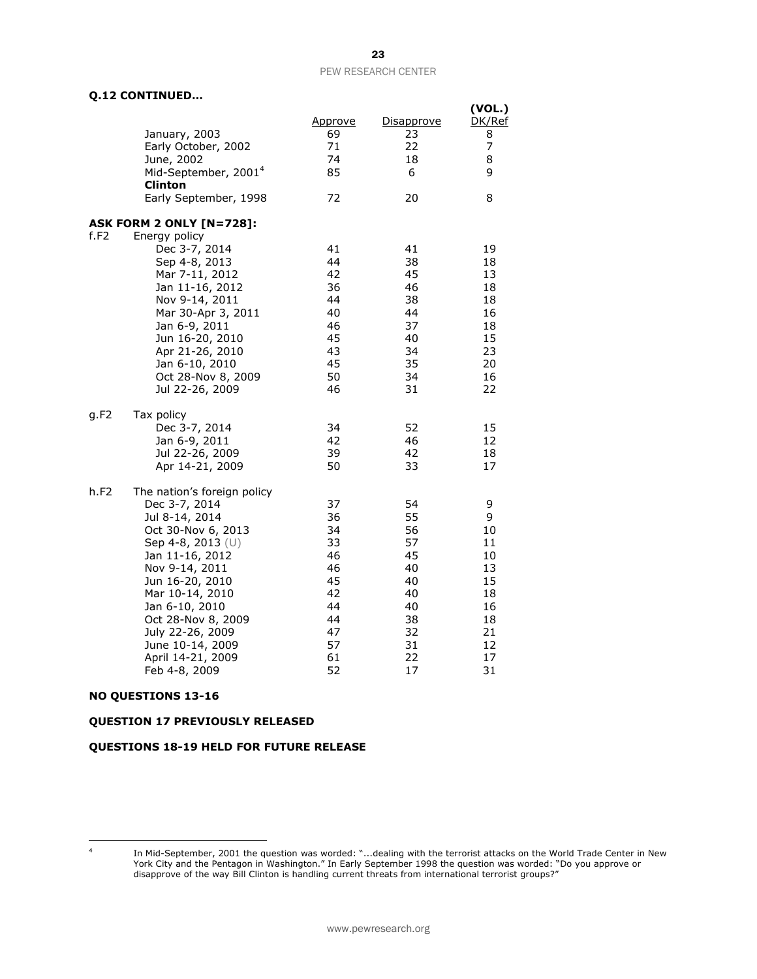**(VOL.)**

## **Q.12 CONTINUED…**

|      | January, 2003<br>Early October, 2002<br>June, 2002<br>Mid-September, 2001 <sup>4</sup><br><b>Clinton</b><br>Early September, 1998                                                                                                                                                                          | <u>Approve</u><br>69<br>71<br>74<br>85<br>72                                     | Disapprove<br>23<br>22<br>18<br>6<br>20                                          | ( VUL. <i>)</i><br>DK/Ref<br>8<br>$\overline{7}$<br>8<br>9<br>8                |
|------|------------------------------------------------------------------------------------------------------------------------------------------------------------------------------------------------------------------------------------------------------------------------------------------------------------|----------------------------------------------------------------------------------|----------------------------------------------------------------------------------|--------------------------------------------------------------------------------|
|      | <b>ASK FORM 2 ONLY [N=728]:</b>                                                                                                                                                                                                                                                                            |                                                                                  |                                                                                  |                                                                                |
| f.F2 | Energy policy<br>Dec 3-7, 2014<br>Sep 4-8, 2013<br>Mar 7-11, 2012<br>Jan 11-16, 2012<br>Nov 9-14, 2011<br>Mar 30-Apr 3, 2011<br>Jan 6-9, 2011<br>Jun 16-20, 2010<br>Apr 21-26, 2010<br>Jan 6-10, 2010<br>Oct 28-Nov 8, 2009<br>Jul 22-26, 2009                                                             | 41<br>44<br>42<br>36<br>44<br>40<br>46<br>45<br>43<br>45<br>50<br>46             | 41<br>38<br>45<br>46<br>38<br>44<br>37<br>40<br>34<br>35<br>34<br>31             | 19<br>18<br>13<br>18<br>18<br>16<br>18<br>15<br>23<br>20<br>16<br>22           |
| g.F2 | Tax policy<br>Dec 3-7, 2014<br>Jan 6-9, 2011<br>Jul 22-26, 2009<br>Apr 14-21, 2009                                                                                                                                                                                                                         | 34<br>42<br>39<br>50                                                             | 52<br>46<br>42<br>33                                                             | 15<br>12<br>18<br>17                                                           |
| h.F2 | The nation's foreign policy<br>Dec 3-7, 2014<br>Jul 8-14, 2014<br>Oct 30-Nov 6, 2013<br>Sep 4-8, 2013 (U)<br>Jan 11-16, 2012<br>Nov 9-14, 2011<br>Jun 16-20, 2010<br>Mar 10-14, 2010<br>Jan 6-10, 2010<br>Oct 28-Nov 8, 2009<br>July 22-26, 2009<br>June 10-14, 2009<br>April 14-21, 2009<br>Feb 4-8, 2009 | 37<br>36<br>34<br>33<br>46<br>46<br>45<br>42<br>44<br>44<br>47<br>57<br>61<br>52 | 54<br>55<br>56<br>57<br>45<br>40<br>40<br>40<br>40<br>38<br>32<br>31<br>22<br>17 | 9<br>9<br>10<br>11<br>10<br>13<br>15<br>18<br>16<br>18<br>21<br>12<br>17<br>31 |

#### **NO QUESTIONS 13-16**

#### **QUESTION 17 PREVIOUSLY RELEASED**

#### **QUESTIONS 18-19 HELD FOR FUTURE RELEASE**

l 4

In Mid-September, 2001 the question was worded: "...dealing with the terrorist attacks on the World Trade Center in New York City and the Pentagon in Washington." In Early September 1998 the question was worded: "Do you approve or disapprove of the way Bill Clinton is handling current threats from international terrorist groups?"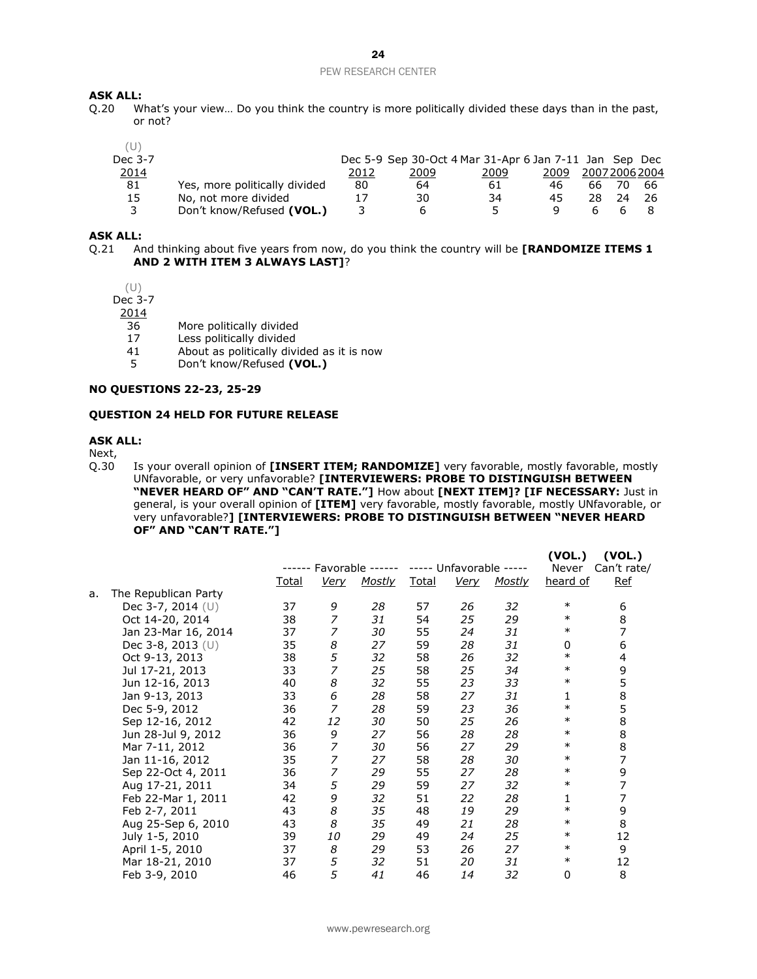### 24

#### PEW RESEARCH CENTER

# **ASK ALL:**<br>0.20 W

What's your view... Do you think the country is more politically divided these days than in the past, or not?

| Dec 3-7 |                               |      |      | Dec 5-9 Sep 30-Oct 4 Mar 31-Apr 6 Jan 7-11 Jan Sep Dec |      |    |              |     |
|---------|-------------------------------|------|------|--------------------------------------------------------|------|----|--------------|-----|
| 2014    |                               | 2012 | 2009 | 2009                                                   | 2009 |    | 200720062004 |     |
| 81      | Yes, more politically divided | 80   | 64   | 61                                                     | 46   | 66 |              | -66 |
| 15      | No, not more divided          | 17   | 30   | 34                                                     | 45   | 28 |              |     |
| 3       | Don't know/Refused (VOL.)     |      | h    | 5.                                                     |      |    |              |     |

#### **ASK ALL:**

Q.21 And thinking about five years from now, do you think the country will be **[RANDOMIZE ITEMS 1 AND 2 WITH ITEM 3 ALWAYS LAST]**?

(U) Dec 3-7

2014

- 36 More politically divided
- 17 Less politically divided
- 41 About as politically divided as it is now<br>5 Don't know/Refused (VOL.)
- 5 Don't know/Refused **(VOL.)**

#### **NO QUESTIONS 22-23, 25-29**

#### **QUESTION 24 HELD FOR FUTURE RELEASE**

#### **ASK ALL:**

Next,

Q.30 Is your overall opinion of **[INSERT ITEM; RANDOMIZE]** very favorable, mostly favorable, mostly UNfavorable, or very unfavorable? **[INTERVIEWERS: PROBE TO DISTINGUISH BETWEEN "NEVER HEARD OF" AND "CAN'T RATE."]** How about **[NEXT ITEM]? [IF NECESSARY:** Just in general, is your overall opinion of **[ITEM]** very favorable, mostly favorable, mostly UNfavorable, or very unfavorable?**] [INTERVIEWERS: PROBE TO DISTINGUISH BETWEEN "NEVER HEARD OF" AND "CAN'T RATE."]**

**(VOL.) (VOL.)**

|    |                      |       |                  |               |       |                   |        | (VVL.)   | (VVL.)      |
|----|----------------------|-------|------------------|---------------|-------|-------------------|--------|----------|-------------|
|    |                      |       | Favorable        |               |       | Unfavorable ----- |        | Never    | Can't rate/ |
|    |                      | Total | <u>Very</u>      | <b>Mostly</b> | Total | <u>Very</u>       | Mostly | heard of | <b>Ref</b>  |
| a. | The Republican Party |       |                  |               |       |                   |        |          |             |
|    | Dec 3-7, 2014 (U)    | 37    | 9                | 28            | 57    | 26                | 32     | $\ast$   | 6           |
|    | Oct 14-20, 2014      | 38    | 7                | 31            | 54    | 25                | 29     | $\ast$   | 8           |
|    | Jan 23-Mar 16, 2014  | 37    | 7                | 30            | 55    | 24                | 31     | $\ast$   | 7           |
|    | Dec 3-8, 2013 (U)    | 35    | 8                | 27            | 59    | 28                | 31     | 0        | 6           |
|    | Oct 9-13, 2013       | 38    | 5                | 32            | 58    | 26                | 32     | $\ast$   | 4           |
|    | Jul 17-21, 2013      | 33    | 7                | 25            | 58    | 25                | 34     | $\ast$   | 9           |
|    | Jun 12-16, 2013      | 40    | 8                | 32            | 55    | 23                | 33     | $\ast$   | 5           |
|    | Jan 9-13, 2013       | 33    | 6                | 28            | 58    | 27                | 31     | 1        | 8           |
|    | Dec 5-9, 2012        | 36    | 7                | 28            | 59    | 23                | 36     | $\ast$   | 5           |
|    | Sep 12-16, 2012      | 42    | 12               | 30            | 50    | 25                | 26     | $\ast$   | 8           |
|    | Jun 28-Jul 9, 2012   | 36    | 9                | 27            | 56    | 28                | 28     | $\ast$   | 8           |
|    | Mar 7-11, 2012       | 36    | 7                | 30            | 56    | 27                | 29     | $\ast$   | 8           |
|    | Jan 11-16, 2012      | 35    | 7                | 27            | 58    | 28                | 30     | $\ast$   | 7           |
|    | Sep 22-Oct 4, 2011   | 36    | 7                | 29            | 55    | 27                | 28     | $\ast$   | 9           |
|    | Aug 17-21, 2011      | 34    | 5                | 29            | 59    | 27                | 32     | $\ast$   | 7           |
|    | Feb 22-Mar 1, 2011   | 42    | 9                | 32            | 51    | 22                | 28     | 1        | 7           |
|    | Feb 2-7, 2011        | 43    | $\boldsymbol{8}$ | 35            | 48    | 19                | 29     | $\ast$   | 9           |
|    | Aug 25-Sep 6, 2010   | 43    | 8                | 35            | 49    | 21                | 28     | $\ast$   | 8           |
|    | July 1-5, 2010       | 39    | 10               | 29            | 49    | 24                | 25     | $\ast$   | 12          |
|    | April 1-5, 2010      | 37    | 8                | 29            | 53    | 26                | 27     | $\ast$   | 9           |
|    | Mar 18-21, 2010      | 37    | 5                | 32            | 51    | 20                | 31     | $\ast$   | 12          |
|    | Feb 3-9, 2010        | 46    | 5                | 41            | 46    | 14                | 32     | 0        | 8           |
|    |                      |       |                  |               |       |                   |        |          |             |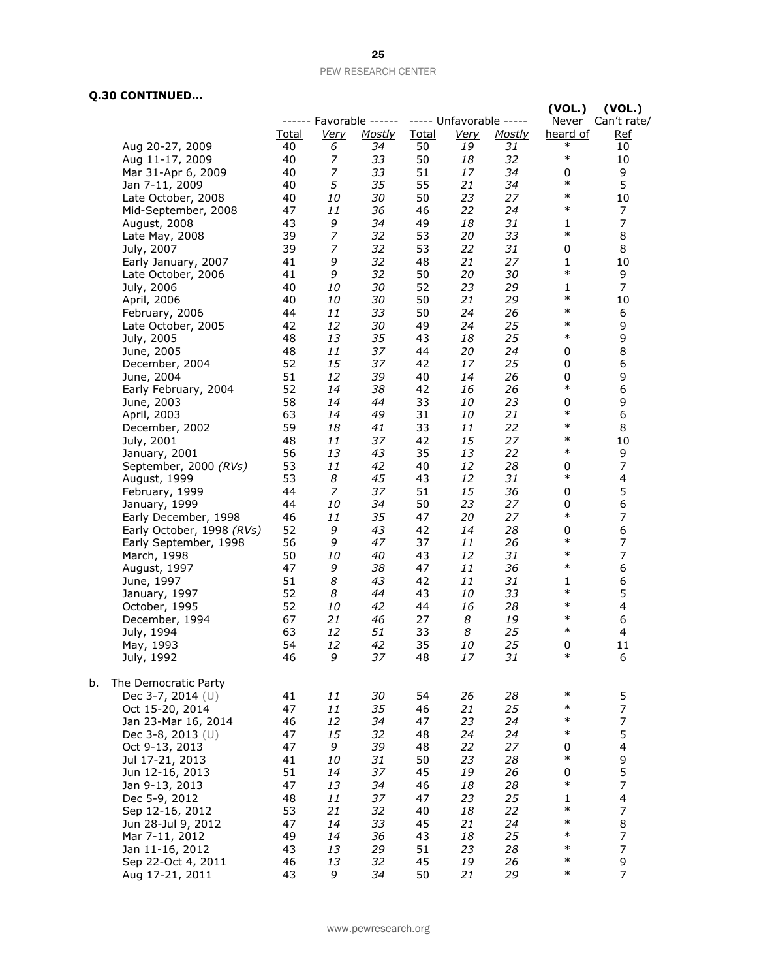## **Q.30 CONTINUED…**

|    |                           |              |                  |                         |              |                         |               | (VOL.)       | (VOL.)                   |
|----|---------------------------|--------------|------------------|-------------------------|--------------|-------------------------|---------------|--------------|--------------------------|
|    |                           |              |                  | ------ Favorable ------ |              | ----- Unfavorable ----- |               |              | Never Can't rate/        |
|    |                           | <b>Total</b> | <b>Very</b>      | <u>Mostly</u>           | <b>Total</b> | <u>Very</u>             | <b>Mostly</b> | heard of     | <u>Ref</u>               |
|    | Aug 20-27, 2009           | 40           | 6                | 34                      | 50           | 19                      | 31            | $\ast$       | 10                       |
|    | Aug 11-17, 2009           | 40           | 7                | 33                      | 50           | 18                      | 32            | $\ast$       | 10                       |
|    | Mar 31-Apr 6, 2009        | 40           | 7                | 33                      | 51           | 17                      | 34            | 0            | 9                        |
|    | Jan 7-11, 2009            | 40           | 5                | 35                      | 55           | 21                      | 34            | $\ast$       | 5                        |
|    | Late October, 2008        | 40           | 10               | 30                      | 50           | 23                      | 27            | $\ast$       | 10                       |
|    | Mid-September, 2008       | 47           | 11               | 36                      | 46           | 22                      | 24            | $\ast$       | 7                        |
|    | August, 2008              | 43           | 9                | 34                      | 49           | 18                      | 31            | 1            | $\overline{7}$           |
|    | Late May, 2008            | 39           | $\boldsymbol{7}$ | 32                      | 53           | 20                      | 33            | $\ast$       | 8                        |
|    | July, 2007                | 39           | $\overline{z}$   | 32                      | 53           | 22                      | 31            | 0            | 8                        |
|    | Early January, 2007       | 41           | 9                | 32                      | 48           | 21                      | 27            | 1            | 10                       |
|    | Late October, 2006        | 41           | 9                | 32                      | 50           | 20                      | 30            | $\ast$       | 9                        |
|    | July, 2006                | 40           | 10               | 30                      | 52           | 23                      | 29            | 1            | $\overline{7}$           |
|    | April, 2006               | 40           | 10               | 30                      | 50           | 21                      | 29            | $\ast$       | 10                       |
|    | February, 2006            | 44           | 11               | 33                      | 50           | 24                      | 26            | $\ast$       | 6                        |
|    | Late October, 2005        | 42           | 12               | 30                      | 49           | 24                      | 25            | $\ast$       | 9                        |
|    | July, 2005                | 48           | 13               | 35                      | 43           | 18                      | 25            | $\ast$       | 9                        |
|    | June, 2005                | 48           | 11               | 37                      | 44           | 20                      | 24            | 0            | 8                        |
|    | December, 2004            | 52           | 15               | 37                      | 42           | 17                      | 25            | 0            | $\boldsymbol{6}$         |
|    | June, 2004                | 51           | 12               | 39                      | 40           | 14                      | 26            | 0            | 9                        |
|    | Early February, 2004      | 52           | 14               | 38                      | 42           | 16                      | 26            | $\ast$       | $\boldsymbol{6}$         |
|    | June, 2003                | 58           | 14               | 44                      | 33           | 10                      | 23            | 0            | 9                        |
|    | April, 2003               | 63           | 14               | 49                      | 31           | 10                      | 21            | $\ast$       | 6                        |
|    | December, 2002            | 59           | 18               | 41                      | 33           | 11                      | 22            | $\ast$       | 8                        |
|    | July, 2001                | 48           | 11               | 37                      | 42           | 15                      | 27            | $\ast$       | 10                       |
|    | January, 2001             | 56           | 13               | 43                      | 35           | 13                      | 22            | $\ast$       | 9                        |
|    | September, 2000 (RVs)     | 53           | 11               | 42                      | 40           | 12                      | 28            | 0            | $\boldsymbol{7}$         |
|    | August, 1999              | 53           | 8                | 45                      | 43           | 12                      | 31            | $\ast$       | $\overline{\mathbf{4}}$  |
|    | February, 1999            | 44           | $\overline{z}$   | 37                      | 51           | 15                      | 36            | 0            | 5                        |
|    | January, 1999             | 44           | 10               | 34                      | 50           | 23                      | 27            | 0            | $\boldsymbol{6}$         |
|    | Early December, 1998      | 46           | 11               | 35                      | 47           | 20                      | 27            | $\ast$       | $\overline{7}$           |
|    | Early October, 1998 (RVs) | 52           | 9                | 43                      | 42           | 14                      | 28            | 0            | $\boldsymbol{6}$         |
|    | Early September, 1998     | 56           | 9                | 47                      | 37           | 11                      | 26            | $\ast$       | $\boldsymbol{7}$         |
|    | March, 1998               | 50           | 10               | 40                      | 43           | 12                      | 31            | $\ast$       | $\overline{7}$           |
|    | August, 1997              | 47           | 9                | 38                      | 47           | 11                      | 36            | $\ast$       | 6                        |
|    | June, 1997                | 51           | 8                | 43                      | 42           | 11                      | 31            | 1            | $\boldsymbol{6}$         |
|    | January, 1997             | 52           | 8                | 44                      | 43           | 10                      | 33            | $\ast$       | 5                        |
|    | October, 1995             | 52           | 10               | 42                      | 44           | 16                      | 28            | $\ast$       | $\overline{\mathcal{A}}$ |
|    | December, 1994            | 67           | 21               | 46                      | 27           | 8                       | 19            | $\ast$       | 6                        |
|    | July, 1994                | 63           | 12               | 51                      | 33           | 8                       | 25            | $\ast$       | 4                        |
|    | May, 1993                 | 54           | 12               | 42                      | 35           | 10                      | 25            | 0            | 11                       |
|    | July, 1992                | 46           | 9                | 37                      | 48           | 17                      | 31            | $\ast$       | 6                        |
|    |                           |              |                  |                         |              |                         |               |              |                          |
| b. | The Democratic Party      |              |                  |                         |              |                         |               |              |                          |
|    | Dec 3-7, 2014 (U)         | 41           | 11               | 30                      | 54           | 26                      | 28            | $\ast$       | 5                        |
|    |                           | 47           | 11               | 35                      | 46           | 21                      | 25            | $\ast$       | $\boldsymbol{7}$         |
|    | Oct 15-20, 2014           |              | 12               | 34                      | 47           | 23                      |               | $\ast$       | $\overline{7}$           |
|    | Jan 23-Mar 16, 2014       | 46           |                  |                         |              |                         | 24            | $\ast$       |                          |
|    | Dec 3-8, 2013 (U)         | 47           | 15               | 32                      | 48           | 24                      | 24            |              | 5                        |
|    | Oct 9-13, 2013            | 47           | 9                | 39                      | 48           | 22                      | 27            | 0<br>$\ast$  | $\overline{\mathcal{A}}$ |
|    | Jul 17-21, 2013           | 41           | 10               | 31                      | 50           | 23                      | 28            |              | 9                        |
|    | Jun 12-16, 2013           | 51           | 14               | 37                      | 45           | 19                      | 26            | 0<br>$\ast$  | 5                        |
|    | Jan 9-13, 2013            | 47           | 13               | 34                      | 46           | 18                      | 28            |              | $\boldsymbol{7}$         |
|    | Dec 5-9, 2012             | 48           | 11               | 37                      | 47           | 23                      | 25            | $\mathbf{1}$ | $\overline{\mathcal{A}}$ |
|    | Sep 12-16, 2012           | 53           | 21               | 32                      | 40           | 18                      | 22            | $\ast$       | $\overline{7}$           |
|    | Jun 28-Jul 9, 2012        | 47           | 14               | 33                      | 45           | 21                      | 24            | $\ast$       | 8                        |
|    | Mar 7-11, 2012            | 49           | 14               | 36                      | 43           | 18                      | 25            | $\ast$       | $\boldsymbol{7}$         |
|    | Jan 11-16, 2012           | 43           | 13               | 29                      | 51           | 23                      | 28            | $\ast$       | $\overline{7}$           |
|    | Sep 22-Oct 4, 2011        | 46           | 13               | 32                      | 45           | 19                      | 26            | $\ast$       | 9                        |
|    | Aug 17-21, 2011           | 43           | 9                | 34                      | 50           | 21                      | 29            | $\ast$       | $\overline{7}$           |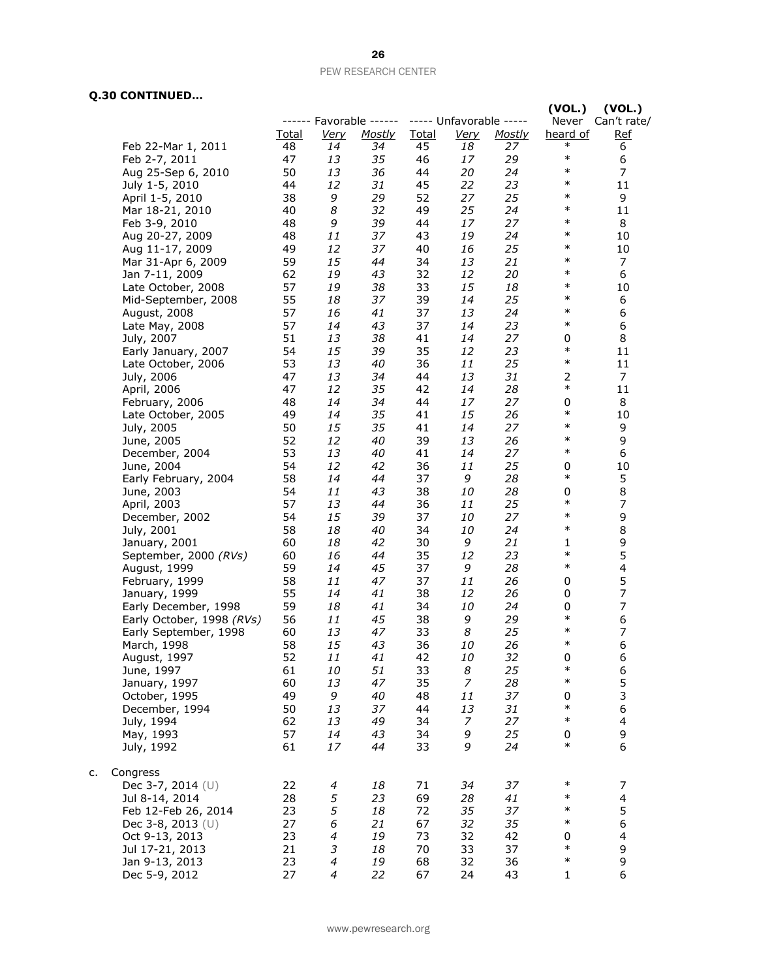## **Q.30 CONTINUED…**

c.

|                                  |          |             |                         |              |                         |               | (VOL.)             | (VOL.)           |
|----------------------------------|----------|-------------|-------------------------|--------------|-------------------------|---------------|--------------------|------------------|
|                                  |          |             | ------ Favorable ------ |              | ----- Unfavorable ----- |               | Never              | Can't rate/      |
|                                  | Total    | <u>Very</u> | Mostly                  | <b>Total</b> | Very                    | <b>Mostly</b> | heard of<br>$\ast$ | <b>Ref</b>       |
| Feb 22-Mar 1, 2011               | 48       | 14          | 34                      | 45           | 18                      | 27            | $\ast$             | 6                |
| Feb 2-7, 2011                    | 47       | 13          | 35                      | 46           | 17                      | 29            | $\ast$             | 6                |
| Aug 25-Sep 6, 2010               | 50       | 13          | 36                      | 44           | 20                      | 24            | $\ast$             | 7                |
| July 1-5, 2010                   | 44       | 12          | 31                      | 45           | 22                      | 23            | $\ast$             | 11               |
| April 1-5, 2010                  | 38<br>40 | 9<br>8      | 29<br>32                | 52<br>49     | 27<br>25                | 25<br>24      | $\ast$             | 9                |
| Mar 18-21, 2010<br>Feb 3-9, 2010 | 48       | 9           | 39                      | 44           | 17                      | 27            | $\ast$             | 11<br>8          |
| Aug 20-27, 2009                  | 48       | 11          | 37                      | 43           | 19                      | 24            | $\ast$             | 10               |
| Aug 11-17, 2009                  | 49       | 12          | 37                      | 40           | 16                      | 25            | $\ast$             | 10               |
| Mar 31-Apr 6, 2009               | 59       | 15          | 44                      | 34           | 13                      | 21            | $\ast$             | 7                |
| Jan 7-11, 2009                   | 62       | 19          | 43                      | 32           | 12                      | 20            | $\ast$             | 6                |
| Late October, 2008               | 57       | 19          | 38                      | 33           | 15                      | 18            | $\ast$             | 10               |
| Mid-September, 2008              | 55       | 18          | 37                      | 39           | 14                      | 25            | $\ast$             | 6                |
| August, 2008                     | 57       | 16          | 41                      | 37           | 13                      | 24            | $\ast$             | 6                |
| Late May, 2008                   | 57       | 14          | 43                      | 37           | 14                      | 23            | $\ast$             | 6                |
| July, 2007                       | 51       | 13          | 38                      | 41           | 14                      | 27            | 0                  | 8                |
| Early January, 2007              | 54       | 15          | 39                      | 35           | 12                      | 23            | $\ast$             | 11               |
| Late October, 2006               | 53       | 13          | 40                      | 36           | 11                      | 25            | $\ast$             | 11               |
| July, 2006                       | 47       | 13          | 34                      | 44           | 13                      | 31            | 2                  | 7                |
| April, 2006                      | 47       | 12          | 35                      | 42           | 14                      | 28            | $\ast$             | 11               |
| February, 2006                   | 48       | 14          | 34                      | 44           | 17                      | 27            | 0                  | 8                |
| Late October, 2005               | 49       | 14          | 35                      | 41           | 15                      | 26            | $\ast$             | 10               |
| July, 2005                       | 50       | 15          | 35                      | 41           | 14                      | 27            | $\ast$             | 9                |
| June, 2005                       | 52       | 12          | 40                      | 39           | 13                      | 26            | $\ast$             | 9                |
| December, 2004                   | 53       | 13          | 40                      | 41           | 14                      | 27            | $\ast$             | 6                |
| June, 2004                       | 54       | 12          | 42                      | 36           | 11                      | 25            | 0                  | 10               |
| Early February, 2004             | 58       | 14          | 44                      | 37           | 9                       | 28            | $\ast$             | 5                |
| June, 2003                       | 54       | 11          | 43                      | 38           | 10                      | 28            | 0                  | 8                |
| April, 2003                      | 57       | 13          | 44                      | 36           | 11                      | 25            | $\ast$             | $\boldsymbol{7}$ |
| December, 2002                   | 54       | 15          | 39                      | 37           | 10                      | 27            | $\ast$             | 9                |
| July, 2001                       | 58       | 18          | 40                      | 34           | 10                      | 24            | $\ast$             | 8                |
| January, 2001                    | 60       | 18          | 42                      | 30           | 9                       | 21            | 1                  | 9                |
| September, 2000 (RVs)            | 60       | 16          | 44                      | 35           | 12                      | 23            | $\ast$             | 5                |
| August, 1999                     | 59       | 14          | 45                      | 37           | 9                       | 28            | $\ast$             | 4                |
| February, 1999                   | 58       | 11          | 47                      | 37           | 11                      | 26            | 0                  | 5                |
| January, 1999                    | 55       | 14          | 41                      | 38           | 12                      | 26            | 0                  | 7                |
| Early December, 1998             | 59       | 18          | 41                      | 34           | 10                      | 24            | 0                  | $\overline{7}$   |
| Early October, 1998 (RVs)        | 56       | 11          | 45                      | 38           | 9                       | 29            | $\ast$             | 6                |
| Early September, 1998            | 60       | 13          | 47                      | 33           | 8                       | 25            | $\ast$             | 7                |
| March, 1998                      | 58       | 15          | 43                      | 36           | 10                      | 26            | $\ast$             | 6                |
| August, 1997                     | 52       | 11          | 41                      | 42           | 10                      | 32            | 0                  | 6                |
| June, 1997                       | 61       | 10          | 51                      | 33           | 8                       | 25            | $\ast$             | 6                |
| January, 1997                    | 60       | 13          | 47                      | 35           | $\overline{z}$          | 28            | $\ast$             | 5                |
| October, 1995                    | 49       | 9           | 40                      | 48           | 11                      | 37            | 0<br>$\ast$        | 3                |
| December, 1994                   | 50       | 13          | 37                      | 44           | 13                      | 31            | $\ast$             | 6                |
| July, 1994                       | 62       | 13          | 49                      | 34           | 7                       | 27            |                    | 4                |
| May, 1993                        | 57       | 14          | 43                      | 34           | 9                       | 25            | 0<br>$\ast$        | 9                |
| July, 1992                       | 61       | 17          | 44                      | 33           | 9                       | 24            |                    | 6                |
| Congress                         |          |             |                         |              |                         |               |                    |                  |
| Dec 3-7, 2014 (U)                | 22       | 4           | 18                      | 71           | 34                      | 37            | $\ast$             | 7                |
| Jul 8-14, 2014                   | 28       | 5           | 23                      | 69           | 28                      | 41            | $\ast$             | $\overline{4}$   |
| Feb 12-Feb 26, 2014              | 23       | 5           | 18                      | 72           | 35                      | 37            | $\ast$             | 5                |
| Dec 3-8, 2013 (U)                | 27       | 6           | 21                      | 67           | 32                      | 35            | $\ast$             | 6                |
| Oct 9-13, 2013                   | 23       | 4           | 19                      | 73           | 32                      | 42            | 0                  | 4                |
| Jul 17-21, 2013                  | 21       | 3           | 18                      | 70           | 33                      | 37            | $\ast$             | 9                |
| Jan 9-13, 2013                   | 23       | 4           | 19                      | 68           | 32                      | 36            | $\ast$             | 9                |
| Dec 5-9, 2012                    | 27       | 4           | 22                      | 67           | 24                      | 43            | $\mathbf{1}$       | 6                |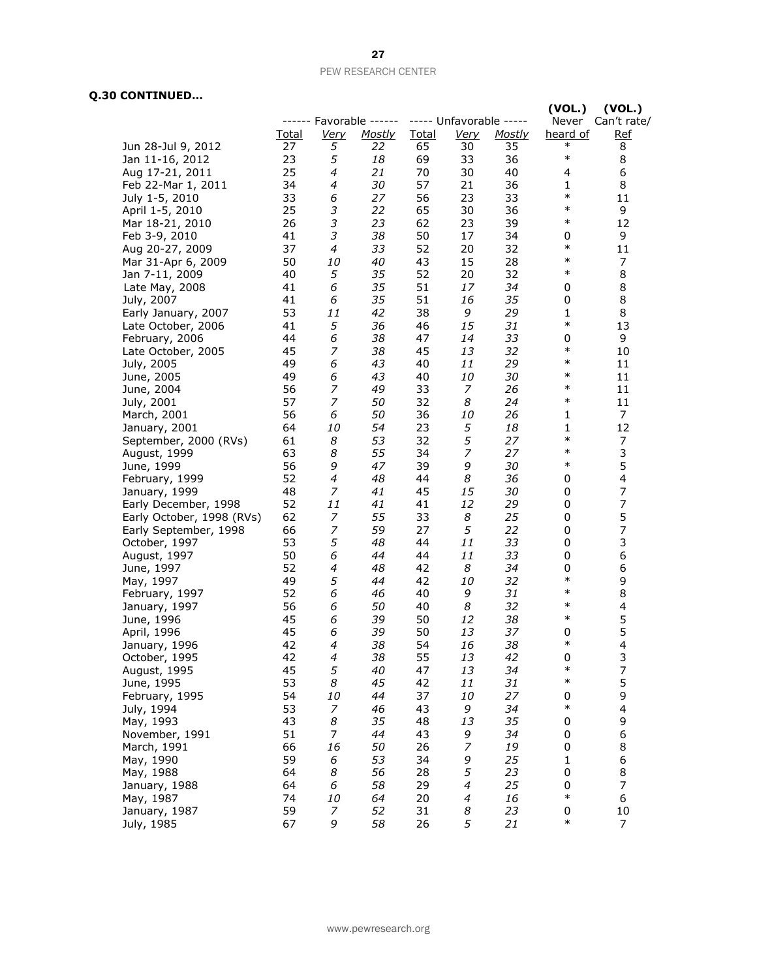## **Q.30 CONTINUED…**

|                           |              |                  |                         |              |                         |               | (VOL.)              | (VOL.)                |
|---------------------------|--------------|------------------|-------------------------|--------------|-------------------------|---------------|---------------------|-----------------------|
|                           |              |                  | ------ Favorable ------ |              | ----- Unfavorable ----- |               | Never               | Can't rate/           |
|                           | <b>Total</b> | <u>Very</u>      | <b>Mostly</b>           | <b>Total</b> | <u>Very</u>             | <b>Mostly</b> | heard of            | <b>Ref</b>            |
| Jun 28-Jul 9, 2012        | 27           | 5                | 22                      | 65           | 30                      | 35            | $\ast$              | 8                     |
| Jan 11-16, 2012           | 23           | 5                | 18                      | 69           | 33                      | 36            | $\ast$              | 8                     |
| Aug 17-21, 2011           | 25           | 4                | 21                      | 70           | 30                      | 40            | 4                   | 6                     |
| Feb 22-Mar 1, 2011        | 34           | 4                | 30                      | 57           | 21                      | 36            | $\mathbf{1}$        | 8                     |
| July 1-5, 2010            | 33           | 6                | 27                      | 56           | 23                      | 33            | $\ast$              | 11                    |
| April 1-5, 2010           | 25           | 3                | 22                      | 65           | 30                      | 36            | $\ast$              | 9                     |
| Mar 18-21, 2010           | 26           | 3                | 23                      | 62           | 23                      | 39            | $\ast$              | 12                    |
| Feb 3-9, 2010             | 41           | 3                | 38                      | 50           | 17                      | 34            | 0                   | 9                     |
| Aug 20-27, 2009           | 37           | 4                | 33                      | 52           | 20                      | 32            | $\ast$              | 11                    |
| Mar 31-Apr 6, 2009        | 50           | 10               | 40                      | 43           | 15                      | 28            | $\ast$              | 7                     |
| Jan 7-11, 2009            | 40           | 5                | 35                      | 52           | 20                      | 32            | $\ast$              | 8                     |
| Late May, 2008            | 41           | 6                | 35                      | 51           | 17                      | 34            | 0                   | 8                     |
| July, 2007                | 41           | 6                | 35                      | 51           | 16                      | 35            | 0                   | 8                     |
| Early January, 2007       | 53           | 11               | 42                      | 38           | 9                       | 29            | $\mathbf{1}$        | 8                     |
| Late October, 2006        | 41           | 5                | 36                      | 46           | 15                      | 31            | $\ast$              | 13                    |
| February, 2006            | 44           | 6                | 38                      | 47           | 14                      | 33            | 0                   | 9                     |
| Late October, 2005        | 45           | 7                | 38                      | 45           | 13                      | 32            | $\ast$              | 10                    |
| July, 2005                | 49           | 6                | 43                      | 40           | 11                      | 29            | $\ast$              | 11                    |
| June, 2005                | 49           | 6                | 43                      | 40           | 10                      | 30            | $\ast$              | 11                    |
| June, 2004                | 56           | 7                | 49                      | 33           | 7                       | 26            | $\ast$              | 11                    |
| July, 2001                | 57           | 7                | 50                      | 32           | 8                       | 24            | $\ast$              | 11                    |
| March, 2001               | 56           | 6                | 50                      | 36           | 10                      | 26            | 1                   | 7                     |
| January, 2001             | 64           | 10               | 54                      | 23           | 5                       | 18            | 1                   | 12                    |
| September, 2000 (RVs)     | 61           | 8                | 53                      | 32           | 5                       | 27            | $\ast$              | 7                     |
| August, 1999              | 63           | 8                | 55                      | 34           | $\overline{z}$          | 27            | $\ast$              | 3                     |
| June, 1999                | 56           | 9                | 47                      | 39           | 9                       | 30            | $\ast$              | 5                     |
|                           | 52           | 4                | 48                      | 44           | 8                       | 36            | 0                   | 4                     |
| February, 1999            | 48           | 7                | 41                      | 45           | 15                      | 30            | 0                   | 7                     |
| January, 1999             | 52           | 11               | 41                      | 41           | 12                      | 29            | 0                   | 7                     |
| Early December, 1998      | 62           | $\boldsymbol{7}$ | 55                      | 33           | 8                       | 25            | 0                   | 5                     |
| Early October, 1998 (RVs) | 66           | 7                | 59                      | 27           | 5                       | 22            | 0                   | 7                     |
| Early September, 1998     | 53           | 5                | 48                      | 44           | 11                      | 33            | 0                   | 3                     |
| October, 1997             | 50           | 6                | 44                      | 44           | 11                      | 33            | 0                   | 6                     |
| August, 1997              | 52           | 4                | 48                      | 42           | 8                       | 34            | 0                   |                       |
| June, 1997                | 49           | 5                | 44                      | 42           | 10                      |               | $\ast$              | 6<br>9                |
| May, 1997                 | 52           | 6                | 46                      | 40           |                         | 32<br>31      | $\ast$              | 8                     |
| February, 1997            | 56           |                  |                         | 40           | 9<br>8                  | 32            | $\ast$              |                       |
| January, 1997             |              | 6                | 50                      |              |                         |               | $\ast$              | 4                     |
| June, 1996                | 45<br>45     | 6<br>6           | 39                      | 50<br>50     | 12<br>13                | 38<br>37      |                     | 5<br>5                |
| April, 1996               | 42           | 4                | 39<br>38                | 54           | 16                      | 38            | 0<br>$\ast$         | $\overline{4}$        |
| January, 1996             | 42           | 4                | 38                      | 55           | 13                      | 42            | 0                   |                       |
| October, 1995             |              | 5                |                         |              |                         |               | $\ast$              | 3<br>$\boldsymbol{7}$ |
| August, 1995              | 45           |                  | 40                      | 47           | 13                      | 34            | $\ast$              | 5                     |
| June, 1995                | 53           | 8                | 45                      | 42           | 11                      | 31            |                     |                       |
| February, 1995            | 54           | 10               | 44                      | 37           | 10                      | 27            | $\pmb{0}$<br>$\ast$ | 9                     |
| July, 1994                | 53           | 7                | 46                      | 43           | 9                       | 34            |                     | 4                     |
| May, 1993                 | 43           | 8                | 35                      | 48           | 13                      | 35            | 0                   | 9                     |
| November, 1991            | 51           | $\boldsymbol{7}$ | 44                      | 43           | 9                       | 34            | 0                   | 6                     |
| March, 1991               | 66           | 16               | 50                      | 26           | $\boldsymbol{7}$        | 19            | 0                   | 8                     |
| May, 1990                 | 59           | 6                | 53                      | 34           | 9                       | 25            | $\mathbf{1}$        | 6                     |
| May, 1988                 | 64           | 8                | 56                      | 28           | 5                       | 23            | 0                   | 8                     |
| January, 1988             | 64           | 6                | 58                      | 29           | $\boldsymbol{4}$        | 25            | 0<br>$\ast$         | $\overline{7}$        |
| May, 1987                 | 74           | 10               | 64                      | 20           | $\overline{4}$          | 16            |                     | 6                     |
| January, 1987             | 59           | 7                | 52                      | 31           | 8                       | 23            | 0                   | 10                    |
| July, 1985                | 67           | 9                | 58                      | 26           | 5                       | 21            | $\ast$              | $\overline{7}$        |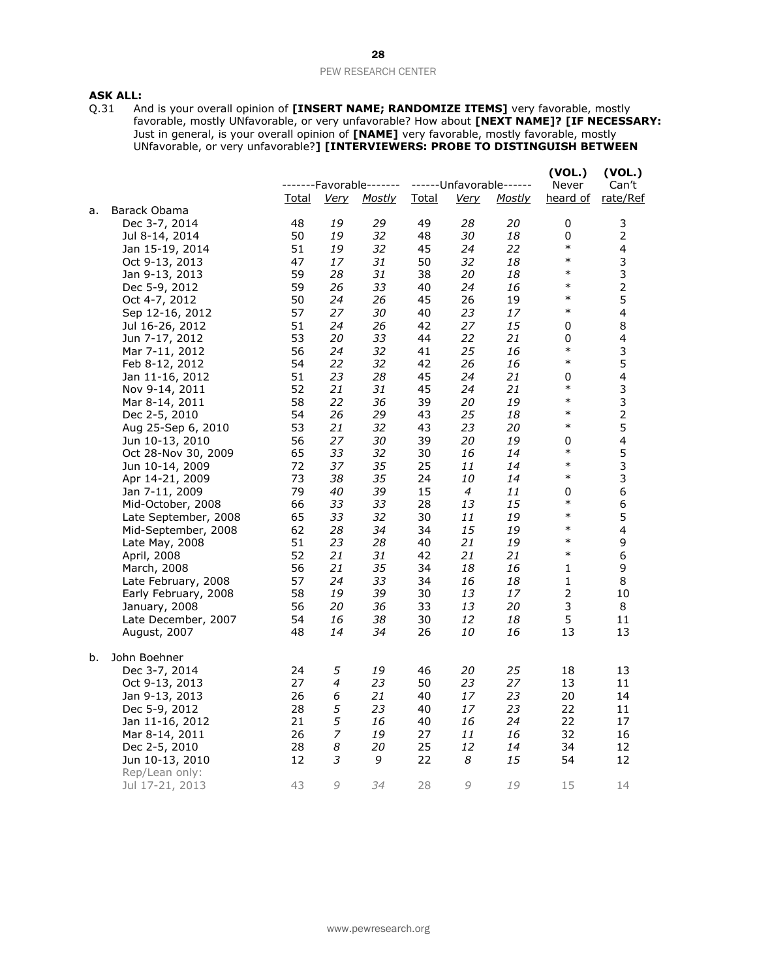# **ASK ALL:**<br>Q.31 Ar

Q.31 And is your overall opinion of **[INSERT NAME; RANDOMIZE ITEMS]** very favorable, mostly favorable, mostly UNfavorable, or very unfavorable? How about **[NEXT NAME]? [IF NECESSARY:**  Just in general, is your overall opinion of **[NAME]** very favorable, mostly favorable, mostly UNfavorable, or very unfavorable?**] [INTERVIEWERS: PROBE TO DISTINGUISH BETWEEN** 

|                 |                                                                                                                                                                                                                                                                                                                                                                                                                                                                                                                                                                                                                                                                                                                                                                                                             |                                                                                                                                                                                                          |                                                                                                                                                                                                                                          |                                                                                                                                                                                                                                                 |                                                                                                                                                                                                                      |                                                                                                                                                                                                         | Never                                                                                                                                                                                                                                           | (VOL.)<br>Can't                                                                                                                                                                                                                                                                                               |
|-----------------|-------------------------------------------------------------------------------------------------------------------------------------------------------------------------------------------------------------------------------------------------------------------------------------------------------------------------------------------------------------------------------------------------------------------------------------------------------------------------------------------------------------------------------------------------------------------------------------------------------------------------------------------------------------------------------------------------------------------------------------------------------------------------------------------------------------|----------------------------------------------------------------------------------------------------------------------------------------------------------------------------------------------------------|------------------------------------------------------------------------------------------------------------------------------------------------------------------------------------------------------------------------------------------|-------------------------------------------------------------------------------------------------------------------------------------------------------------------------------------------------------------------------------------------------|----------------------------------------------------------------------------------------------------------------------------------------------------------------------------------------------------------------------|---------------------------------------------------------------------------------------------------------------------------------------------------------------------------------------------------------|-------------------------------------------------------------------------------------------------------------------------------------------------------------------------------------------------------------------------------------------------|---------------------------------------------------------------------------------------------------------------------------------------------------------------------------------------------------------------------------------------------------------------------------------------------------------------|
|                 | <u>Total</u>                                                                                                                                                                                                                                                                                                                                                                                                                                                                                                                                                                                                                                                                                                                                                                                                | <b>Very</b>                                                                                                                                                                                              | <b>Mostly</b>                                                                                                                                                                                                                            | <u>Total</u>                                                                                                                                                                                                                                    | <u>Verv</u>                                                                                                                                                                                                          | <u>Mostly</u>                                                                                                                                                                                           | heard of                                                                                                                                                                                                                                        | rate/Ref                                                                                                                                                                                                                                                                                                      |
|                 |                                                                                                                                                                                                                                                                                                                                                                                                                                                                                                                                                                                                                                                                                                                                                                                                             |                                                                                                                                                                                                          |                                                                                                                                                                                                                                          |                                                                                                                                                                                                                                                 |                                                                                                                                                                                                                      |                                                                                                                                                                                                         |                                                                                                                                                                                                                                                 |                                                                                                                                                                                                                                                                                                               |
|                 |                                                                                                                                                                                                                                                                                                                                                                                                                                                                                                                                                                                                                                                                                                                                                                                                             |                                                                                                                                                                                                          |                                                                                                                                                                                                                                          |                                                                                                                                                                                                                                                 |                                                                                                                                                                                                                      |                                                                                                                                                                                                         |                                                                                                                                                                                                                                                 | 3                                                                                                                                                                                                                                                                                                             |
|                 |                                                                                                                                                                                                                                                                                                                                                                                                                                                                                                                                                                                                                                                                                                                                                                                                             |                                                                                                                                                                                                          |                                                                                                                                                                                                                                          |                                                                                                                                                                                                                                                 |                                                                                                                                                                                                                      |                                                                                                                                                                                                         |                                                                                                                                                                                                                                                 | $\overline{2}$                                                                                                                                                                                                                                                                                                |
|                 |                                                                                                                                                                                                                                                                                                                                                                                                                                                                                                                                                                                                                                                                                                                                                                                                             |                                                                                                                                                                                                          |                                                                                                                                                                                                                                          |                                                                                                                                                                                                                                                 |                                                                                                                                                                                                                      |                                                                                                                                                                                                         |                                                                                                                                                                                                                                                 | $\overline{\mathbf{4}}$                                                                                                                                                                                                                                                                                       |
|                 |                                                                                                                                                                                                                                                                                                                                                                                                                                                                                                                                                                                                                                                                                                                                                                                                             |                                                                                                                                                                                                          |                                                                                                                                                                                                                                          |                                                                                                                                                                                                                                                 |                                                                                                                                                                                                                      |                                                                                                                                                                                                         |                                                                                                                                                                                                                                                 | 3                                                                                                                                                                                                                                                                                                             |
|                 |                                                                                                                                                                                                                                                                                                                                                                                                                                                                                                                                                                                                                                                                                                                                                                                                             |                                                                                                                                                                                                          |                                                                                                                                                                                                                                          |                                                                                                                                                                                                                                                 |                                                                                                                                                                                                                      |                                                                                                                                                                                                         |                                                                                                                                                                                                                                                 | 3                                                                                                                                                                                                                                                                                                             |
|                 |                                                                                                                                                                                                                                                                                                                                                                                                                                                                                                                                                                                                                                                                                                                                                                                                             |                                                                                                                                                                                                          |                                                                                                                                                                                                                                          |                                                                                                                                                                                                                                                 |                                                                                                                                                                                                                      |                                                                                                                                                                                                         |                                                                                                                                                                                                                                                 | $\overline{c}$                                                                                                                                                                                                                                                                                                |
|                 |                                                                                                                                                                                                                                                                                                                                                                                                                                                                                                                                                                                                                                                                                                                                                                                                             |                                                                                                                                                                                                          |                                                                                                                                                                                                                                          |                                                                                                                                                                                                                                                 |                                                                                                                                                                                                                      |                                                                                                                                                                                                         |                                                                                                                                                                                                                                                 | 5                                                                                                                                                                                                                                                                                                             |
|                 |                                                                                                                                                                                                                                                                                                                                                                                                                                                                                                                                                                                                                                                                                                                                                                                                             |                                                                                                                                                                                                          |                                                                                                                                                                                                                                          |                                                                                                                                                                                                                                                 |                                                                                                                                                                                                                      |                                                                                                                                                                                                         |                                                                                                                                                                                                                                                 | $\overline{\mathbf{4}}$                                                                                                                                                                                                                                                                                       |
|                 |                                                                                                                                                                                                                                                                                                                                                                                                                                                                                                                                                                                                                                                                                                                                                                                                             |                                                                                                                                                                                                          |                                                                                                                                                                                                                                          |                                                                                                                                                                                                                                                 |                                                                                                                                                                                                                      |                                                                                                                                                                                                         |                                                                                                                                                                                                                                                 | 8                                                                                                                                                                                                                                                                                                             |
|                 |                                                                                                                                                                                                                                                                                                                                                                                                                                                                                                                                                                                                                                                                                                                                                                                                             |                                                                                                                                                                                                          |                                                                                                                                                                                                                                          |                                                                                                                                                                                                                                                 |                                                                                                                                                                                                                      |                                                                                                                                                                                                         |                                                                                                                                                                                                                                                 | 4                                                                                                                                                                                                                                                                                                             |
|                 |                                                                                                                                                                                                                                                                                                                                                                                                                                                                                                                                                                                                                                                                                                                                                                                                             |                                                                                                                                                                                                          |                                                                                                                                                                                                                                          |                                                                                                                                                                                                                                                 |                                                                                                                                                                                                                      |                                                                                                                                                                                                         |                                                                                                                                                                                                                                                 | 3                                                                                                                                                                                                                                                                                                             |
|                 |                                                                                                                                                                                                                                                                                                                                                                                                                                                                                                                                                                                                                                                                                                                                                                                                             |                                                                                                                                                                                                          |                                                                                                                                                                                                                                          |                                                                                                                                                                                                                                                 |                                                                                                                                                                                                                      |                                                                                                                                                                                                         |                                                                                                                                                                                                                                                 | 5                                                                                                                                                                                                                                                                                                             |
|                 |                                                                                                                                                                                                                                                                                                                                                                                                                                                                                                                                                                                                                                                                                                                                                                                                             |                                                                                                                                                                                                          |                                                                                                                                                                                                                                          |                                                                                                                                                                                                                                                 |                                                                                                                                                                                                                      |                                                                                                                                                                                                         |                                                                                                                                                                                                                                                 | $\overline{\mathbf{4}}$                                                                                                                                                                                                                                                                                       |
|                 |                                                                                                                                                                                                                                                                                                                                                                                                                                                                                                                                                                                                                                                                                                                                                                                                             |                                                                                                                                                                                                          |                                                                                                                                                                                                                                          |                                                                                                                                                                                                                                                 |                                                                                                                                                                                                                      |                                                                                                                                                                                                         |                                                                                                                                                                                                                                                 | 3                                                                                                                                                                                                                                                                                                             |
|                 |                                                                                                                                                                                                                                                                                                                                                                                                                                                                                                                                                                                                                                                                                                                                                                                                             |                                                                                                                                                                                                          |                                                                                                                                                                                                                                          |                                                                                                                                                                                                                                                 |                                                                                                                                                                                                                      |                                                                                                                                                                                                         |                                                                                                                                                                                                                                                 | 3                                                                                                                                                                                                                                                                                                             |
|                 |                                                                                                                                                                                                                                                                                                                                                                                                                                                                                                                                                                                                                                                                                                                                                                                                             |                                                                                                                                                                                                          |                                                                                                                                                                                                                                          |                                                                                                                                                                                                                                                 |                                                                                                                                                                                                                      |                                                                                                                                                                                                         |                                                                                                                                                                                                                                                 | $\mathbf 2$                                                                                                                                                                                                                                                                                                   |
|                 |                                                                                                                                                                                                                                                                                                                                                                                                                                                                                                                                                                                                                                                                                                                                                                                                             |                                                                                                                                                                                                          |                                                                                                                                                                                                                                          |                                                                                                                                                                                                                                                 |                                                                                                                                                                                                                      |                                                                                                                                                                                                         |                                                                                                                                                                                                                                                 | 5                                                                                                                                                                                                                                                                                                             |
|                 |                                                                                                                                                                                                                                                                                                                                                                                                                                                                                                                                                                                                                                                                                                                                                                                                             |                                                                                                                                                                                                          |                                                                                                                                                                                                                                          |                                                                                                                                                                                                                                                 |                                                                                                                                                                                                                      |                                                                                                                                                                                                         |                                                                                                                                                                                                                                                 | 4                                                                                                                                                                                                                                                                                                             |
|                 |                                                                                                                                                                                                                                                                                                                                                                                                                                                                                                                                                                                                                                                                                                                                                                                                             |                                                                                                                                                                                                          |                                                                                                                                                                                                                                          |                                                                                                                                                                                                                                                 |                                                                                                                                                                                                                      |                                                                                                                                                                                                         |                                                                                                                                                                                                                                                 | 5                                                                                                                                                                                                                                                                                                             |
|                 |                                                                                                                                                                                                                                                                                                                                                                                                                                                                                                                                                                                                                                                                                                                                                                                                             |                                                                                                                                                                                                          |                                                                                                                                                                                                                                          |                                                                                                                                                                                                                                                 |                                                                                                                                                                                                                      |                                                                                                                                                                                                         |                                                                                                                                                                                                                                                 | 3                                                                                                                                                                                                                                                                                                             |
|                 |                                                                                                                                                                                                                                                                                                                                                                                                                                                                                                                                                                                                                                                                                                                                                                                                             |                                                                                                                                                                                                          |                                                                                                                                                                                                                                          |                                                                                                                                                                                                                                                 |                                                                                                                                                                                                                      |                                                                                                                                                                                                         |                                                                                                                                                                                                                                                 | 3                                                                                                                                                                                                                                                                                                             |
|                 |                                                                                                                                                                                                                                                                                                                                                                                                                                                                                                                                                                                                                                                                                                                                                                                                             |                                                                                                                                                                                                          |                                                                                                                                                                                                                                          |                                                                                                                                                                                                                                                 |                                                                                                                                                                                                                      |                                                                                                                                                                                                         |                                                                                                                                                                                                                                                 | 6                                                                                                                                                                                                                                                                                                             |
|                 |                                                                                                                                                                                                                                                                                                                                                                                                                                                                                                                                                                                                                                                                                                                                                                                                             |                                                                                                                                                                                                          |                                                                                                                                                                                                                                          |                                                                                                                                                                                                                                                 |                                                                                                                                                                                                                      |                                                                                                                                                                                                         |                                                                                                                                                                                                                                                 | 6                                                                                                                                                                                                                                                                                                             |
|                 |                                                                                                                                                                                                                                                                                                                                                                                                                                                                                                                                                                                                                                                                                                                                                                                                             |                                                                                                                                                                                                          |                                                                                                                                                                                                                                          |                                                                                                                                                                                                                                                 |                                                                                                                                                                                                                      |                                                                                                                                                                                                         |                                                                                                                                                                                                                                                 | 5                                                                                                                                                                                                                                                                                                             |
|                 |                                                                                                                                                                                                                                                                                                                                                                                                                                                                                                                                                                                                                                                                                                                                                                                                             |                                                                                                                                                                                                          |                                                                                                                                                                                                                                          |                                                                                                                                                                                                                                                 |                                                                                                                                                                                                                      |                                                                                                                                                                                                         |                                                                                                                                                                                                                                                 | $\overline{\mathbf{4}}$                                                                                                                                                                                                                                                                                       |
|                 |                                                                                                                                                                                                                                                                                                                                                                                                                                                                                                                                                                                                                                                                                                                                                                                                             |                                                                                                                                                                                                          |                                                                                                                                                                                                                                          |                                                                                                                                                                                                                                                 |                                                                                                                                                                                                                      |                                                                                                                                                                                                         |                                                                                                                                                                                                                                                 | 9                                                                                                                                                                                                                                                                                                             |
|                 |                                                                                                                                                                                                                                                                                                                                                                                                                                                                                                                                                                                                                                                                                                                                                                                                             |                                                                                                                                                                                                          |                                                                                                                                                                                                                                          |                                                                                                                                                                                                                                                 |                                                                                                                                                                                                                      |                                                                                                                                                                                                         |                                                                                                                                                                                                                                                 | 6                                                                                                                                                                                                                                                                                                             |
|                 |                                                                                                                                                                                                                                                                                                                                                                                                                                                                                                                                                                                                                                                                                                                                                                                                             |                                                                                                                                                                                                          |                                                                                                                                                                                                                                          |                                                                                                                                                                                                                                                 |                                                                                                                                                                                                                      |                                                                                                                                                                                                         |                                                                                                                                                                                                                                                 | 9                                                                                                                                                                                                                                                                                                             |
|                 |                                                                                                                                                                                                                                                                                                                                                                                                                                                                                                                                                                                                                                                                                                                                                                                                             |                                                                                                                                                                                                          |                                                                                                                                                                                                                                          |                                                                                                                                                                                                                                                 |                                                                                                                                                                                                                      |                                                                                                                                                                                                         |                                                                                                                                                                                                                                                 | 8                                                                                                                                                                                                                                                                                                             |
|                 |                                                                                                                                                                                                                                                                                                                                                                                                                                                                                                                                                                                                                                                                                                                                                                                                             |                                                                                                                                                                                                          |                                                                                                                                                                                                                                          |                                                                                                                                                                                                                                                 |                                                                                                                                                                                                                      |                                                                                                                                                                                                         |                                                                                                                                                                                                                                                 | 10                                                                                                                                                                                                                                                                                                            |
|                 |                                                                                                                                                                                                                                                                                                                                                                                                                                                                                                                                                                                                                                                                                                                                                                                                             |                                                                                                                                                                                                          |                                                                                                                                                                                                                                          |                                                                                                                                                                                                                                                 |                                                                                                                                                                                                                      |                                                                                                                                                                                                         |                                                                                                                                                                                                                                                 | 8                                                                                                                                                                                                                                                                                                             |
|                 |                                                                                                                                                                                                                                                                                                                                                                                                                                                                                                                                                                                                                                                                                                                                                                                                             |                                                                                                                                                                                                          |                                                                                                                                                                                                                                          |                                                                                                                                                                                                                                                 |                                                                                                                                                                                                                      |                                                                                                                                                                                                         |                                                                                                                                                                                                                                                 | 11                                                                                                                                                                                                                                                                                                            |
|                 |                                                                                                                                                                                                                                                                                                                                                                                                                                                                                                                                                                                                                                                                                                                                                                                                             |                                                                                                                                                                                                          |                                                                                                                                                                                                                                          |                                                                                                                                                                                                                                                 |                                                                                                                                                                                                                      |                                                                                                                                                                                                         |                                                                                                                                                                                                                                                 | 13                                                                                                                                                                                                                                                                                                            |
|                 |                                                                                                                                                                                                                                                                                                                                                                                                                                                                                                                                                                                                                                                                                                                                                                                                             |                                                                                                                                                                                                          |                                                                                                                                                                                                                                          |                                                                                                                                                                                                                                                 |                                                                                                                                                                                                                      |                                                                                                                                                                                                         |                                                                                                                                                                                                                                                 |                                                                                                                                                                                                                                                                                                               |
|                 | 24                                                                                                                                                                                                                                                                                                                                                                                                                                                                                                                                                                                                                                                                                                                                                                                                          |                                                                                                                                                                                                          | 19                                                                                                                                                                                                                                       | 46                                                                                                                                                                                                                                              | 20                                                                                                                                                                                                                   |                                                                                                                                                                                                         | 18                                                                                                                                                                                                                                              | 13                                                                                                                                                                                                                                                                                                            |
|                 | 27                                                                                                                                                                                                                                                                                                                                                                                                                                                                                                                                                                                                                                                                                                                                                                                                          | 4                                                                                                                                                                                                        |                                                                                                                                                                                                                                          |                                                                                                                                                                                                                                                 |                                                                                                                                                                                                                      | 27                                                                                                                                                                                                      | 13                                                                                                                                                                                                                                              | 11                                                                                                                                                                                                                                                                                                            |
|                 |                                                                                                                                                                                                                                                                                                                                                                                                                                                                                                                                                                                                                                                                                                                                                                                                             |                                                                                                                                                                                                          |                                                                                                                                                                                                                                          |                                                                                                                                                                                                                                                 | 17                                                                                                                                                                                                                   |                                                                                                                                                                                                         | 20                                                                                                                                                                                                                                              | 14                                                                                                                                                                                                                                                                                                            |
|                 | 28                                                                                                                                                                                                                                                                                                                                                                                                                                                                                                                                                                                                                                                                                                                                                                                                          |                                                                                                                                                                                                          | 23                                                                                                                                                                                                                                       | 40                                                                                                                                                                                                                                              | 17                                                                                                                                                                                                                   |                                                                                                                                                                                                         | 22                                                                                                                                                                                                                                              | 11                                                                                                                                                                                                                                                                                                            |
|                 | 21                                                                                                                                                                                                                                                                                                                                                                                                                                                                                                                                                                                                                                                                                                                                                                                                          |                                                                                                                                                                                                          | 16                                                                                                                                                                                                                                       | 40                                                                                                                                                                                                                                              | 16                                                                                                                                                                                                                   | 24                                                                                                                                                                                                      | 22                                                                                                                                                                                                                                              | 17                                                                                                                                                                                                                                                                                                            |
|                 | 26                                                                                                                                                                                                                                                                                                                                                                                                                                                                                                                                                                                                                                                                                                                                                                                                          |                                                                                                                                                                                                          | 19                                                                                                                                                                                                                                       | 27                                                                                                                                                                                                                                              | 11                                                                                                                                                                                                                   | 16                                                                                                                                                                                                      | 32                                                                                                                                                                                                                                              | 16                                                                                                                                                                                                                                                                                                            |
|                 | 28                                                                                                                                                                                                                                                                                                                                                                                                                                                                                                                                                                                                                                                                                                                                                                                                          | 8                                                                                                                                                                                                        |                                                                                                                                                                                                                                          |                                                                                                                                                                                                                                                 | 12                                                                                                                                                                                                                   | 14                                                                                                                                                                                                      | 34                                                                                                                                                                                                                                              | 12                                                                                                                                                                                                                                                                                                            |
| Jun 10-13, 2010 | 12                                                                                                                                                                                                                                                                                                                                                                                                                                                                                                                                                                                                                                                                                                                                                                                                          | 3                                                                                                                                                                                                        | 9                                                                                                                                                                                                                                        | 22                                                                                                                                                                                                                                              | 8                                                                                                                                                                                                                    | 15                                                                                                                                                                                                      | 54                                                                                                                                                                                                                                              | 12                                                                                                                                                                                                                                                                                                            |
| Rep/Lean only:  |                                                                                                                                                                                                                                                                                                                                                                                                                                                                                                                                                                                                                                                                                                                                                                                                             |                                                                                                                                                                                                          |                                                                                                                                                                                                                                          |                                                                                                                                                                                                                                                 |                                                                                                                                                                                                                      |                                                                                                                                                                                                         |                                                                                                                                                                                                                                                 |                                                                                                                                                                                                                                                                                                               |
| Jul 17-21, 2013 | 43                                                                                                                                                                                                                                                                                                                                                                                                                                                                                                                                                                                                                                                                                                                                                                                                          | 9                                                                                                                                                                                                        | 34                                                                                                                                                                                                                                       | 28                                                                                                                                                                                                                                              | 9                                                                                                                                                                                                                    | 19                                                                                                                                                                                                      | 15                                                                                                                                                                                                                                              | 14                                                                                                                                                                                                                                                                                                            |
|                 | Barack Obama<br>Dec 3-7, 2014<br>Jul 8-14, 2014<br>Jan 15-19, 2014<br>Oct 9-13, 2013<br>Jan 9-13, 2013<br>Dec 5-9, 2012<br>Oct 4-7, 2012<br>Sep 12-16, 2012<br>Jul 16-26, 2012<br>Jun 7-17, 2012<br>Mar 7-11, 2012<br>Feb 8-12, 2012<br>Jan 11-16, 2012<br>Nov 9-14, 2011<br>Mar 8-14, 2011<br>Dec 2-5, 2010<br>Aug 25-Sep 6, 2010<br>Jun 10-13, 2010<br>Oct 28-Nov 30, 2009<br>Jun 10-14, 2009<br>Apr 14-21, 2009<br>Jan 7-11, 2009<br>Mid-October, 2008<br>Late September, 2008<br>Mid-September, 2008<br>Late May, 2008<br>April, 2008<br>March, 2008<br>Late February, 2008<br>Early February, 2008<br>January, 2008<br>Late December, 2007<br>August, 2007<br>John Boehner<br>Dec 3-7, 2014<br>Oct 9-13, 2013<br>Jan 9-13, 2013<br>Dec 5-9, 2012<br>Jan 11-16, 2012<br>Mar 8-14, 2011<br>Dec 2-5, 2010 | 48<br>50<br>51<br>47<br>59<br>59<br>50<br>57<br>51<br>53<br>56<br>54<br>51<br>52<br>58<br>54<br>53<br>56<br>65<br>72<br>73<br>79<br>66<br>65<br>62<br>51<br>52<br>56<br>57<br>58<br>56<br>54<br>48<br>26 | 19<br>19<br>19<br>17<br>28<br>26<br>24<br>27<br>24<br>20<br>24<br>22<br>23<br>21<br>22<br>26<br>21<br>27<br>33<br>37<br>38<br>40<br>33<br>33<br>28<br>23<br>21<br>21<br>24<br>19<br>20<br>16<br>14<br>5<br>6<br>5<br>5<br>$\overline{z}$ | -------Favorable-------<br>29<br>32<br>32<br>31<br>31<br>33<br>26<br>30<br>26<br>33<br>32<br>32<br>28<br>31<br>36<br>29<br>32<br>30<br>32<br>35<br>35<br>39<br>33<br>32<br>34<br>28<br>31<br>35<br>33<br>39<br>36<br>38<br>34<br>23<br>21<br>20 | 49<br>48<br>45<br>50<br>38<br>40<br>45<br>40<br>42<br>44<br>41<br>42<br>45<br>45<br>39<br>43<br>43<br>39<br>30<br>25<br>24<br>15<br>28<br>30<br>34<br>40<br>42<br>34<br>34<br>30<br>33<br>30<br>26<br>50<br>40<br>25 | 28<br>30<br>24<br>32<br>20<br>24<br>26<br>23<br>27<br>22<br>25<br>26<br>24<br>24<br>20<br>25<br>23<br>20<br>16<br>11<br>10<br>4<br>13<br>11<br>15<br>21<br>21<br>18<br>16<br>13<br>13<br>12<br>10<br>23 | ------Unfavorable------<br>20<br>18<br>22<br>18<br>18<br>16<br>19<br>17<br>15<br>21<br>16<br>16<br>21<br>21<br>19<br>18<br>20<br>19<br>14<br>14<br>14<br>11<br>15<br>19<br>19<br>19<br>21<br>16<br>18<br>17<br>20<br>18<br>16<br>25<br>23<br>23 | (VOL.)<br>$\pmb{0}$<br>0<br>$\ast$<br>$\ast$<br>$\ast$<br>$\ast$<br>$\ast$<br>$\ast$<br>$\pmb{0}$<br>0<br>$\ast$<br>$\ast$<br>0<br>$\ast$<br>$\ast$<br>$\ast$<br>$\ast$<br>0<br>$\ast$<br>$\ast$<br>$\ast$<br>0<br>$\ast$<br>$\ast$<br>$\ast$<br>$\ast$<br>$\ast$<br>1<br>1<br>$\overline{2}$<br>3<br>5<br>13 |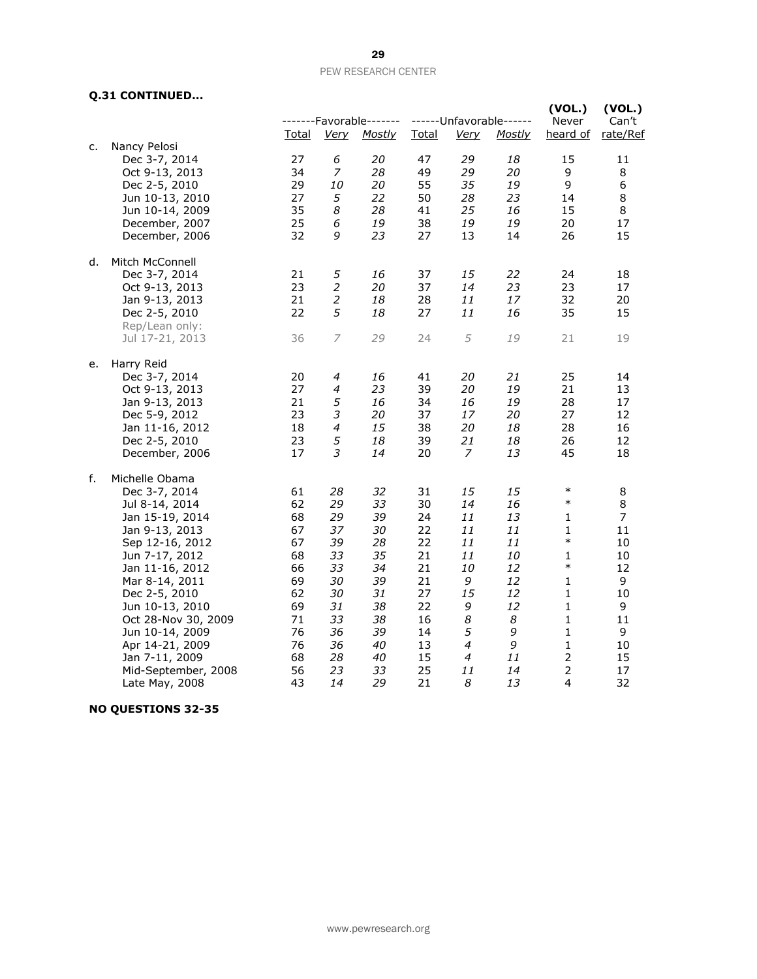## **Q.31 CONTINUED...**

|    | $\frac{1}{2}$                    |              |                |                                          |              |             |                                          | (VOL.)            | (VOL.)            |
|----|----------------------------------|--------------|----------------|------------------------------------------|--------------|-------------|------------------------------------------|-------------------|-------------------|
|    |                                  | <u>Total</u> | <b>Very</b>    | -------Favorable-------<br><b>Mostly</b> | <b>Total</b> | <u>Very</u> | ------Unfavorable------<br><b>Mostly</b> | Never<br>heard of | Can't<br>rate/Ref |
| c. | Nancy Pelosi                     |              |                |                                          |              |             |                                          |                   |                   |
|    | Dec 3-7, 2014                    | 27           | 6              | 20                                       | 47           | 29          | 18                                       | 15                | 11                |
|    | Oct 9-13, 2013                   | 34           | 7              | 28                                       | 49           | 29          | 20                                       | 9                 | 8                 |
|    | Dec 2-5, 2010                    | 29           | 10             | 20                                       | 55           | 35          | 19                                       | 9                 | 6                 |
|    | Jun 10-13, 2010                  | 27           | 5              | 22                                       | 50           | 28          | 23                                       | 14                | 8                 |
|    | Jun 10-14, 2009                  | 35           | 8              | 28                                       | 41           | 25          | 16                                       | 15                | 8                 |
|    | December, 2007                   | 25           | 6              | 19                                       | 38           | 19          | 19                                       | 20                | 17                |
|    | December, 2006                   | 32           | 9              | 23                                       | 27           | 13          | 14                                       | 26                | 15                |
| d. | Mitch McConnell                  |              |                |                                          |              |             |                                          |                   |                   |
|    | Dec 3-7, 2014                    | 21           | 5              | 16                                       | 37           | 15          | 22                                       | 24                | 18                |
|    | Oct 9-13, 2013                   | 23           | $\overline{2}$ | 20                                       | 37           | 14          | 23                                       | 23                | 17                |
|    | Jan 9-13, 2013                   | 21           | $\overline{2}$ | 18                                       | 28           | 11          | 17                                       | 32                | 20                |
|    | Dec 2-5, 2010                    | 22           | 5              | 18                                       | 27           | 11          | 16                                       | 35                | 15                |
|    | Rep/Lean only:                   |              |                |                                          |              |             |                                          |                   |                   |
|    | Jul 17-21, 2013                  | 36           | 7              | 29                                       | 24           | 5           | 19                                       | 21                | 19                |
| e. | Harry Reid                       |              |                |                                          |              |             |                                          |                   |                   |
|    | Dec 3-7, 2014                    | 20           | 4              | 16                                       | 41           | 20          | 21                                       | 25                | 14                |
|    | Oct 9-13, 2013                   | 27           | 4              | 23                                       | 39           | 20          | 19                                       | 21                | 13                |
|    | Jan 9-13, 2013                   | 21           | 5              | 16                                       | 34           | 16          | 19                                       | 28                | 17                |
|    | Dec 5-9, 2012                    | 23           | 3              | 20                                       | 37           | 17          | 20                                       | 27                | 12                |
|    | Jan 11-16, 2012<br>Dec 2-5, 2010 | 18<br>23     | 4<br>5         | 15<br>18                                 | 38<br>39     | 20<br>21    | 18<br>18                                 | 28<br>26          | 16<br>12          |
|    |                                  | 17           | 3              | 14                                       | 20           | 7           | 13                                       | 45                | 18                |
|    | December, 2006                   |              |                |                                          |              |             |                                          |                   |                   |
| f. | Michelle Obama                   |              |                |                                          |              |             |                                          |                   |                   |
|    | Dec 3-7, 2014                    | 61           | 28             | 32                                       | 31           | 15          | 15                                       | $\ast$            | 8                 |
|    | Jul 8-14, 2014                   | 62           | 29             | 33                                       | 30           | 14          | 16                                       | $\ast$            | 8                 |
|    | Jan 15-19, 2014                  | 68           | 29             | 39                                       | 24           | 11          | 13                                       | 1                 | 7                 |
|    | Jan 9-13, 2013                   | 67           | 37             | 30                                       | 22           | 11          | 11                                       | 1                 | 11                |
|    | Sep 12-16, 2012                  | 67           | 39             | 28                                       | 22           | 11          | 11                                       | $\ast$            | 10                |
|    | Jun 7-17, 2012                   | 68           | 33             | 35                                       | 21           | 11          | 10                                       | 1                 | 10                |
|    | Jan 11-16, 2012                  | 66           | 33             | 34                                       | 21           | 10          | 12                                       | $\ast$            | 12                |
|    | Mar 8-14, 2011                   | 69           | 30             | 39                                       | 21           | 9           | 12                                       | 1                 | 9                 |
|    | Dec 2-5, 2010                    | 62           | 30             | 31                                       | 27           | 15          | 12                                       | 1                 | 10                |
|    | Jun 10-13, 2010                  | 69           | 31             | 38                                       | 22           | 9           | 12                                       | 1                 | 9                 |
|    | Oct 28-Nov 30, 2009              | 71           | 33             | 38                                       | 16           | 8           | 8                                        | 1                 | 11                |
|    | Jun 10-14, 2009                  | 76           | 36             | 39                                       | 14           | 5           | 9                                        | 1                 | 9                 |
|    | Apr 14-21, 2009                  | 76           | 36             | 40                                       | 13           | 4           | 9                                        | 1                 | 10                |
|    | Jan 7-11, 2009                   | 68           | 28             | 40                                       | 15           | 4           | 11                                       | $\overline{2}$    | 15                |
|    | Mid-September, 2008              | 56           | 23             | 33                                       | 25           | 11          | 14                                       | $\overline{2}$    | 17                |
|    | Late May, 2008                   | 43           | 14             | 29                                       | 21           | 8           | 13                                       | 4                 | 32                |

## **NO QUESTIONS 32-35**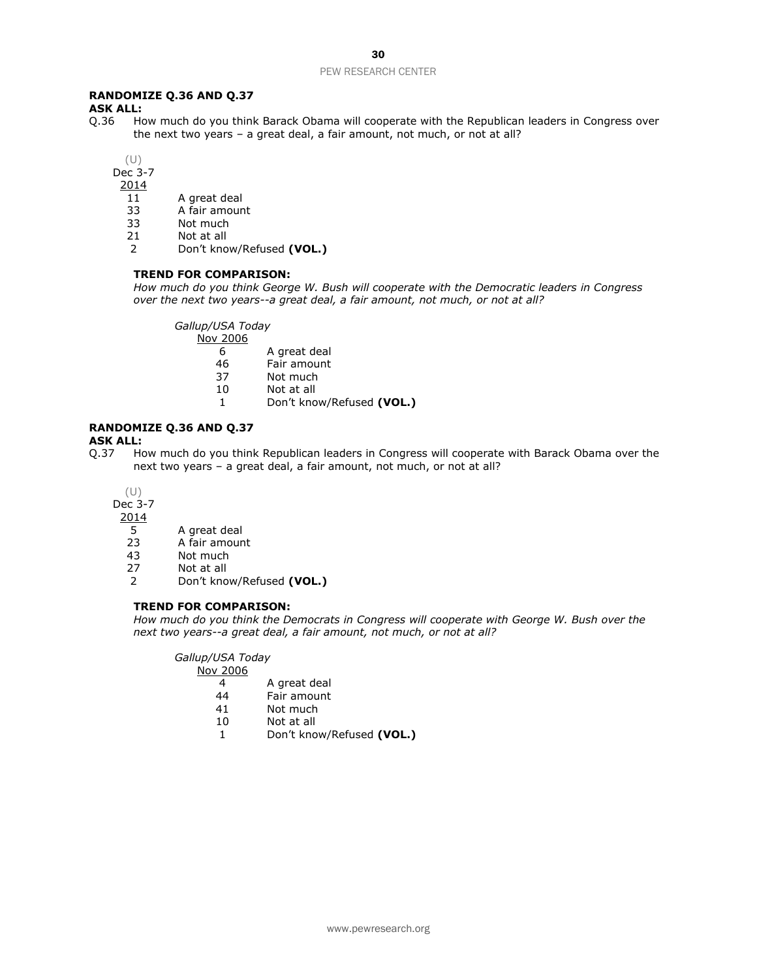#### **RANDOMIZE Q.36 AND Q.37**

**ASK ALL:**<br>Q.36 Ho How much do you think Barack Obama will cooperate with the Republican leaders in Congress over the next two years – a great deal, a fair amount, not much, or not at all?

(U)

Dec 3-7

2014

- 11 A great deal
- 33 A fair amount<br>33 Not much
- Not much
- 21 Not at all
- 2 Don't know/Refused **(VOL.)**

#### **TREND FOR COMPARISON:**

*How much do you think George W. Bush will cooperate with the Democratic leaders in Congress over the next two years--a great deal, a fair amount, not much, or not at all?*

*Gallup/USA Today*

- Nov 2006
	- 6 A great deal
	- 46 Fair amount
	- 37 Not much
	- 10 Not at all
	- 1 Don't know/Refused **(VOL.)**

## **RANDOMIZE Q.36 AND Q.37**

**ASK ALL:**

Q.37 How much do you think Republican leaders in Congress will cooperate with Barack Obama over the next two years – a great deal, a fair amount, not much, or not at all?

(U)

Dec 3-7

 $\frac{2014}{5}$ 

- A great deal
- 23 A fair amount
- 43 Not much
- 27 Not at all
- 2 Don't know/Refused **(VOL.)**

#### **TREND FOR COMPARISON:**

*How much do you think the Democrats in Congress will cooperate with George W. Bush over the next two years--a great deal, a fair amount, not much, or not at all?*

*Gallup/USA Today*

Nov 2006

- 4 A great deal<br>44 Fair amount
- Fair amount
- 41 Not much
- 10 Not at all
- 1 Don't know/Refused **(VOL.)**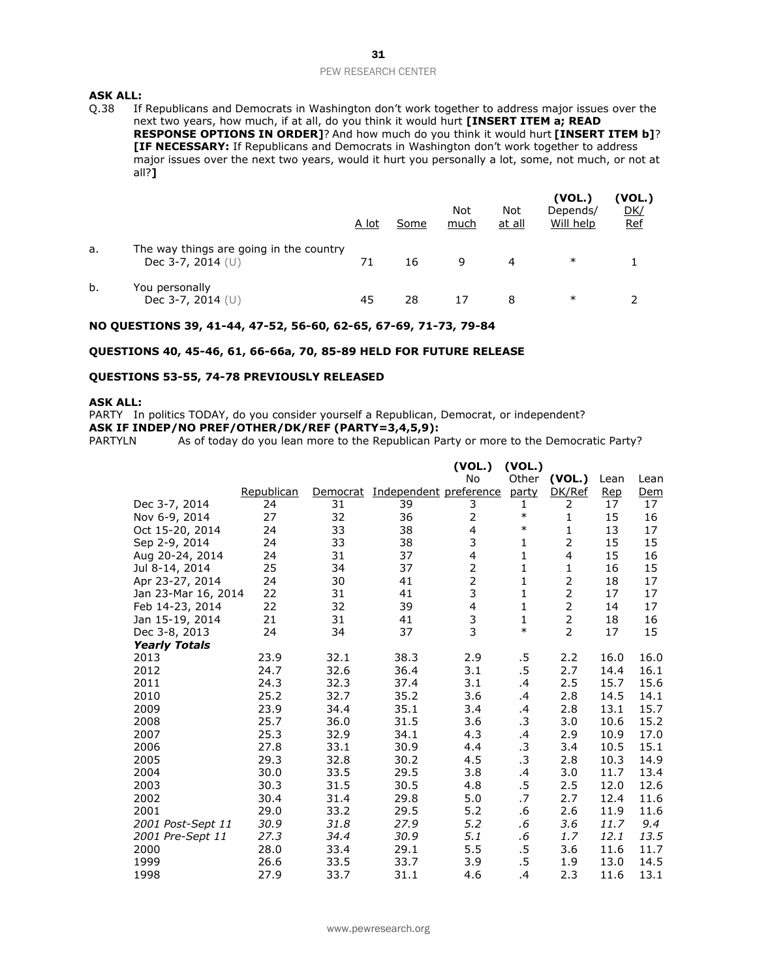# **ASK ALL:**<br>0.38 If

If Republicans and Democrats in Washington don't work together to address major issues over the next two years, how much, if at all, do you think it would hurt **[INSERT ITEM a; READ RESPONSE OPTIONS IN ORDER]**? And how much do you think it would hurt **[INSERT ITEM b]**? **[IF NECESSARY:** If Republicans and Democrats in Washington don't work together to address major issues over the next two years, would it hurt you personally a lot, some, not much, or not at all?**]** 

|    |                                                                | A lot | Some | <b>Not</b><br>much | Not<br>at all | (VOL.)<br>Depends/<br>Will help | (VOL.)<br><u>DK/</u><br><b>Ref</b> |
|----|----------------------------------------------------------------|-------|------|--------------------|---------------|---------------------------------|------------------------------------|
| a. | The way things are going in the country<br>Dec 3-7, 2014 $(U)$ |       | 16   | 9                  |               | $\ast$                          |                                    |
| b. | You personally<br>Dec 3-7, 2014 $(U)$                          | 45    | 28   |                    | 8             | ∗                               |                                    |

#### **NO QUESTIONS 39, 41-44, 47-52, 56-60, 62-65, 67-69, 71-73, 79-84**

#### **QUESTIONS 40, 45-46, 61, 66-66a, 70, 85-89 HELD FOR FUTURE RELEASE**

#### **QUESTIONS 53-55, 74-78 PREVIOUSLY RELEASED**

#### **ASK ALL:**

PARTY In politics TODAY, do you consider yourself a Republican, Democrat, or independent? **ASK IF INDEP/NO PREF/OTHER/DK/REF (PARTY=3,4,5,9):**

PARTYLN As of today do you lean more to the Republican Party or more to the Democratic Party?

|                      |            |          |                        | (VOL.)                  | (VOL.)       |                |      |      |
|----------------------|------------|----------|------------------------|-------------------------|--------------|----------------|------|------|
|                      |            |          |                        | No                      | Other        | (VOL.)         | Lean | Lean |
|                      | Republican | Democrat | Independent preference |                         | party        | DK/Ref         | Rep  | Dem  |
| Dec 3-7, 2014        | 24         | 31       | 39                     | 3                       | 1            | 2              | 17   | 17   |
| Nov 6-9, 2014        | 27         | 32       | 36                     | 2                       | $\ast$       | $\mathbf{1}$   | 15   | 16   |
| Oct 15-20, 2014      | 24         | 33       | 38                     | $\overline{\mathbf{4}}$ | $\ast$       | $\mathbf{1}$   | 13   | 17   |
| Sep 2-9, 2014        | 24         | 33       | 38                     | 3                       | 1            | $\overline{2}$ | 15   | 15   |
| Aug 20-24, 2014      | 24         | 31       | 37                     | 4                       | $\mathbf{1}$ | $\overline{4}$ | 15   | 16   |
| Jul 8-14, 2014       | 25         | 34       | 37                     | $\overline{\mathbf{c}}$ | $\mathbf{1}$ | $\mathbf{1}$   | 16   | 15   |
| Apr 23-27, 2014      | 24         | 30       | 41                     | $\overline{2}$          | 1            | $\overline{2}$ | 18   | 17   |
| Jan 23-Mar 16, 2014  | 22         | 31       | 41                     | 3                       | $\mathbf 1$  | $\overline{2}$ | 17   | 17   |
| Feb 14-23, 2014      | 22         | 32       | 39                     | $\overline{\mathbf{4}}$ | $\mathbf{1}$ | $\overline{2}$ | 14   | 17   |
| Jan 15-19, 2014      | 21         | 31       | 41                     | $\frac{3}{3}$           | $\mathbf{1}$ | $\overline{2}$ | 18   | 16   |
| Dec 3-8, 2013        | 24         | 34       | 37                     |                         | $\ast$       | $\overline{2}$ | 17   | 15   |
| <b>Yearly Totals</b> |            |          |                        |                         |              |                |      |      |
| 2013                 | 23.9       | 32.1     | 38.3                   | 2.9                     | .5           | 2.2            | 16.0 | 16.0 |
| 2012                 | 24.7       | 32.6     | 36.4                   | 3.1                     | .5           | 2.7            | 14.4 | 16.1 |
| 2011                 | 24.3       | 32.3     | 37.4                   | 3.1                     | .4           | 2.5            | 15.7 | 15.6 |
| 2010                 | 25.2       | 32.7     | 35.2                   | 3.6                     | .4           | 2.8            | 14.5 | 14.1 |
| 2009                 | 23.9       | 34.4     | 35.1                   | 3.4                     | .4           | 2.8            | 13.1 | 15.7 |
| 2008                 | 25.7       | 36.0     | 31.5                   | 3.6                     | .3           | 3.0            | 10.6 | 15.2 |
| 2007                 | 25.3       | 32.9     | 34.1                   | 4.3                     | .4           | 2.9            | 10.9 | 17.0 |
| 2006                 | 27.8       | 33.1     | 30.9                   | 4.4                     | .3           | 3.4            | 10.5 | 15.1 |
| 2005                 | 29.3       | 32.8     | 30.2                   | 4.5                     | .3           | 2.8            | 10.3 | 14.9 |
| 2004                 | 30.0       | 33.5     | 29.5                   | 3.8                     | .4           | 3.0            | 11.7 | 13.4 |
| 2003                 | 30.3       | 31.5     | 30.5                   | 4.8                     | .5           | 2.5            | 12.0 | 12.6 |
| 2002                 | 30.4       | 31.4     | 29.8                   | 5.0                     | .7           | 2.7            | 12.4 | 11.6 |
| 2001                 | 29.0       | 33.2     | 29.5                   | 5.2                     | .6           | 2.6            | 11.9 | 11.6 |
| 2001 Post-Sept 11    | 30.9       | 31.8     | 27.9                   | 5.2                     | .6           | 3.6            | 11.7 | 9.4  |
| 2001 Pre-Sept 11     | 27.3       | 34.4     | 30.9                   | 5.1                     | .6           | 1.7            | 12.1 | 13.5 |
| 2000                 | 28.0       | 33.4     | 29.1                   | 5.5                     | .5           | 3.6            | 11.6 | 11.7 |
| 1999                 | 26.6       | 33.5     | 33.7                   | 3.9                     | .5           | 1.9            | 13.0 | 14.5 |
| 1998                 | 27.9       | 33.7     | 31.1                   | 4.6                     | .4           | 2.3            | 11.6 | 13.1 |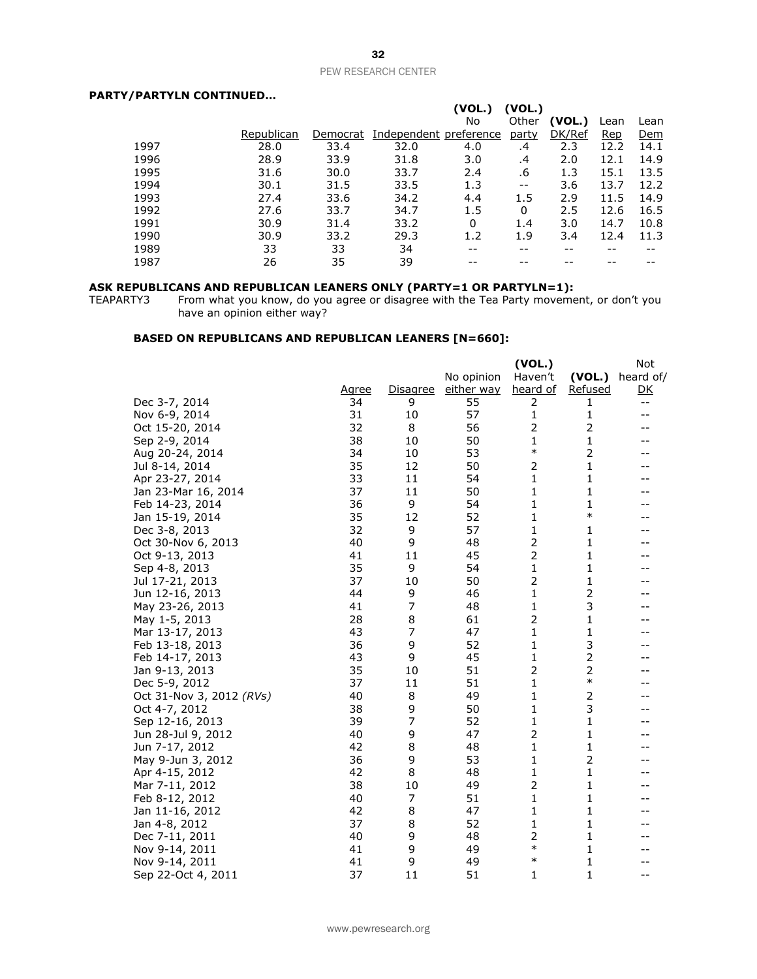#### **PARTY/PARTYLN CONTINUED…**

|      |            |          |                        | (VOL.) | (VOL.)       |        |      |      |
|------|------------|----------|------------------------|--------|--------------|--------|------|------|
|      |            |          |                        | No     | Other        | (VOL.) | Lean | Lean |
|      | Republican | Democrat | Independent preference |        | <u>party</u> | DK/Ref | Rep  | Dem  |
| 1997 | 28.0       | 33.4     | 32.0                   | 4.0    | .4           | 2.3    | 12.2 | 14.1 |
| 1996 | 28.9       | 33.9     | 31.8                   | 3.0    | .4           | 2.0    | 12.1 | 14.9 |
| 1995 | 31.6       | 30.0     | 33.7                   | 2.4    | .6           | 1.3    | 15.1 | 13.5 |
| 1994 | 30.1       | 31.5     | 33.5                   | 1.3    | $- -$        | 3.6    | 13.7 | 12.2 |
| 1993 | 27.4       | 33.6     | 34.2                   | 4.4    | 1.5          | 2.9    | 11.5 | 14.9 |
| 1992 | 27.6       | 33.7     | 34.7                   | 1.5    | 0            | 2.5    | 12.6 | 16.5 |
| 1991 | 30.9       | 31.4     | 33.2                   | 0      | 1.4          | 3.0    | 14.7 | 10.8 |
| 1990 | 30.9       | 33.2     | 29.3                   | 1.2    | 1.9          | 3.4    | 12.4 | 11.3 |
| 1989 | 33         | 33       | 34                     | --     | --           | --     |      |      |
| 1987 | 26         | 35       | 39                     |        |              |        |      |      |

#### **ASK REPUBLICANS AND REPUBLICAN LEANERS ONLY (PARTY=1 OR PARTYLN=1):**

TEAPARTY3 From what you know, do you agree or disagree with the Tea Party movement, or don't you have an opinion either way?

#### **BASED ON REPUBLICANS AND REPUBLICAN LEANERS [N=660]:**

|                          |              |                 |            | (VOL.)         |                | Not       |
|--------------------------|--------------|-----------------|------------|----------------|----------------|-----------|
|                          |              |                 | No opinion | Haven't        | (VOL.)         | heard of/ |
|                          | <u>Agree</u> | <b>Disagree</b> | either way | heard of       | <b>Refused</b> | <u>DK</u> |
| Dec 3-7, 2014            | 34           | 9               | 55         | 2              | 1              | $- -$     |
| Nov 6-9, 2014            | 31           | 10              | 57         | $\mathbf{1}$   | 1              | $- -$     |
| Oct 15-20, 2014          | 32           | 8               | 56         | $\overline{2}$ | $\overline{2}$ | --        |
| Sep 2-9, 2014            | 38           | 10              | 50         | 1              | 1              |           |
| Aug 20-24, 2014          | 34           | 10              | 53         | $\ast$         | 2              | --        |
| Jul 8-14, 2014           | 35           | 12              | 50         | 2              | 1              |           |
| Apr 23-27, 2014          | 33           | 11              | 54         | 1              | 1              |           |
| Jan 23-Mar 16, 2014      | 37           | 11              | 50         | 1              | 1              | --        |
| Feb 14-23, 2014          | 36           | 9               | 54         | 1              | $\mathbf{1}$   |           |
| Jan 15-19, 2014          | 35           | 12              | 52         | 1              | $\ast$         |           |
| Dec 3-8, 2013            | 32           | 9               | 57         | 1              | 1              |           |
| Oct 30-Nov 6, 2013       | 40           | 9               | 48         | 2              | 1              |           |
| Oct 9-13, 2013           | 41           | 11              | 45         | $\overline{c}$ | 1              |           |
| Sep 4-8, 2013            | 35           | 9               | 54         | $\mathbf{1}$   | 1              | --        |
| Jul 17-21, 2013          | 37           | 10              | 50         | $\overline{2}$ | $\mathbf{1}$   |           |
| Jun 12-16, 2013          | 44           | 9               | 46         | 1              | 2              |           |
| May 23-26, 2013          | 41           | 7               | 48         | 1              | 3              |           |
| May 1-5, 2013            | 28           | 8               | 61         | $\overline{2}$ | 1              |           |
| Mar 13-17, 2013          | 43           | 7               | 47         | 1              | 1              |           |
| Feb 13-18, 2013          | 36           | 9               | 52         | 1              | 3              |           |
| Feb 14-17, 2013          | 43           | 9               | 45         | 1              | $\overline{2}$ |           |
| Jan 9-13, 2013           | 35           | 10              | 51         | 2              | 2              |           |
| Dec 5-9, 2012            | 37           | 11              | 51         | 1              | $\ast$         |           |
| Oct 31-Nov 3, 2012 (RVs) | 40           | 8               | 49         | 1              | 2              |           |
| Oct 4-7, 2012            | 38           | 9               | 50         | 1              | 3              |           |
| Sep 12-16, 2013          | 39           | 7               | 52         | 1              | 1              | --        |
| Jun 28-Jul 9, 2012       | 40           | 9               | 47         | 2              | $\mathbf{1}$   |           |
| Jun 7-17, 2012           | 42           | 8               | 48         | 1              | 1              |           |
| May 9-Jun 3, 2012        | 36           | 9               | 53         | 1              | 2              |           |
| Apr 4-15, 2012           | 42           | 8               | 48         | 1              | 1              |           |
| Mar 7-11, 2012           | 38           | 10              | 49         | $\overline{2}$ | 1              |           |
| Feb 8-12, 2012           | 40           | 7               | 51         | 1              | 1              |           |
| Jan 11-16, 2012          | 42           | 8               | 47         | 1              | 1              |           |
| Jan 4-8, 2012            | 37           | 8               | 52         | 1              | 1              |           |
| Dec 7-11, 2011           | 40           | 9               | 48         | 2              | 1              |           |
| Nov 9-14, 2011           | 41           | 9               | 49         | $\ast$         | 1              |           |
| Nov 9-14, 2011           | 41           | 9               | 49         | $\ast$         | 1              |           |
| Sep 22-Oct 4, 2011       | 37           | 11              | 51         | 1              | $\mathbf{1}$   | $- -$     |